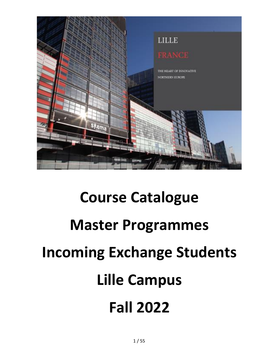

# **Course Catalogue Master Programmes Incoming Exchange Students Lille Campus Fall 2022**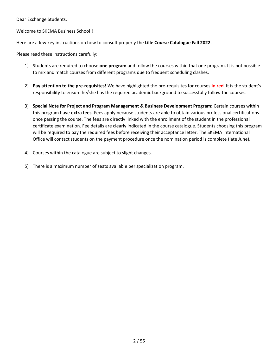Dear Exchange Students,

Welcome to SKEMA Business School !

Here are a few key instructions on how to consult properly the **Lille Course Catalogue Fall 2022**.

Please read these instructions carefully:

- 1) Students are required to choose **one program** and follow the courses within that one program. It is not possible to mix and match courses from different programs due to frequent scheduling clashes.
- 2) **Pay attention to the pre-requisites!** We have highlighted the pre-requisites for courses **in red**. It is the student's responsibility to ensure he/she has the required academic background to successfully follow the courses.
- 3) **Special Note for Project and Program Management & Business Development Program:** Certain courses within this program have **extra fees**. Fees apply because students are able to obtain various professional certifications once passing the course. The fees are directly linked with the enrollment of the student in the professional certificate examination. Fee details are clearly indicated in the course catalogue. Students choosing this program will be required to pay the required fees before receiving their acceptance letter. The SKEMA International Office will contact students on the payment procedure once the nomination period is complete (late June).
- 4) Courses within the catalogue are subject to slight changes.
- 5) There is a maximum number of seats available per specialization program.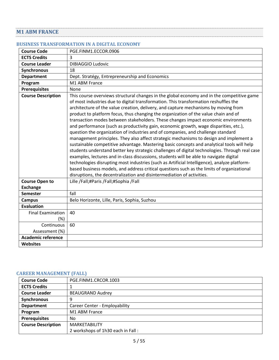# <span id="page-4-0"></span>**M1 ABM FRANCE**

#### <span id="page-4-1"></span>**BUSINESS TRANSFORMATION IN A DIGITAL ECONOMY**

| <b>Course Code</b>        | PGE.FINM1.ECCOR.0906                                                                                                                                                                                                                                                                                                                                                                                                                                                                                                                                                                                                                                                                                                                                                                                                                                                                                                                                                                                                                                                                                                                                                                                                                                                                            |
|---------------------------|-------------------------------------------------------------------------------------------------------------------------------------------------------------------------------------------------------------------------------------------------------------------------------------------------------------------------------------------------------------------------------------------------------------------------------------------------------------------------------------------------------------------------------------------------------------------------------------------------------------------------------------------------------------------------------------------------------------------------------------------------------------------------------------------------------------------------------------------------------------------------------------------------------------------------------------------------------------------------------------------------------------------------------------------------------------------------------------------------------------------------------------------------------------------------------------------------------------------------------------------------------------------------------------------------|
| <b>ECTS Credits</b>       | 3                                                                                                                                                                                                                                                                                                                                                                                                                                                                                                                                                                                                                                                                                                                                                                                                                                                                                                                                                                                                                                                                                                                                                                                                                                                                                               |
| <b>Course Leader</b>      | <b>DIBIAGGIO Ludovic</b>                                                                                                                                                                                                                                                                                                                                                                                                                                                                                                                                                                                                                                                                                                                                                                                                                                                                                                                                                                                                                                                                                                                                                                                                                                                                        |
| <b>Synchronous</b>        | 18                                                                                                                                                                                                                                                                                                                                                                                                                                                                                                                                                                                                                                                                                                                                                                                                                                                                                                                                                                                                                                                                                                                                                                                                                                                                                              |
| <b>Department</b>         | Dept. Stratégy, Entrepreneurship and Economics                                                                                                                                                                                                                                                                                                                                                                                                                                                                                                                                                                                                                                                                                                                                                                                                                                                                                                                                                                                                                                                                                                                                                                                                                                                  |
| Program                   | M1 ABM France                                                                                                                                                                                                                                                                                                                                                                                                                                                                                                                                                                                                                                                                                                                                                                                                                                                                                                                                                                                                                                                                                                                                                                                                                                                                                   |
| <b>Prerequisites</b>      | None                                                                                                                                                                                                                                                                                                                                                                                                                                                                                                                                                                                                                                                                                                                                                                                                                                                                                                                                                                                                                                                                                                                                                                                                                                                                                            |
| <b>Course Description</b> | This course overviews structural changes in the global economy and in the competitive game<br>of most industries due to digital transformation. This transformation reshuffles the<br>architecture of the value creation, delivery, and capture mechanisms by moving from<br>product to platform focus, thus changing the organization of the value chain and of<br>transaction modes between stakeholders. These changes impact economic environments<br>and performance (such as productivity gain, economic growth, wage disparities, etc.),<br>question the organization of industries and of companies, and challenge standard<br>management principles. They also affect strategic mechanisms to design and implement a<br>sustainable competitive advantage. Mastering basic concepts and analytical tools will help<br>students understand better key strategic challenges of digital technologies. Through real case<br>examples, lectures and in-class discussions, students will be able to navigate digital<br>technologies disrupting most industries (such as Artificial Intelligence), analyze platform-<br>based business models, and address critical questions such as the limits of organizational<br>disruptions, the decentralization and disintermediation of activities. |
| <b>Course Open to</b>     | Lille /Fall;#Paris /Fall;#Sophia /Fall                                                                                                                                                                                                                                                                                                                                                                                                                                                                                                                                                                                                                                                                                                                                                                                                                                                                                                                                                                                                                                                                                                                                                                                                                                                          |
| <b>Exchange</b>           |                                                                                                                                                                                                                                                                                                                                                                                                                                                                                                                                                                                                                                                                                                                                                                                                                                                                                                                                                                                                                                                                                                                                                                                                                                                                                                 |
| <b>Semester</b>           | fall                                                                                                                                                                                                                                                                                                                                                                                                                                                                                                                                                                                                                                                                                                                                                                                                                                                                                                                                                                                                                                                                                                                                                                                                                                                                                            |
| <b>Campus</b>             | Belo Horizonte, Lille, Paris, Sophia, Suzhou                                                                                                                                                                                                                                                                                                                                                                                                                                                                                                                                                                                                                                                                                                                                                                                                                                                                                                                                                                                                                                                                                                                                                                                                                                                    |
| <b>Evaluation</b>         |                                                                                                                                                                                                                                                                                                                                                                                                                                                                                                                                                                                                                                                                                                                                                                                                                                                                                                                                                                                                                                                                                                                                                                                                                                                                                                 |
| <b>Final Examination</b>  | 40                                                                                                                                                                                                                                                                                                                                                                                                                                                                                                                                                                                                                                                                                                                                                                                                                                                                                                                                                                                                                                                                                                                                                                                                                                                                                              |
| $(\%)$                    |                                                                                                                                                                                                                                                                                                                                                                                                                                                                                                                                                                                                                                                                                                                                                                                                                                                                                                                                                                                                                                                                                                                                                                                                                                                                                                 |
| Continuous                | 60                                                                                                                                                                                                                                                                                                                                                                                                                                                                                                                                                                                                                                                                                                                                                                                                                                                                                                                                                                                                                                                                                                                                                                                                                                                                                              |
| Assessment (%)            |                                                                                                                                                                                                                                                                                                                                                                                                                                                                                                                                                                                                                                                                                                                                                                                                                                                                                                                                                                                                                                                                                                                                                                                                                                                                                                 |
| <b>Academic reference</b> |                                                                                                                                                                                                                                                                                                                                                                                                                                                                                                                                                                                                                                                                                                                                                                                                                                                                                                                                                                                                                                                                                                                                                                                                                                                                                                 |
| <b>Websites</b>           |                                                                                                                                                                                                                                                                                                                                                                                                                                                                                                                                                                                                                                                                                                                                                                                                                                                                                                                                                                                                                                                                                                                                                                                                                                                                                                 |

## <span id="page-4-2"></span>**CAREER MANAGEMENT (FALL)**

| <b>Course Code</b>        | PGE.FINM1.CRCOR.1003              |
|---------------------------|-----------------------------------|
| <b>ECTS Credits</b>       |                                   |
| <b>Course Leader</b>      | <b>BEAUGRAND Audrey</b>           |
| Synchronous               | 9                                 |
| <b>Department</b>         | Career Center - Employability     |
| Program                   | M1 ABM France                     |
| <b>Prerequisites</b>      | No                                |
| <b>Course Description</b> | <b>MARKETABILITY</b>              |
|                           | 2 workshops of 1h30 each in Fall: |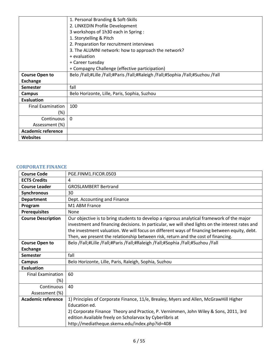|                           | 1. Personal Branding & Soft-Skills                                              |
|---------------------------|---------------------------------------------------------------------------------|
|                           | 2. LINKEDIN Profile Development                                                 |
|                           | 3 workshops of 1h30 each in Spring:                                             |
|                           | 1. Storytelling & Pitch                                                         |
|                           | 2. Preparation for recruitment interviews                                       |
|                           | 3. The ALUMNI network: how to approach the network?                             |
|                           | + evaluation                                                                    |
|                           | + Career tuesday                                                                |
|                           | + Compagny Challenge (effective participation)                                  |
| <b>Course Open to</b>     | Belo /Fall;#Lille /Fall;#Paris /Fall;#Raleigh /Fall;#Sophia /Fall;#Suzhou /Fall |
| <b>Exchange</b>           |                                                                                 |
| Semester                  | fall                                                                            |
| Campus                    | Belo Horizonte, Lille, Paris, Sophia, Suzhou                                    |
| Evaluation                |                                                                                 |
| <b>Final Examination</b>  | 100                                                                             |
| (%)                       |                                                                                 |
| Continuous                | $\Omega$                                                                        |
| Assessment (%)            |                                                                                 |
| <b>Academic reference</b> |                                                                                 |
| <b>Websites</b>           |                                                                                 |

#### <span id="page-5-0"></span>**CORPORATE FINANCE**

| <b>Course Code</b>        | PGE.FINM1.FICOR.0503                                                                             |
|---------------------------|--------------------------------------------------------------------------------------------------|
| <b>ECTS Credits</b>       | 4                                                                                                |
| <b>Course Leader</b>      | <b>GROSLAMBERT Bertrand</b>                                                                      |
| Synchronous               | 30                                                                                               |
| <b>Department</b>         | Dept. Accounting and Finance                                                                     |
| Program                   | M1 ABM France                                                                                    |
| <b>Prerequisites</b>      | None                                                                                             |
| <b>Course Description</b> | Our objective is to bring students to develop a rigorous analytical framework of the major       |
|                           | investment and financing decisions. In particular, we will shed lights on the interest rates and |
|                           | the investment valuation. We will focus on different ways of financing between equity, debt.     |
|                           | Then, we present the relationship between risk, return and the cost of financing.                |
| <b>Course Open to</b>     | Belo /Fall;#Lille /Fall;#Paris /Fall;#Raleigh /Fall;#Sophia /Fall;#Suzhou /Fall                  |
| <b>Exchange</b>           |                                                                                                  |
| <b>Semester</b>           | fall                                                                                             |
| <b>Campus</b>             | Belo Horizonte, Lille, Paris, Raleigh, Sophia, Suzhou                                            |
| <b>Evaluation</b>         |                                                                                                  |
| <b>Final Examination</b>  | 60                                                                                               |
| $(\%)$                    |                                                                                                  |
| Continuous                | 40                                                                                               |
| Assessment (%)            |                                                                                                  |
| <b>Academic reference</b> | 1) Principles of Corporate Finance, 11/e, Brealey, Myers and Allen, McGrawHill Higher            |
|                           | Education ed.                                                                                    |
|                           | 2) Corporate Finance Theory and Practice, P. Vernimmen, John Wiley & Sons, 2011, 3rd             |
|                           | edition Available freely on Scholarvox by Cyberlibris at                                         |
|                           | http://mediatheque.skema.edu/index.php?id=408                                                    |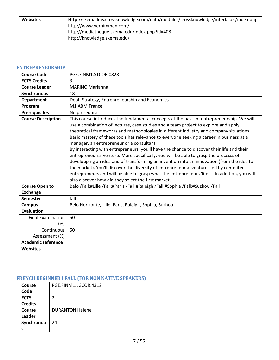| <b>Websites</b> | Http://skema.lms.crossknowledge.com/data/modules/crossknowledge/interfaces/index.php |
|-----------------|--------------------------------------------------------------------------------------|
|                 | http://www.vernimmen.com/                                                            |
|                 | http://mediatheque.skema.edu/index.php?id=408                                        |
|                 | http://knowledge.skema.edu/                                                          |

# <span id="page-6-0"></span>**ENTREPRENEURSHIP**

| <b>Course Code</b>        | PGE.FINM1.STCOR.0828                                                                                                                                                                                                                                                                                                                                                                                                                                                                                                                                                                                                                                                                                                                                                                                                                                                                                                                                       |
|---------------------------|------------------------------------------------------------------------------------------------------------------------------------------------------------------------------------------------------------------------------------------------------------------------------------------------------------------------------------------------------------------------------------------------------------------------------------------------------------------------------------------------------------------------------------------------------------------------------------------------------------------------------------------------------------------------------------------------------------------------------------------------------------------------------------------------------------------------------------------------------------------------------------------------------------------------------------------------------------|
| <b>ECTS Credits</b>       | 3                                                                                                                                                                                                                                                                                                                                                                                                                                                                                                                                                                                                                                                                                                                                                                                                                                                                                                                                                          |
| <b>Course Leader</b>      | <b>MARINO Marianna</b>                                                                                                                                                                                                                                                                                                                                                                                                                                                                                                                                                                                                                                                                                                                                                                                                                                                                                                                                     |
| <b>Synchronous</b>        | 18                                                                                                                                                                                                                                                                                                                                                                                                                                                                                                                                                                                                                                                                                                                                                                                                                                                                                                                                                         |
| <b>Department</b>         | Dept. Stratégy, Entrepreneurship and Economics                                                                                                                                                                                                                                                                                                                                                                                                                                                                                                                                                                                                                                                                                                                                                                                                                                                                                                             |
| Program                   | M1 ABM France                                                                                                                                                                                                                                                                                                                                                                                                                                                                                                                                                                                                                                                                                                                                                                                                                                                                                                                                              |
| <b>Prerequisites</b>      | No prerequisit                                                                                                                                                                                                                                                                                                                                                                                                                                                                                                                                                                                                                                                                                                                                                                                                                                                                                                                                             |
| <b>Course Description</b> | This course introduces the fundamental concepts at the basis of entrepreneurship. We will<br>use a combination of lectures, case studies and a team project to explore and apply<br>theoretical frameworks and methodologies in different industry and company situations.<br>Basic mastery of these tools has relevance to everyone seeking a career in business as a<br>manager, an entrepreneur or a consultant.<br>By interacting with entrepreneurs, you'll have the chance to discover their life and their<br>entrepreneurial venture. More specifically, you will be able to grasp the processs of<br>developping an idea and of transforming an invention into an innovation (from the idea to<br>the market). You'll discover the diversity of entrepreneurial ventures led by commited<br>entrepreneurs and will be able to grasp what the entrepreneurs 'life is. In addition, you will<br>also discover how did they select the first market. |
| <b>Course Open to</b>     | Belo /Fall;#Lille /Fall;#Paris /Fall;#Raleigh /Fall;#Sophia /Fall;#Suzhou /Fall                                                                                                                                                                                                                                                                                                                                                                                                                                                                                                                                                                                                                                                                                                                                                                                                                                                                            |
| <b>Exchange</b>           |                                                                                                                                                                                                                                                                                                                                                                                                                                                                                                                                                                                                                                                                                                                                                                                                                                                                                                                                                            |
| <b>Semester</b>           | fall                                                                                                                                                                                                                                                                                                                                                                                                                                                                                                                                                                                                                                                                                                                                                                                                                                                                                                                                                       |
| <b>Campus</b>             | Belo Horizonte, Lille, Paris, Raleigh, Sophia, Suzhou                                                                                                                                                                                                                                                                                                                                                                                                                                                                                                                                                                                                                                                                                                                                                                                                                                                                                                      |
| <b>Evaluation</b>         |                                                                                                                                                                                                                                                                                                                                                                                                                                                                                                                                                                                                                                                                                                                                                                                                                                                                                                                                                            |
| <b>Final Examination</b>  | 50                                                                                                                                                                                                                                                                                                                                                                                                                                                                                                                                                                                                                                                                                                                                                                                                                                                                                                                                                         |
| (%)                       |                                                                                                                                                                                                                                                                                                                                                                                                                                                                                                                                                                                                                                                                                                                                                                                                                                                                                                                                                            |
| Continuous                | 50                                                                                                                                                                                                                                                                                                                                                                                                                                                                                                                                                                                                                                                                                                                                                                                                                                                                                                                                                         |
| Assessment (%)            |                                                                                                                                                                                                                                                                                                                                                                                                                                                                                                                                                                                                                                                                                                                                                                                                                                                                                                                                                            |
| <b>Academic reference</b> |                                                                                                                                                                                                                                                                                                                                                                                                                                                                                                                                                                                                                                                                                                                                                                                                                                                                                                                                                            |
| <b>Websites</b>           |                                                                                                                                                                                                                                                                                                                                                                                                                                                                                                                                                                                                                                                                                                                                                                                                                                                                                                                                                            |

# <span id="page-6-1"></span>**FRENCH BEGINNER I FALL (FOR NON NATIVE SPEAKERS)**

| <b>Course</b>  | PGE.FINM1.LGCOR.4312   |
|----------------|------------------------|
| Code           |                        |
| <b>ECTS</b>    | ∠                      |
| <b>Credits</b> |                        |
| <b>Course</b>  | <b>DURANTON Hélène</b> |
| Leader         |                        |
| Synchronou     | 24                     |
| э              |                        |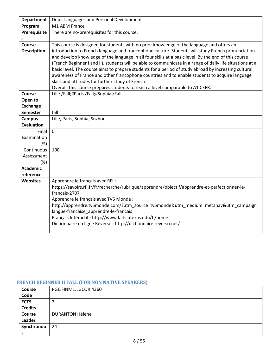| <b>Department</b>  | Dept. Languages and Personal Development                                                                                                            |
|--------------------|-----------------------------------------------------------------------------------------------------------------------------------------------------|
| Program            | M1 ABM France                                                                                                                                       |
| Prerequisite       | There are no-prerequisites for this course.                                                                                                         |
| s                  |                                                                                                                                                     |
| Course             | This course is designed for students with no prior knowledge of the language and offers an                                                          |
| <b>Description</b> | introduction to French language and francophone culture. Students will study French pronunciation                                                   |
|                    | and develop knowledge of the language in all four skills at a basic level. By the end of this course                                                |
|                    | (French Beginner I and II), students will be able to communicate in a range of daily life situations at a                                           |
|                    | basic level. The course aims to prepare students for a period of study abroad by increasing cultural                                                |
|                    | awareness of France and other francophone countries and to enable students to acquire language<br>skills and attitudes for further study of French. |
|                    | Overall, this course prepares students to reach a level comparable to A1 CEFR.                                                                      |
| <b>Course</b>      | Lille /Fall;#Paris /Fall;#Sophia /Fall                                                                                                              |
| Open to            |                                                                                                                                                     |
| <b>Exchange</b>    |                                                                                                                                                     |
| <b>Semester</b>    | fall                                                                                                                                                |
| <b>Campus</b>      | Lille, Paris, Sophia, Suzhou                                                                                                                        |
| <b>Evaluation</b>  |                                                                                                                                                     |
| Final              | $\mathbf{0}$                                                                                                                                        |
| Examination        |                                                                                                                                                     |
| (%)                |                                                                                                                                                     |
| Continuous         | 100                                                                                                                                                 |
| Assessment         |                                                                                                                                                     |
| (%)                |                                                                                                                                                     |
| <b>Academic</b>    |                                                                                                                                                     |
| reference          |                                                                                                                                                     |
| <b>Websites</b>    | Apprendre le français avec RFi :                                                                                                                    |
|                    | https://savoirs.rfi.fr/fr/recherche/rubrique/apprendre/objectif/apprendre-et-perfectionner-le-<br>francais-2707                                     |
|                    | Apprendre le français avec TV5 Monde :                                                                                                              |
|                    | http://apprendre.tv5monde.com/?utm_source=tv5monde&utm_medium=metanav&utm_campaign=                                                                 |
|                    | langue-francaise_apprendre-le-francais                                                                                                              |
|                    | Français Intéractif : http://www.laits.utexas.edu/fi/home                                                                                           |
|                    | Dictionnaire en ligne Reverso : http://dictionnaire.reverso.net/                                                                                    |
|                    |                                                                                                                                                     |

## <span id="page-7-0"></span>**FRENCH BEGINNER II FALL (FOR NON NATIVE SPEAKERS)**

| <b>Course</b>  | PGE.FINM1.LGCOR.4360   |
|----------------|------------------------|
| Code           |                        |
| <b>ECTS</b>    | ▵                      |
| <b>Credits</b> |                        |
| Course         | <b>DURANTON Hélène</b> |
| Leader         |                        |
| Synchronou     | 24                     |
| э              |                        |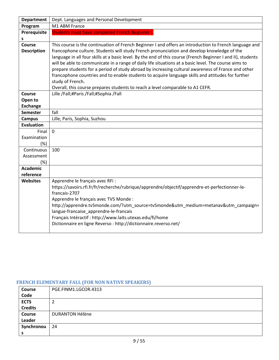| <b>Department</b>  | Dept. Languages and Personal Development                                                                                                                                                                                                                                                                                                                                                                                                                                                                                      |
|--------------------|-------------------------------------------------------------------------------------------------------------------------------------------------------------------------------------------------------------------------------------------------------------------------------------------------------------------------------------------------------------------------------------------------------------------------------------------------------------------------------------------------------------------------------|
| Program            | M1 ABM France                                                                                                                                                                                                                                                                                                                                                                                                                                                                                                                 |
| Prerequisite       | Students must have completed French Beginner I.                                                                                                                                                                                                                                                                                                                                                                                                                                                                               |
| s                  |                                                                                                                                                                                                                                                                                                                                                                                                                                                                                                                               |
| <b>Course</b>      | This course is the continuation of French Beginner I and offers an introduction to French language and                                                                                                                                                                                                                                                                                                                                                                                                                        |
| <b>Description</b> | francophone culture. Students will study French pronunciation and develop knowledge of the<br>language in all four skills at a basic level. By the end of this course (French Beginner I and II), students<br>will be able to communicate in a range of daily life situations at a basic level. The course aims to<br>prepare students for a period of study abroad by increasing cultural awareness of France and other<br>francophone countries and to enable students to acquire language skills and attitudes for further |
|                    | study of French.                                                                                                                                                                                                                                                                                                                                                                                                                                                                                                              |
|                    | Overall, this course prepares students to reach a level comparable to A1 CEFR.                                                                                                                                                                                                                                                                                                                                                                                                                                                |
| Course             | Lille /Fall;#Paris /Fall;#Sophia /Fall                                                                                                                                                                                                                                                                                                                                                                                                                                                                                        |
| Open to            |                                                                                                                                                                                                                                                                                                                                                                                                                                                                                                                               |
| <b>Exchange</b>    |                                                                                                                                                                                                                                                                                                                                                                                                                                                                                                                               |
| <b>Semester</b>    | fall                                                                                                                                                                                                                                                                                                                                                                                                                                                                                                                          |
| <b>Campus</b>      | Lille, Paris, Sophia, Suzhou                                                                                                                                                                                                                                                                                                                                                                                                                                                                                                  |
| <b>Evaluation</b>  |                                                                                                                                                                                                                                                                                                                                                                                                                                                                                                                               |
| Final              | $\mathbf 0$                                                                                                                                                                                                                                                                                                                                                                                                                                                                                                                   |
| Examination        |                                                                                                                                                                                                                                                                                                                                                                                                                                                                                                                               |
| $(\%)$             |                                                                                                                                                                                                                                                                                                                                                                                                                                                                                                                               |
| Continuous         | 100                                                                                                                                                                                                                                                                                                                                                                                                                                                                                                                           |
| Assessment         |                                                                                                                                                                                                                                                                                                                                                                                                                                                                                                                               |
| (%)                |                                                                                                                                                                                                                                                                                                                                                                                                                                                                                                                               |
| <b>Academic</b>    |                                                                                                                                                                                                                                                                                                                                                                                                                                                                                                                               |
| reference          |                                                                                                                                                                                                                                                                                                                                                                                                                                                                                                                               |
| <b>Websites</b>    | Apprendre le français avec RFi :<br>https://savoirs.rfi.fr/fr/recherche/rubrique/apprendre/objectif/apprendre-et-perfectionner-le-<br>francais-2707<br>Apprendre le français avec TV5 Monde :<br>http://apprendre.tv5monde.com/?utm_source=tv5monde&utm_medium=metanav&utm_campaign=<br>langue-francaise_apprendre-le-francais<br>Français Intéractif : http://www.laits.utexas.edu/fi/home<br>Dictionnaire en ligne Reverso : http://dictionnaire.reverso.net/                                                               |

# <span id="page-8-0"></span>**FRENCH ELEMENTARY FALL (FOR NON NATIVE SPEAKERS)**

| <b>Course</b>  | PGE.FINM1.LGCOR.4313   |
|----------------|------------------------|
| Code           |                        |
| <b>ECTS</b>    | 2                      |
| <b>Credits</b> |                        |
| <b>Course</b>  | <b>DURANTON Hélène</b> |
| Leader         |                        |
| Synchronou     | 24                     |
| э              |                        |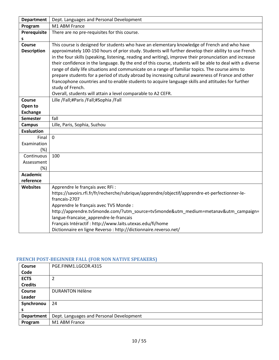| Dept. Languages and Personal Development                                                                                                                                                               |
|--------------------------------------------------------------------------------------------------------------------------------------------------------------------------------------------------------|
| M1 ABM France                                                                                                                                                                                          |
| There are no pre-requisites for this course.                                                                                                                                                           |
|                                                                                                                                                                                                        |
| This course is designed for students who have an elementary knowledge of French and who have                                                                                                           |
| approximately 100-150 hours of prior study. Students will further develop their ability to use French                                                                                                  |
| in the four skills (speaking, listening, reading and writing), improve their pronunciation and increase                                                                                                |
| their confidence in the language. By the end of this course, students will be able to deal with a diverse                                                                                              |
| range of daily life situations and communicate on a range of familiar topics. The course aims to<br>prepare students for a period of study abroad by increasing cultural awareness of France and other |
| francophone countries and to enable students to acquire language skills and attitudes for further                                                                                                      |
| study of French.                                                                                                                                                                                       |
| Overall, students will attain a level comparable to A2 CEFR.                                                                                                                                           |
| Lille /Fall;#Paris /Fall;#Sophia /Fall                                                                                                                                                                 |
|                                                                                                                                                                                                        |
|                                                                                                                                                                                                        |
| fall                                                                                                                                                                                                   |
| Lille, Paris, Sophia, Suzhou                                                                                                                                                                           |
|                                                                                                                                                                                                        |
| $\mathbf 0$                                                                                                                                                                                            |
|                                                                                                                                                                                                        |
|                                                                                                                                                                                                        |
| 100                                                                                                                                                                                                    |
|                                                                                                                                                                                                        |
|                                                                                                                                                                                                        |
|                                                                                                                                                                                                        |
|                                                                                                                                                                                                        |
| Apprendre le français avec RFi :                                                                                                                                                                       |
| https://savoirs.rfi.fr/fr/recherche/rubrique/apprendre/objectif/apprendre-et-perfectionner-le-<br>francais-2707                                                                                        |
| Apprendre le français avec TV5 Monde :                                                                                                                                                                 |
| http://apprendre.tv5monde.com/?utm_source=tv5monde&utm_medium=metanav&utm_campaign=                                                                                                                    |
| langue-francaise apprendre-le-francais                                                                                                                                                                 |
| Français Intéractif : http://www.laits.utexas.edu/fi/home                                                                                                                                              |
| Dictionnaire en ligne Reverso : http://dictionnaire.reverso.net/                                                                                                                                       |
|                                                                                                                                                                                                        |

# <span id="page-9-0"></span>**FRENCH POST-BEGINNER FALL (FOR NON NATIVE SPEAKERS)**

| <b>Course</b>     | PGE.FINM1.LGCOR.4315                     |
|-------------------|------------------------------------------|
| Code              |                                          |
| <b>ECTS</b>       | 2                                        |
| <b>Credits</b>    |                                          |
| <b>Course</b>     | <b>DURANTON Hélène</b>                   |
| Leader            |                                          |
| Synchronou        | 24                                       |
| s                 |                                          |
| <b>Department</b> | Dept. Languages and Personal Development |
| Program           | M1 ABM France                            |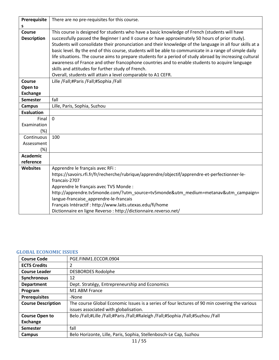| Prerequisite       | There are no pre-requisites for this course.                                                              |
|--------------------|-----------------------------------------------------------------------------------------------------------|
| s                  |                                                                                                           |
| Course             | This course is designed for students who have a basic knowledge of French (students will have             |
| <b>Description</b> | successfully passed the Beginner I and II course or have approximately 50 hours of prior study).          |
|                    | Students will consolidate their pronunciation and their knowledge of the language in all four skills at a |
|                    | basic level. By the end of this course, students will be able to communicate in a range of simple daily   |
|                    | life situations. The course aims to prepare students for a period of study abroad by increasing cultural  |
|                    | awareness of France and other francophone countries and to enable students to acquire language            |
|                    | skills and attitudes for further study of French.                                                         |
|                    | Overall, students will attain a level comparable to A1 CEFR.                                              |
| Course             | Lille /Fall;#Paris /Fall;#Sophia /Fall                                                                    |
| Open to            |                                                                                                           |
| <b>Exchange</b>    |                                                                                                           |
| <b>Semester</b>    | fall                                                                                                      |
| <b>Campus</b>      | Lille, Paris, Sophia, Suzhou                                                                              |
| <b>Evaluation</b>  |                                                                                                           |
| Final              | $\Omega$                                                                                                  |
| Examination        |                                                                                                           |
| $(\%)$             |                                                                                                           |
| Continuous         | 100                                                                                                       |
| Assessment         |                                                                                                           |
| $(\%)$             |                                                                                                           |
| <b>Academic</b>    |                                                                                                           |
| reference          |                                                                                                           |
| <b>Websites</b>    | Apprendre le français avec RFi :                                                                          |
|                    | https://savoirs.rfi.fr/fr/recherche/rubrique/apprendre/objectif/apprendre-et-perfectionner-le-            |
|                    | francais-2707                                                                                             |
|                    | Apprendre le français avec TV5 Monde :                                                                    |
|                    | http://apprendre.tv5monde.com/?utm_source=tv5monde&utm_medium=metanav&utm_campaign=                       |
|                    | langue-francaise apprendre-le-francais                                                                    |
|                    | Français Intéractif : http://www.laits.utexas.edu/fi/home                                                 |
|                    | Dictionnaire en ligne Reverso : http://dictionnaire.reverso.net/                                          |

#### <span id="page-10-0"></span>**GLOBAL ECONOMIC ISSUES**

| <b>Course Code</b>        | PGE.FINM1.ECCOR.0904                                                                          |
|---------------------------|-----------------------------------------------------------------------------------------------|
| <b>ECTS Credits</b>       | 2                                                                                             |
| <b>Course Leader</b>      | <b>DESBORDES Rodolphe</b>                                                                     |
| <b>Synchronous</b>        | 12                                                                                            |
| <b>Department</b>         | Dept. Stratégy, Entrepreneurship and Economics                                                |
| Program                   | M1 ABM France                                                                                 |
| <b>Prerequisites</b>      | -None                                                                                         |
| <b>Course Description</b> | The course Global Economic Issues is a series of four lectures of 90 min covering the various |
|                           | issues associated with globalisation.                                                         |
| <b>Course Open to</b>     | Belo /Fall;#Lille /Fall;#Paris /Fall;#Raleigh /Fall;#Sophia /Fall;#Suzhou /Fall               |
| <b>Exchange</b>           |                                                                                               |
| <b>Semester</b>           | fall                                                                                          |
| Campus                    | Belo Horizonte, Lille, Paris, Sophia, Stellenbosch-Le Cap, Suzhou                             |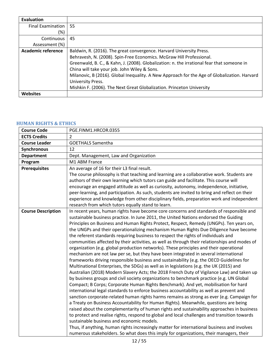| Evaluation               |                                                                                              |
|--------------------------|----------------------------------------------------------------------------------------------|
| <b>Final Examination</b> | 55                                                                                           |
| (%)                      |                                                                                              |
| Continuous               | 45                                                                                           |
| Assessment (%)           |                                                                                              |
| Academic reference       | Baldwin, R. (2016). The great convergence. Harvard University Press.                         |
|                          | Behravesh, N. (2008). Spin-Free Economics. McGraw Hill Professional.                         |
|                          | Greenwald, B. C., & Kahn, J. (2008). Globalization: n. the irrational fear that someone in   |
|                          | China will take your job. John Wiley & Sons.                                                 |
|                          | Milanovic, B (2016). Global Inequality. A New Approach for the Age of Globalization. Harvard |
|                          | University Press.                                                                            |
|                          | Mishkin F. (2006). The Next Great Globalization. Princeton University                        |
|                          |                                                                                              |

## <span id="page-11-0"></span>**HUMAN RIGHTS & ETHICS**

| <b>Course Code</b>        | PGE.FINM1.HRCOR.0355                                                                                                                                                             |
|---------------------------|----------------------------------------------------------------------------------------------------------------------------------------------------------------------------------|
| <b>ECTS Credits</b>       | $\overline{2}$                                                                                                                                                                   |
| <b>Course Leader</b>      | <b>GOETHALS Samentha</b>                                                                                                                                                         |
| <b>Synchronous</b>        | 12                                                                                                                                                                               |
| <b>Department</b>         | Dept. Management, Law and Organization                                                                                                                                           |
| Program                   | M1 ABM France                                                                                                                                                                    |
| <b>Prerequisites</b>      | An average of 16 for their L3 final result.                                                                                                                                      |
|                           | The course philosophy is that teaching and learning are a collaborative work. Students are                                                                                       |
|                           | authors of their own learning which tutors can guide and facilitate. This course will                                                                                            |
|                           | encourage an engaged attitude as well as curiosity, autonomy, independence, initiative,                                                                                          |
|                           | peer-learning, and participation. As such, students are invited to bring and reflect on their                                                                                    |
|                           | experience and knowledge from other disciplinary fields, preparation work and independent                                                                                        |
|                           | research from which tutors equally stand to learn.                                                                                                                               |
| <b>Course Description</b> | In recent years, human rights have become core concerns and standards of responsible and                                                                                         |
|                           | sustainable business practice. In June 2011, the United Nations endorsed the Guiding                                                                                             |
|                           | Principles on Business and Human Rights Protect, Respect, Remedy (UNGPs). Ten years on,                                                                                          |
|                           | the UNGPs and their operationalizing mechanism Human Rights Due Diligence have become                                                                                            |
|                           | the referent standards requiring business to respect the rights of individuals and                                                                                               |
|                           | communities affected by their activities, as well as through their relationships and modes of                                                                                    |
|                           | organization (e.g. global production networks). These principles and their operational                                                                                           |
|                           | mechanism are not law per se, but they have been integrated in several international<br>frameworks driving responsible business and sustainability (e.g. the OECD Guidelines for |
|                           | Multinational Enterprises, the SDGs) as well as in legislations (e.g. the UK (2015) and                                                                                          |
|                           | Australian (2018) Modern Slavery Acts; the 2018 French Duty of Vigilance Law) and taken up                                                                                       |
|                           | by business groups and civil society organizations to benchmark practice (e.g. UN Global                                                                                         |
|                           | Compact; B Corps; Corporate Human Rights Benchmark). And yet, mobilisation for hard                                                                                              |
|                           | international legal standards to enforce business accountability as well as prevent and                                                                                          |
|                           | sanction corporate-related human rights harms remains as strong as ever (e.g. Campaign for                                                                                       |
|                           | a Treaty on Business Accountability for Human Rights). Meanwhile, questions are being                                                                                            |
|                           | raised about the complementarity of human rights and sustainability approaches in business                                                                                       |
|                           | to protect and realise rights, respond to global and local challenges and transition towards                                                                                     |
|                           | sustainable business and economic models.                                                                                                                                        |
|                           | Thus, if anything, human rights increasingly matter for international business and involves                                                                                      |
|                           | numerous stakeholders. So what does this imply for organizations, their managers, their                                                                                          |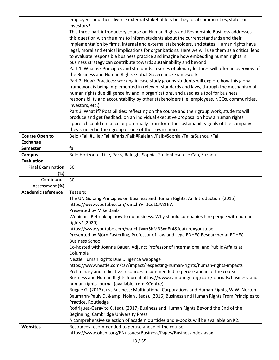|                           | employees and their diverse external stakeholders be they local communities, states or                                    |
|---------------------------|---------------------------------------------------------------------------------------------------------------------------|
|                           | investors?                                                                                                                |
|                           | This three-part introductory course on Human Rights and Responsible Business addresses                                    |
|                           | this question with the aims to inform students about the current standards and their                                      |
|                           | implementation by firms, internal and external stakeholders, and states. Human rights have                                |
|                           | legal, moral and ethical implications for organizations. Here we will use them as a critical lens                         |
|                           | to evaluate responsible business practice and imagine how embedding human rights in                                       |
|                           | business strategy can contribute towards sustainability and beyond.                                                       |
|                           | Part 1 What is? Principles and standards: a series of plenary lectures will offer an overview of                          |
|                           | the Business and Human Rights Global Governance Framework                                                                 |
|                           | Part 2 How? Practices: working in case study groups students will explore how this global                                 |
|                           | framework is being implemented in relevant standards and laws, through the mechanism of                                   |
|                           | human rights due diligence by and in organizations, and used as a tool for business                                       |
|                           | responsibility and accountability by other stakeholders (i.e. employees, NGOs, communities,                               |
|                           | investors, etc.)                                                                                                          |
|                           | Part 3 What if? Possibilities: reflecting on the course and their group work, students will                               |
|                           | produce and get feedback on an individual executive proposal on how a human rights                                        |
|                           | approach could enhance or potentially transform the sustainability goals of the company                                   |
|                           | they studied in their group or one of their own choice                                                                    |
| <b>Course Open to</b>     | Belo /Fall;#Lille /Fall;#Paris /Fall;#Raleigh /Fall;#Sophia /Fall;#Suzhou /Fall                                           |
| <b>Exchange</b>           |                                                                                                                           |
| <b>Semester</b>           | fall                                                                                                                      |
| <b>Campus</b>             | Belo Horizonte, Lille, Paris, Raleigh, Sophia, Stellenbosch-Le Cap, Suzhou                                                |
| <b>Evaluation</b>         |                                                                                                                           |
| <b>Final Examination</b>  | 50                                                                                                                        |
| (%)                       |                                                                                                                           |
| Continuous                | 50                                                                                                                        |
| Assessment (%)            |                                                                                                                           |
| <b>Academic reference</b> | Teasers:                                                                                                                  |
|                           | The UN Guiding Principles on Business and Human Rights: An Introduction (2015)                                            |
|                           | https://www.youtube.com/watch?v=BCoL6JVZHrA                                                                               |
|                           | Presented by Mike Baab                                                                                                    |
|                           | Webinar - Rethinking how to do business: Why should companies hire people with human                                      |
|                           | rights? (2020)                                                                                                            |
|                           | https://www.youtube.com/watch?v=n5hM33xqEt4&feature=youtu.be                                                              |
|                           | Presented by Björn Fasterling, Professor of Law and LegalEDHEC Researcher at EDHEC                                        |
|                           | <b>Business School</b>                                                                                                    |
|                           | Co-hosted with Joanne Bauer, Adjunct Professor of International and Public Affairs at                                     |
|                           | Columbia                                                                                                                  |
|                           |                                                                                                                           |
|                           | Nestle Human Rights Due Diligence webpage                                                                                 |
|                           | https://www.nestle.com/csv/impact/respecting-human-rights/human-rights-impacts                                            |
|                           | Preliminary and indicative resources recommended to peruse ahead of the course:                                           |
|                           | Business and Human Rights Journal https://www.cambridge.org/core/journals/business-and-                                   |
|                           | human-rights-journal (available from KCentre)                                                                             |
|                           | Ruggie G. (2013) Just Business: Multinational Corporations and Human Rights, W.W. Norton                                  |
|                           | Baumann-Pauly D. & Nolan J (eds), (2016) Business and Human Rights From Principles to                                     |
|                           | Practice, Routledge                                                                                                       |
|                           | Rodriguez-Garavito C. (ed), (2017) Business and Human Rights Beyond the End of the                                        |
|                           | Beginning, Cambridge University Press                                                                                     |
|                           | A comprehensive selection of academic articles and e-books will be available on K2.                                       |
| <b>Websites</b>           | Resources recommended to peruse ahead of the course:<br>https://www.ohchr.org/EN/Issues/Business/Pages/BusinessIndex.aspx |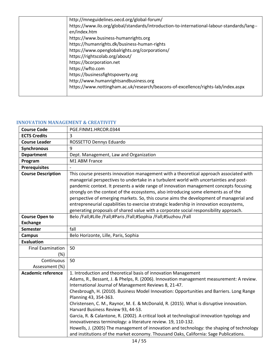| http://mneguidelines.oecd.org/global-forum/                                                |
|--------------------------------------------------------------------------------------------|
| https://www.ilo.org/global/standards/introduction-to-international-labour-standards/lang-- |
| en/index.htm                                                                               |
| https://www.business-humanrights.org                                                       |
| https://humanrights.dk/business-human-rights                                               |
| https://www.openglobalrights.org/corporations/                                             |
| https://rightscolab.org/about/                                                             |
| https://bcorporation.net                                                                   |
| https://wfto.com                                                                           |
| https://businessfightspoverty.org                                                          |
| http://www.humanrightsandbusiness.org                                                      |
| https://www.nottingham.ac.uk/research/beacons-of-excellence/rights-lab/index.aspx          |
|                                                                                            |

# <span id="page-13-0"></span>**INNOVATION MANAGEMENT & CREATIVITY**

| <b>Course Code</b>        | PGE.FINM1.HRCOR.0344                                                                                                                                                                                                                                                                                                                                                                                                                                                                                                                                                                                                                            |
|---------------------------|-------------------------------------------------------------------------------------------------------------------------------------------------------------------------------------------------------------------------------------------------------------------------------------------------------------------------------------------------------------------------------------------------------------------------------------------------------------------------------------------------------------------------------------------------------------------------------------------------------------------------------------------------|
| <b>ECTS Credits</b>       | $\overline{3}$                                                                                                                                                                                                                                                                                                                                                                                                                                                                                                                                                                                                                                  |
| <b>Course Leader</b>      | ROSSETTO Dennys Eduardo                                                                                                                                                                                                                                                                                                                                                                                                                                                                                                                                                                                                                         |
| Synchronous               | 9                                                                                                                                                                                                                                                                                                                                                                                                                                                                                                                                                                                                                                               |
| <b>Department</b>         | Dept. Management, Law and Organization                                                                                                                                                                                                                                                                                                                                                                                                                                                                                                                                                                                                          |
| Program                   | M1 ABM France                                                                                                                                                                                                                                                                                                                                                                                                                                                                                                                                                                                                                                   |
| <b>Prerequisites</b>      |                                                                                                                                                                                                                                                                                                                                                                                                                                                                                                                                                                                                                                                 |
| <b>Course Description</b> | This course presents innovation management with a theoretical approach associated with<br>managerial perspectives to undertake in a turbulent world with uncertainties and post-<br>pandemic context. It presents a wide range of innovation management concepts focusing<br>strongly on the context of the ecosystems, also introducing some elements as of the<br>perspective of emerging markets. So, this course aims the development of managerial and<br>entrepreneurial capabilities to exercise strategic leadership in innovation ecosystems,<br>generating proposals of shared value with a corporate social responsibility approach. |
| <b>Course Open to</b>     | Belo /Fall;#Lille /Fall;#Paris /Fall;#Sophia /Fall;#Suzhou /Fall                                                                                                                                                                                                                                                                                                                                                                                                                                                                                                                                                                                |
| <b>Exchange</b>           |                                                                                                                                                                                                                                                                                                                                                                                                                                                                                                                                                                                                                                                 |
| <b>Semester</b>           | fall                                                                                                                                                                                                                                                                                                                                                                                                                                                                                                                                                                                                                                            |
| <b>Campus</b>             | Belo Horizonte, Lille, Paris, Sophia                                                                                                                                                                                                                                                                                                                                                                                                                                                                                                                                                                                                            |
| <b>Evaluation</b>         |                                                                                                                                                                                                                                                                                                                                                                                                                                                                                                                                                                                                                                                 |
| <b>Final Examination</b>  | 50                                                                                                                                                                                                                                                                                                                                                                                                                                                                                                                                                                                                                                              |
| (%)                       |                                                                                                                                                                                                                                                                                                                                                                                                                                                                                                                                                                                                                                                 |
| Continuous                | 50                                                                                                                                                                                                                                                                                                                                                                                                                                                                                                                                                                                                                                              |
| Assessment (%)            |                                                                                                                                                                                                                                                                                                                                                                                                                                                                                                                                                                                                                                                 |
| <b>Academic reference</b> | 1. Introduction and theoretical basis of innovation Management<br>Adams, R., Bessant, J. & Phelps, R. (2006). Innovation management measurement: A review.<br>International Journal of Management Reviews 8, 21-47.<br>Chesbrough, H. (2010). Business Model Innovation: Opportunities and Barriers. Long Range<br>Planning 43, 354-363.<br>Christensen, C. M., Raynor, M. E. & McDonald, R. (2015). What is disruptive innovation.<br>Harvard Business Review 93, 44-53.<br>Garcia, R. & Calantone, R. (2002). A critical look at technological innovation typology and                                                                        |
|                           | innovativeness terminology: a literature review. 19, 110-132.<br>Howells, J. (2005) The management of innovation and technology: the shaping of technology<br>and institutions of the market economy. Thousand Oaks, California: Sage Publications.                                                                                                                                                                                                                                                                                                                                                                                             |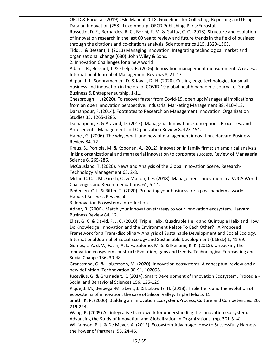OECD & Eurostat (2019) Oslo Manual 2018: Guidelines for Collecting, Reporting and Using Data on Innovation (258). Luxembourg: OECD Publishing, Paris/Eurostat. Rossetto, D. E., Bernardes, R. C., Borini, F. M. & Gattaz, C. C. (2018). Structure and evolution of innovation research in the last 60 years: review and future trends in the field of business through the citations and co-citations analysis. Scientometrics 115, 1329-1363. Tidd, J. & Bessant, J. (2013) Managing Innovation: Integrating technological market and organizational change (680). John Wiley & Sons. 2. Innovation Challenges for a new world Adams, R., Bessant, J. & Phelps, R. (2006). Innovation management measurement: A review. International Journal of Management Reviews 8, 21-47. Akpan, I. J., Soopramanien, D. & Kwak, D.-H. (2020). Cutting-edge technologies for small business and innovation in the era of COVID-19 global health pandemic. Journal of Small Business & Entrepreneurship, 1-11. Chesbrough, H. (2020). To recover faster from Covid-19, open up: Managerial implications from an open innovation perspective. Industrial Marketing Management 88, 410-413. Damanpour, F. (2014). Footnotes to Research on Management Innovation. Organization Studies 35, 1265-1285. Damanpour, F. & Aravind, D. (2012). Managerial Innovation: Conceptions, Processes, and Antecedents. Management and Organization Review 8, 423-454. Hamel, G. (2006). The why, what, and how of management innovation. Harvard Business Review 84, 72. Kraus, S., Pohjola, M. & Koponen, A. (2012). Innovation in family firms: an empirical analysis linking organizational and managerial innovation to corporate success. Review of Managerial Science 6, 265-286. McCausland, T. (2020). News and Analysis of the Global Innovation Scene. Research-Technology Management 63, 2-8. Millar, C. C. J. M., Groth, O. & Mahon, J. F. (2018). Management Innovation in a VUCA World: Challenges and Recommendations. 61, 5-14. Pedersen, C. L. & Ritter, T. (2020). Preparing your business for a post-pandemic world. Harvard Business Review, 4. 3. Innovation Ecosystems Introduction Adner, R. (2006). Match your innovation strategy to your innovation ecosystem. Harvard Business Review 84, 12. Elias, G. C. & David, F. J. C. (2010). Triple Helix, Quadruple Helix and Quintuple Helix and How Do Knowledge, Innovation and the Environment Relate To Each Other? : A Proposed Framework for a Trans-disciplinary Analysis of Sustainable Development and Social Ecology. International Journal of Social Ecology and Sustainable Development (IJSESD) 1, 41-69. Gomes, L. A. d. V., Facin, A. L. F., Salerno, M. S. & Ikenami, R. K. (2018). Unpacking the innovation ecosystem construct: Evolution, gaps and trends. Technological Forecasting and Social Change 136, 30-48. Granstrand, O. & Holgersson, M. (2020). Innovation ecosystems: A conceptual review and a new definition. Technovation 90-91, 102098. Juceviius, G. & Grumadait, K. (2014). Smart Development of Innovation Ecosystem. Procedia - Social and Behavioral Sciences 156, 125-129. Pique, J. M., Berbegal-Mirabent, J. & Etzkowitz, H. (2018). Triple Helix and the evolution of ecosystems of innovation: the case of Silicon Valley. Triple Helix 5, 11. Smith, K. R. (2006). Building an Innovation Ecosystem:Process, Culture and Competencies. 20, 219-224. Wang, P. (2009) An integrative framework for understanding the innovation ecosystem. Advancing the Study of Innovation and Globalization in Organizations. (pp. 301-314). Williamson, P. J. & De Meyer, A. (2012). Ecosystem Advantage: How to Successfully Harness the Power of Partners. 55, 24-46.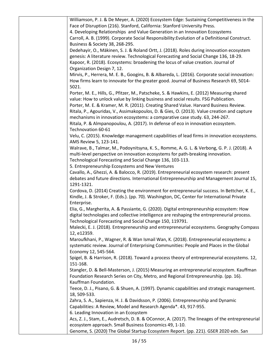| Williamson, P. J. & De Meyer, A. (2020) Ecosystem Edge: Sustaining Competitiveness in the        |
|--------------------------------------------------------------------------------------------------|
| Face of Disruption (216). Stanford, California: Stanford University Press.                       |
| 4. Developing Relationships and Value Generation in an Innovation Ecosystems                     |
| Carroll, A. B. (1999). Corporate Social Responsibility: Evolution of a Definitional Construct.   |
| Business & Society 38, 268-295.                                                                  |
| Dedehayir, O., Mäkinen, S. J. & Roland Ortt, J. (2018). Roles during innovation ecosystem        |
| genesis: A literature review. Technological Forecasting and Social Change 136, 18-29.            |
| Kapoor, R. (2018). Ecosystems: broadening the locus of value creation. Journal of                |
| Organization Design 7, 12.                                                                       |
| Mirvis, P., Herrera, M. E. B., Googins, B. & Albareda, L. (2016). Corporate social innovation:   |
| How firms learn to innovate for the greater good. Journal of Business Research 69, 5014-         |
| 5021.                                                                                            |
| Porter, M. E., Hills, G., Pfitzer, M., Patscheke, S. & Hawkins, E. (2012) Measuring shared       |
| value: How to unlock value by linking business and social results. FSG Publication.              |
| Porter, M. E. & Kramer, M. R. (2011). Creating Shared Value. Harvard Business Review.            |
| Ritala, P., Agouridas, V., Assimakopoulos, D. & Gies, O. (2013). Value creation and capture      |
| mechanisms in innovation ecosystems: a comparative case study. 63, 244-267.                      |
| Ritala, P. & Almpanopoulou, A. (2017). In defense of eco in innovation ecosystem.                |
| Technovation 60-61                                                                               |
| Velu, C. (2015). Knowledge management capabilities of lead firms in innovation ecosystems.       |
| AMS Review 5, 123-141.                                                                           |
| Walrave, B., Talmar, M., Podoynitsyna, K. S., Romme, A. G. L. & Verbong, G. P. J. (2018). A      |
| multi-level perspective on innovation ecosystems for path-breaking innovation.                   |
| Technological Forecasting and Social Change 136, 103-113.                                        |
| 5. Entrepreneurship Ecosystems and New Ventures                                                  |
| Cavallo, A., Ghezzi, A. & Balocco, R. (2019). Entrepreneurial ecosystem research: present        |
| debates and future directions. International Entrepreneurship and Management Journal 15,         |
| 1291-1321.                                                                                       |
| Cordova, D. (2014) Creating the environment for entrepreneurial success. In Bettcher, K. E.,     |
| Kindle, J. & Stroker, F. (Eds.). (pp. 70). Washington, DC, Center for International Private      |
| Enterprise.                                                                                      |
| Elia, G., Margherita, A. & Passiante, G. (2020). Digital entrepreneurship ecosystem: How         |
| digital technologies and collective intelligence are reshaping the entrepreneurial process.      |
| Technological Forecasting and Social Change 150, 119791.                                         |
| Malecki, E. J. (2018). Entrepreneurship and entrepreneurial ecosystems. Geography Compass        |
| 12, e12359.                                                                                      |
| Maroufkhani, P., Wagner, R. & Wan Ismail Wan, K. (2018). Entrepreneurial ecosystems: a           |
| systematic review. Journal of Enterprising Communities: People and Places in the Global          |
| Economy 12, 545-564.                                                                             |
| Spigel, B. & Harrison, R. (2018). Toward a process theory of entrepreneurial ecosystems. 12,     |
| 151-168.                                                                                         |
| Stangler, D. & Bell-Masterson, J. (2015) Measuring an entrepreneurial ecosystem. Kauffman        |
| Foundation Research Series on City, Metro, and Regional Entrepreneurship. (pp. 16).              |
| Kauffman Foundation.                                                                             |
| Teece, D. J., Pisano, G. & Shuen, A. (1997). Dynamic capabilities and strategic management.      |
| 18, 509-533.                                                                                     |
| Zahra, S. A., Sapienza, H. J. & Davidsson, P. (2006). Entrepreneurship and Dynamic               |
| Capabilities: A Review, Model and Research Agenda*. 43, 917-955.                                 |
| 6. Leading Innovation in an Ecosystem                                                            |
| Acs, Z. J., Stam, E., Audretsch, D. B. & OConnor, A. (2017). The lineages of the entrepreneurial |
| ecosystem approach. Small Business Economics 49, 1-10.                                           |
| Genome, S. (2020) The Global Startup Ecosystem Report. (pp. 221). GSER 2020 edn. San             |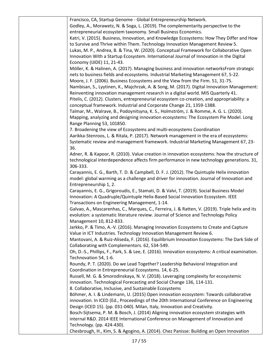| Francisco, CA, Startup Genome - Global Entrepreneurship Network.                                   |
|----------------------------------------------------------------------------------------------------|
| Godley, A., Morawetz, N. & Soga, L. (2019). The complementarity perspective to the                 |
| entrepreneurial ecosystem taxonomy. Small Business Economics.                                      |
| Katri, V. (2015). Business, Innovation, and Knowledge Ecosystems: How They Differ and How          |
|                                                                                                    |
| to Survive and Thrive within Them. Technology Innovation Management Review 5.                      |
| Lukas, M. P., Andrea, B. & Tina, W. (2020). Conceptual Framework for Collaborative Open            |
| Innovation With a Startup Ecosystem. International Journal of Innovation in the Digital            |
| Economy (IJIDE) 11, 21-43.                                                                         |
| Möller, K. & Halinen, A. (2017). Managing business and innovation networksFrom strategic           |
| nets to business fields and ecosystems. Industrial Marketing Management 67, 5-22.                  |
| Moore, J. F. (2006). Business Ecosystems and the View from the Firm. 51, 31-75.                    |
| Nambisan, S., Lyytinen, K., Majchrzak, A. & Song, M. (2017). Digital Innovation Management:        |
| Reinventing innovation management research in a digital world. MIS Quarterly 41.                   |
| Pitelis, C. (2012). Clusters, entrepreneurial ecosystem co-creation, and appropriability: a        |
| conceptual framework. Industrial and Corporate Change 21, 1359-1388.                               |
| Talmar, M., Walrave, B., Podoynitsyna, K. S., Holmström, J. & Romme, A. G. L. (2020).              |
| Mapping, analyzing and designing innovation ecosystems: The Ecosystem Pie Model. Long              |
| Range Planning 53, 101850.                                                                         |
| 7. Broadening the view of Ecosystems and multi-ecosystems Coordination                             |
| Aarikka-Stenroos, L. & Ritala, P. (2017). Network management in the era of ecosystems:             |
| Systematic review and management framework. Industrial Marketing Management 67, 23-                |
| 36.                                                                                                |
| Adner, R. & Kapoor, R. (2010). Value creation in innovation ecosystems: how the structure of       |
| technological interdependence affects firm performance in new technology generations. 31,          |
| 306-333.                                                                                           |
| Carayannis, E. G., Barth, T. D. & Campbell, D. F. J. (2012). The Quintuple Helix innovation        |
| model: global warming as a challenge and driver for innovation. Journal of Innovation and          |
|                                                                                                    |
| Entrepreneurship 1, 2.                                                                             |
| Carayannis, E. G., Grigoroudis, E., Stamati, D. & Valvi, T. (2019). Social Business Model          |
| Innovation: A Quadruple/Quintuple Helix-Based Social Innovation Ecosystem. IEEE                    |
| Transactions on Engineering Management, 1-14.                                                      |
| Galvao, A., Mascarenhas, C., Marques, C., Ferreira, J. & Ratten, V. (2019). Triple helix and its   |
| evolution: a systematic literature review. Journal of Science and Technology Policy                |
| Management 10, 812-833.                                                                            |
| Jarkko, P. & Timo, A.-V. (2016). Managing Innovation Ecosystems to Create and Capture              |
| Value in ICT Industries. Technology Innovation Management Review 6.                                |
| Mantovani, A. & Ruiz-Aliseda, F. (2016). Equilibrium Innovation Ecosystems: The Dark Side of       |
| Collaborating with Complementors. 62, 534-549.                                                     |
| Oh, D.-S., Phillips, F., Park, S. & Lee, E. (2016). Innovation ecosystems: A critical examination. |
| Technovation 54, 1-6.                                                                              |
| Roundy, P. T. (2020). Do we Lead Together? Leadership Behavioral Integration and                   |
| Coordination in Entrepreneurial Ecosystems. 14, 6-25.                                              |
| Russell, M. G. & Smorodinskaya, N. V. (2018). Leveraging complexity for ecosystemic                |
| innovation. Technological Forecasting and Social Change 136, 114-131.                              |
| 8. Collaborative, Inclusive, and Sustainable Ecosystems                                            |
| Böhmer, A. I. & Lindemann, U. (2015) Open innovation ecosystem: Towards collaborative              |
| innovation. In ICED (Ed., Proceedings of the 20th International Conference on Engineering          |
| Design (ICED 15). (pp. 031-040). Milan, Italy, Innovation and Creativity.                          |
| Bosch-Sijtsema, P. M. & Bosch, J. (2014) Aligning innovation ecosystem strategies with             |
| internal R&D. 2014 IEEE International Conference on Management of Innovation and                   |
| Technology. (pp. 424-430).                                                                         |
| Chesbrough, H., Kim, S. & Agogino, A. (2014). Chez Panisse: Building an Open Innovation            |
|                                                                                                    |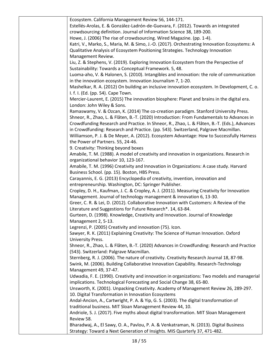| Ecosystem. California Management Review 56, 144-171.                                         |
|----------------------------------------------------------------------------------------------|
| Estellés-Arolas, E. & González-Ladrón-de-Guevara, F. (2012). Towards an integrated           |
| crowdsourcing definition. Journal of Information Science 38, 189-200.                        |
| Howe, J. (2006) The rise of crowdsourcing. Wired Magazine. (pp. 1-4).                        |
| Katri, V., Marko, S., Maria, M. & Simo, J.-O. (2017). Orchestrating Innovation Ecosystems: A |
| Qualitative Analysis of Ecosystem Positioning Strategies. Technology Innovation              |
|                                                                                              |
| Management Review.                                                                           |
| Liu, Z. & Stephens, V. (2019). Exploring Innovation Ecosystem from the Perspective of        |
| Sustainability: Towards a Conceptual Framework. 5, 48.                                       |
| Luoma-aho, V. & Halonen, S. (2010). Intangibles and innovation: the role of communication    |
| in the innovation ecosystem. Innovation Journalism 7, 1-20.                                  |
| Mashelkar, R. A. (2012) On building an inclusive innovation ecosystem. In Development, C. o. |
| I. f. I. (Ed. (pp. 54). Cape Town.                                                           |
| Mercier-Laurent, E. (2015) The innovation biosphere: Planet and brains in the digital era.   |
| London: John Wiley & Sons.                                                                   |
| Ramaswamy, V. & Ozcan, K. (2014) The co-creation paradigm. Stanford University Press.        |
| Shneor, R., Zhao, L. & Flåten, B.-T. (2020) Introduction: From Fundamentals to Advances in   |
| Crowdfunding Research and Practice. In Shneor, R., Zhao, L. & Flåten, B.-T. (Eds.), Advances |
| in Crowdfunding: Research and Practice. (pp. 543). Switzerland, Palgrave Macmillan.          |
| Williamson, P. J. & De Meyer, A. (2012). Ecosystem Advantage: How to Successfully Harness    |
| the Power of Partners. 55, 24-46.                                                            |
| 9. Creativity: Thinking beyond boxes                                                         |
| Amabile, T. M. (1988). A model of creativity and innovation in organizations. Research in    |
| organizational behavior 10, 123-167.                                                         |
| Amabile, T. M. (1996) Creativity and Innovation in Organizations: A case study. Harvard      |
| Business School. (pp. 15). Boston, HBS Press.                                                |
| Carayannis, E. G. (2013) Encyclopedia of creativity, invention, innovation and               |
| entrepreneurship. Washington, DC: Springer Publisher.                                        |
| Cropley, D. H., Kaufman, J. C. & Cropley, A. J. (2011). Measuring Creativity for Innovation  |
| Management. Journal of technology management & innovation 6, 13-30.                          |
| Greer, C. R. & Lei, D. (2012). Collaborative Innovation with Customers: A Review of the      |
| Literature and Suggestions for Future Research*. 14, 63-84.                                  |
| Gurteen, D. (1998). Knowledge, Creativity and Innovation. Journal of Knowledge               |
| Management 2, 5-13.                                                                          |
| Legrenzi, P. (2005) Creativity and innovation (75). Icon.                                    |
| Sawyer, R. K. (2011) Explaining Creativity: The Science of Human Innovation. Oxford          |
| University Press.                                                                            |
| Shneor, R., Zhao, L. & Flåten, B.-T. (2020) Advances in Crowdfunding: Research and Practice  |
| (543). Switzerland: Palgrave Macmillan.                                                      |
| Sternberg, R. J. (2006). The nature of creativity. Creativity Research Journal 18, 87-98.    |
| Swink, M. (2006). Building Collaborative Innovation Capability. Research-Technology          |
| Management 49, 37-47.                                                                        |
| Udwadia, F. E. (1990). Creativity and innovation in organizations: Two models and managerial |
| implications. Technological Forecasting and Social Change 38, 65-80.                         |
| Unsworth, K. (2001). Unpacking Creativity. Academy of Management Review 26, 289-297.         |
| 10. Digital Transformation in Innovation Ecosystems                                          |
| Andal-Ancion, A., Cartwright, P. A. & Yip, G. S. (2003). The digital transformation of       |
| traditional business. MIT Sloan Management Review 44, 10.                                    |
| Andriole, S. J. (2017). Five myths about digital transformation. MIT Sloan Management        |
| Review 58.                                                                                   |
| Bharadwaj, A., El Sawy, O. A., Pavlou, P. A. & Venkatraman, N. (2013). Digital Business      |
| Strategy: Toward a Next Generation of Insights. MIS Quarterly 37, 471-482.                   |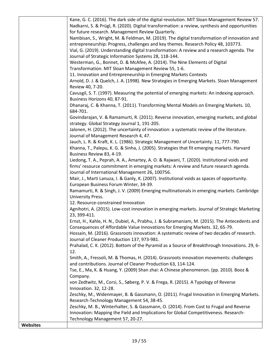|          | Kane, G. C. (2016). The dark side of the digital revolution. MIT Sloan Management Review 57.   |
|----------|------------------------------------------------------------------------------------------------|
|          | Nadkarni, S. & Prügl, R. (2020). Digital transformation: a review, synthesis and opportunities |
|          |                                                                                                |
|          | for future research. Management Review Quarterly.                                              |
|          | Nambisan, S., Wright, M. & Feldman, M. (2019). The digital transformation of innovation and    |
|          | entrepreneurship: Progress, challenges and key themes. Research Policy 48, 103773.             |
|          | Vial, G. (2019). Understanding digital transformation: A review and a research agenda. The     |
|          | Journal of Strategic Information Systems 28, 118-144.                                          |
|          | Westerman, G., Bonnet, D. & McAfee, A. (2014). The Nine Elements of Digital                    |
|          | Transformation. MIT Sloan Management Review 55, 1-6.                                           |
|          | 11. Innovation and Entrepreneurship in Emerging Markets Contexts                               |
|          | Arnold, D. J. & Quelch, J. A. (1998). New Strategies in Emerging Markets. Sloan Management     |
|          | Review 40, 7-20.                                                                               |
|          |                                                                                                |
|          | Cavusgil, S. T. (1997). Measuring the potential of emerging markets: An indexing approach.     |
|          | Business Horizons 40, 87-91.                                                                   |
|          | Dhanaraj, C. & Khanna, T. (2011). Transforming Mental Models on Emerging Markets. 10,          |
|          | 684-701.                                                                                       |
|          | Govindarajan, V. & Ramamurti, R. (2011). Reverse innovation, emerging markets, and global      |
|          | strategy. Global Strategy Journal 1, 191-205.                                                  |
|          | Jalonen, H. (2012). The uncertainty of innovation: a systematic review of the literature.      |
|          | Journal of Management Research 4, 47.                                                          |
|          | Jauch, L. R. & Kraft, K. L. (1986). Strategic Management of Uncertainty. 11, 777-790.          |
|          | Khanna, T., Palepu, K. G. & Sinha, J. (2005). Strategies that fit emerging markets. Harvard    |
|          |                                                                                                |
|          | Business Review 83, 4-19.                                                                      |
|          | Liedong, T. A., Peprah, A. A., Amartey, A. O. & Rajwani, T. (2020). Institutional voids and    |
|          | firms' resource commitment in emerging markets: A review and future research agenda.           |
|          | Journal of International Management 26, 100756.                                                |
|          | Mair, J., Marti Lanuza, I. & Ganly, K. (2007). Institutional voids as spaces of opportunity.   |
|          | European Business Forum Winter, 34-39.                                                         |
|          | Ramamurti, R. & Singh, J. V. (2009) Emerging multinationals in emerging markets. Cambridge     |
|          | University Press.                                                                              |
|          | 12. Resource-constrained Innovation                                                            |
|          | Agnihotri, A. (2015). Low-cost innovation in emerging markets. Journal of Strategic Marketing  |
|          | 23, 399-411.                                                                                   |
|          | Ernst, H., Kahle, H. N., Dubiel, A., Prabhu, J. & Subramaniam, M. (2015). The Antecedents and  |
|          |                                                                                                |
|          | Consequences of Affordable Value Innovations for Emerging Markets. 32, 65-79.                  |
|          | Hossain, M. (2016). Grassroots innovation: A systematic review of two decades of research.     |
|          | Journal of Cleaner Production 137, 973-981.                                                    |
|          | Prahalad, C. K. (2012). Bottom of the Pyramid as a Source of Breakthrough Innovations. 29, 6-  |
|          | 12.                                                                                            |
|          | Smith, A., Fressoli, M. & Thomas, H. (2014). Grassroots innovation movements: challenges       |
|          | and contributions. Journal of Cleaner Production 63, 114-124.                                  |
|          | Tse, E., Ma, K. & Huang, Y. (2009) Shan zhai: A Chinese phenomenon. (pp. 2010). Booz &         |
|          | Company.                                                                                       |
|          | von Zedtwitz, M., Corsi, S., Søberg, P. V. & Frega, R. (2015). A Typology of Reverse           |
|          | Innovation. 32, 12-28.                                                                         |
|          | Zeschky, M., Widenmayer, B. & Gassmann, O. (2011). Frugal Innovation in Emerging Markets.      |
|          |                                                                                                |
|          | Research-Technology Management 54, 38-45.                                                      |
|          | Zeschky, M. B., Winterhalter, S. & Gassmann, O. (2014). From Cost to Frugal and Reverse        |
|          | Innovation: Mapping the Field and Implications for Global Competitiveness. Research-           |
|          | Technology Management 57, 20-27.                                                               |
| Websites |                                                                                                |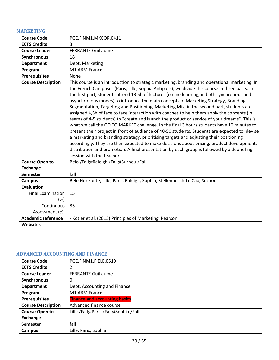# <span id="page-19-0"></span>**MARKETING**

| <b>Course Code</b>        | PGE.FINM1.MKCOR.0411                                                                                                                                                                                                                                                                                                                                                                                                                                                                                                                                                                                                                                                                                                                                                                                                                                                                                                                                                                                                                                                                                                                                                                             |
|---------------------------|--------------------------------------------------------------------------------------------------------------------------------------------------------------------------------------------------------------------------------------------------------------------------------------------------------------------------------------------------------------------------------------------------------------------------------------------------------------------------------------------------------------------------------------------------------------------------------------------------------------------------------------------------------------------------------------------------------------------------------------------------------------------------------------------------------------------------------------------------------------------------------------------------------------------------------------------------------------------------------------------------------------------------------------------------------------------------------------------------------------------------------------------------------------------------------------------------|
| <b>ECTS Credits</b>       | 3                                                                                                                                                                                                                                                                                                                                                                                                                                                                                                                                                                                                                                                                                                                                                                                                                                                                                                                                                                                                                                                                                                                                                                                                |
| <b>Course Leader</b>      | <b>FERRANTE Guillaume</b>                                                                                                                                                                                                                                                                                                                                                                                                                                                                                                                                                                                                                                                                                                                                                                                                                                                                                                                                                                                                                                                                                                                                                                        |
| Synchronous               | 18                                                                                                                                                                                                                                                                                                                                                                                                                                                                                                                                                                                                                                                                                                                                                                                                                                                                                                                                                                                                                                                                                                                                                                                               |
| <b>Department</b>         | Dept. Marketing                                                                                                                                                                                                                                                                                                                                                                                                                                                                                                                                                                                                                                                                                                                                                                                                                                                                                                                                                                                                                                                                                                                                                                                  |
| Program                   | M1 ABM France                                                                                                                                                                                                                                                                                                                                                                                                                                                                                                                                                                                                                                                                                                                                                                                                                                                                                                                                                                                                                                                                                                                                                                                    |
| <b>Prerequisites</b>      | None                                                                                                                                                                                                                                                                                                                                                                                                                                                                                                                                                                                                                                                                                                                                                                                                                                                                                                                                                                                                                                                                                                                                                                                             |
| <b>Course Description</b> | This course is an introduction to strategic marketing, branding and operational marketing. In<br>the French Campuses (Paris, Lille, Sophia Antipolis), we divide this course in three parts: in<br>the first part, students attend 13.5h of lectures (online learning, in both synchronous and<br>asynchronous modes) to introduce the main concepts of Marketing Strategy, Branding,<br>Segmentation, Targeting and Positioning, Marketing Mix; in the second part, students are<br>assigned 4,5h of face to face interaction with coaches to help them apply the concepts (in<br>teams of 4-5 students) to "create and launch the product or service of your dreams". This is<br>what we call the GO TO MARKET challenge. In the final 3 hours students have 10 minutes to<br>present their project in front of audience of 40-50 students. Students are expected to devise<br>a marketing and branding strategy, prioritising targets and adjusting their positioning<br>accordingly. They are then expected to make decisions about pricing, product development,<br>distribution and promotion. A final presentation by each group is followed by a debriefing<br>session with the teacher. |
| <b>Course Open to</b>     | Belo /Fall;#Raleigh /Fall;#Suzhou /Fall                                                                                                                                                                                                                                                                                                                                                                                                                                                                                                                                                                                                                                                                                                                                                                                                                                                                                                                                                                                                                                                                                                                                                          |
| <b>Exchange</b>           |                                                                                                                                                                                                                                                                                                                                                                                                                                                                                                                                                                                                                                                                                                                                                                                                                                                                                                                                                                                                                                                                                                                                                                                                  |
| <b>Semester</b>           | fall                                                                                                                                                                                                                                                                                                                                                                                                                                                                                                                                                                                                                                                                                                                                                                                                                                                                                                                                                                                                                                                                                                                                                                                             |
| <b>Campus</b>             | Belo Horizonte, Lille, Paris, Raleigh, Sophia, Stellenbosch-Le Cap, Suzhou                                                                                                                                                                                                                                                                                                                                                                                                                                                                                                                                                                                                                                                                                                                                                                                                                                                                                                                                                                                                                                                                                                                       |
| <b>Evaluation</b>         |                                                                                                                                                                                                                                                                                                                                                                                                                                                                                                                                                                                                                                                                                                                                                                                                                                                                                                                                                                                                                                                                                                                                                                                                  |
| <b>Final Examination</b>  | 15                                                                                                                                                                                                                                                                                                                                                                                                                                                                                                                                                                                                                                                                                                                                                                                                                                                                                                                                                                                                                                                                                                                                                                                               |
| $(\%)$                    |                                                                                                                                                                                                                                                                                                                                                                                                                                                                                                                                                                                                                                                                                                                                                                                                                                                                                                                                                                                                                                                                                                                                                                                                  |
| Continuous                | 85                                                                                                                                                                                                                                                                                                                                                                                                                                                                                                                                                                                                                                                                                                                                                                                                                                                                                                                                                                                                                                                                                                                                                                                               |
| Assessment (%)            |                                                                                                                                                                                                                                                                                                                                                                                                                                                                                                                                                                                                                                                                                                                                                                                                                                                                                                                                                                                                                                                                                                                                                                                                  |
| <b>Academic reference</b> | - Kotler et al. (2015) Principles of Marketing. Pearson.                                                                                                                                                                                                                                                                                                                                                                                                                                                                                                                                                                                                                                                                                                                                                                                                                                                                                                                                                                                                                                                                                                                                         |
| <b>Websites</b>           |                                                                                                                                                                                                                                                                                                                                                                                                                                                                                                                                                                                                                                                                                                                                                                                                                                                                                                                                                                                                                                                                                                                                                                                                  |

#### <span id="page-19-1"></span>**ADVANCED ACCOUNTING AND FINANCE**

| <b>Course Code</b>        | PGE.FINM1.FIELE.0519                   |
|---------------------------|----------------------------------------|
| <b>ECTS Credits</b>       | 2                                      |
| <b>Course Leader</b>      | <b>FERRANTE Guillaume</b>              |
| Synchronous               | 0                                      |
| <b>Department</b>         | Dept. Accounting and Finance           |
| Program                   | M1 ABM France                          |
| <b>Prerequisites</b>      | <b>Finance and accounting basics</b>   |
| <b>Course Description</b> | Advanced finance course                |
| <b>Course Open to</b>     | Lille /Fall;#Paris /Fall;#Sophia /Fall |
| <b>Exchange</b>           |                                        |
| <b>Semester</b>           | fall                                   |
| Campus                    | Lille, Paris, Sophia                   |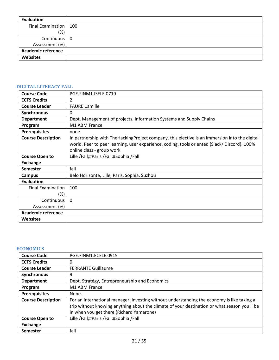| Evaluation                |  |
|---------------------------|--|
| Final Examination   100   |  |
| (%)                       |  |
| Continuous 0              |  |
| Assessment (%)            |  |
| <b>Academic reference</b> |  |
| <b>Websites</b>           |  |

# <span id="page-20-0"></span>**DIGITAL LITERACY FALL**

| <b>Course Code</b>        | PGE.FINM1.ISELE.0719                                                                          |
|---------------------------|-----------------------------------------------------------------------------------------------|
| <b>ECTS Credits</b>       | $\mathcal{P}$                                                                                 |
| <b>Course Leader</b>      | <b>FAURE Camille</b>                                                                          |
| <b>Synchronous</b>        | 0                                                                                             |
| <b>Department</b>         | Dept. Management of projects, Information Systems and Supply Chains                           |
| Program                   | M1 ABM France                                                                                 |
| <b>Prerequisites</b>      | none                                                                                          |
| <b>Course Description</b> | In partnership with TheHackingProject company, this elective is an immersion into the digital |
|                           | world. Peer to peer learning, user experience, coding, tools oriented (Slack/Discord). 100%   |
|                           | online class - group work                                                                     |
| <b>Course Open to</b>     | Lille /Fall;#Paris /Fall;#Sophia /Fall                                                        |
| <b>Exchange</b>           |                                                                                               |
| <b>Semester</b>           | fall                                                                                          |
| <b>Campus</b>             | Belo Horizonte, Lille, Paris, Sophia, Suzhou                                                  |
| <b>Evaluation</b>         |                                                                                               |
| <b>Final Examination</b>  | 100                                                                                           |
| (%)                       |                                                                                               |
| Continuous                | $\Omega$                                                                                      |
| Assessment (%)            |                                                                                               |
| <b>Academic reference</b> |                                                                                               |
| <b>Websites</b>           |                                                                                               |

# <span id="page-20-1"></span>**ECONOMICS**

| <b>Course Code</b>        | PGE.FINM1.ECELE.0915                                                                         |
|---------------------------|----------------------------------------------------------------------------------------------|
| <b>ECTS Credits</b>       | 0                                                                                            |
| <b>Course Leader</b>      | <b>FERRANTE Guillaume</b>                                                                    |
| <b>Synchronous</b>        | 9                                                                                            |
| <b>Department</b>         | Dept. Stratégy, Entrepreneurship and Economics                                               |
| Program                   | M1 ABM France                                                                                |
| <b>Prerequisites</b>      | None.                                                                                        |
| <b>Course Description</b> | For an international manager, investing without understanding the economy is like taking a   |
|                           | trip without knowing anything about the climate of your destination or what season you II be |
|                           | in when you get there (Richard Yamarone)                                                     |
| <b>Course Open to</b>     | Lille /Fall;#Paris /Fall;#Sophia /Fall                                                       |
| <b>Exchange</b>           |                                                                                              |
| <b>Semester</b>           | fall                                                                                         |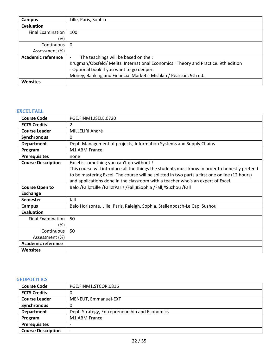| <b>Campus</b>             | Lille, Paris, Sophia                                                              |
|---------------------------|-----------------------------------------------------------------------------------|
| Evaluation                |                                                                                   |
| <b>Final Examination</b>  | 100                                                                               |
| $(\%)$                    |                                                                                   |
| Continuous I              | 0                                                                                 |
| Assessment (%)            |                                                                                   |
| <b>Academic reference</b> | The teachings will be based on the :                                              |
|                           | Krugman/Obsfeld/ Melitz International Economics: Theory and Practice. 9th edition |
|                           | - Optional book if you want to go deeper:                                         |
|                           | Money, Banking and Financial Markets; Mishkin / Pearson, 9th ed.                  |
| <b>Websites</b>           |                                                                                   |

## <span id="page-21-0"></span>**EXCEL FALL**

| <b>Course Code</b>        | PGE.FINM1.ISELE.0720                                                                          |
|---------------------------|-----------------------------------------------------------------------------------------------|
| <b>ECTS Credits</b>       | 2                                                                                             |
| <b>Course Leader</b>      | MILLELIRI André                                                                               |
| Synchronous               | 0                                                                                             |
| <b>Department</b>         | Dept. Management of projects, Information Systems and Supply Chains                           |
| Program                   | M1 ABM France                                                                                 |
| <b>Prerequisites</b>      | none                                                                                          |
| <b>Course Description</b> | Excel is something you can't do without !                                                     |
|                           | This course will introduce all the things the students must know in order to honestly pretend |
|                           | to be mastering Excel. The course will be splitted in two parts a first one online (12 hours) |
|                           | and applications done in the classroom with a teacher who's an expert of Excel.               |
| <b>Course Open to</b>     | Belo /Fall;#Lille /Fall;#Paris /Fall;#Sophia /Fall;#Suzhou /Fall                              |
| <b>Exchange</b>           |                                                                                               |
| <b>Semester</b>           | fall                                                                                          |
| <b>Campus</b>             | Belo Horizonte, Lille, Paris, Raleigh, Sophia, Stellenbosch-Le Cap, Suzhou                    |
| <b>Evaluation</b>         |                                                                                               |
| <b>Final Examination</b>  | 50                                                                                            |
| (%)                       |                                                                                               |
| Continuous                | 50                                                                                            |
| Assessment (%)            |                                                                                               |
| <b>Academic reference</b> |                                                                                               |
| Websites                  |                                                                                               |

# <span id="page-21-1"></span>**GEOPOLITICS**

| <b>Course Code</b>        | PGE.FINM1.STCOR.0816                           |
|---------------------------|------------------------------------------------|
| <b>ECTS Credits</b>       | O                                              |
| <b>Course Leader</b>      | MENEUT, Emmanuel-EXT                           |
| Synchronous               | O                                              |
| <b>Department</b>         | Dept. Stratégy, Entrepreneurship and Economics |
| Program                   | M1 ABM France                                  |
| <b>Prerequisites</b>      | $\overline{\phantom{0}}$                       |
| <b>Course Description</b> | $\overline{\phantom{0}}$                       |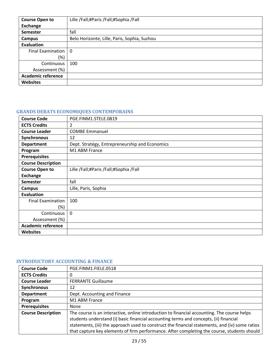| <b>Course Open to</b>     | Lille /Fall;#Paris /Fall;#Sophia /Fall       |
|---------------------------|----------------------------------------------|
| Exchange                  |                                              |
| Semester                  | fall                                         |
| Campus                    | Belo Horizonte, Lille, Paris, Sophia, Suzhou |
| Evaluation                |                                              |
| Final Examination         | $\Omega$                                     |
| (%)                       |                                              |
| Continuous                | 100                                          |
| Assessment (%)            |                                              |
| <b>Academic reference</b> |                                              |
| <b>Websites</b>           |                                              |

# <span id="page-22-0"></span>**GRANDS DEBATS ECONOMIQUES CONTEMPORAINS**

| <b>Course Code</b>        | PGE.FINM1.STELE.0819                           |
|---------------------------|------------------------------------------------|
| <b>ECTS Credits</b>       | 2                                              |
| <b>Course Leader</b>      | <b>COMBE Emmanuel</b>                          |
| Synchronous               | 12                                             |
| <b>Department</b>         | Dept. Stratégy, Entrepreneurship and Economics |
| Program                   | M1 ABM France                                  |
| <b>Prerequisites</b>      |                                                |
| <b>Course Description</b> |                                                |
| <b>Course Open to</b>     | Lille /Fall;#Paris /Fall;#Sophia /Fall         |
| <b>Exchange</b>           |                                                |
| <b>Semester</b>           | fall                                           |
| Campus                    | Lille, Paris, Sophia                           |
| <b>Evaluation</b>         |                                                |
| <b>Final Examination</b>  | 100                                            |
| $(\%)$                    |                                                |
| Continuous                | $\Omega$                                       |
| Assessment (%)            |                                                |
| <b>Academic reference</b> |                                                |
| <b>Websites</b>           |                                                |

# <span id="page-22-1"></span>**INTRODUCTORY ACCOUNTING & FINANCE**

| <b>Course Code</b>        | PGE.FINM1.FIELE.0518                                                                                                                                                                                                                                                                                                                                                                   |
|---------------------------|----------------------------------------------------------------------------------------------------------------------------------------------------------------------------------------------------------------------------------------------------------------------------------------------------------------------------------------------------------------------------------------|
| <b>ECTS Credits</b>       | 0                                                                                                                                                                                                                                                                                                                                                                                      |
| <b>Course Leader</b>      | <b>FERRANTE Guillaume</b>                                                                                                                                                                                                                                                                                                                                                              |
| Synchronous               | 12                                                                                                                                                                                                                                                                                                                                                                                     |
| <b>Department</b>         | Dept. Accounting and Finance                                                                                                                                                                                                                                                                                                                                                           |
| Program                   | M1 ABM France                                                                                                                                                                                                                                                                                                                                                                          |
| <b>Prerequisites</b>      | None                                                                                                                                                                                                                                                                                                                                                                                   |
| <b>Course Description</b> | The course is an interactive, online introduction to financial accounting. The course helps<br>students understand (i) basic financial accounting terms and concepts, (ii) financial<br>statements, (iii) the approach used to construct the financial statements, and (iv) some ratios<br>that capture key elements of firm performance. After completing the course, students should |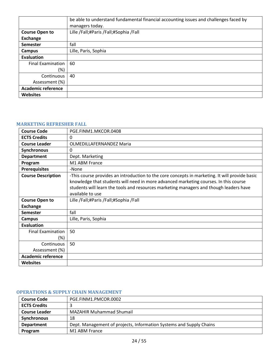|                           | be able to understand fundamental financial accounting issues and challenges faced by<br>managers today. |
|---------------------------|----------------------------------------------------------------------------------------------------------|
|                           |                                                                                                          |
| <b>Course Open to</b>     | Lille /Fall;#Paris /Fall;#Sophia /Fall                                                                   |
| <b>Exchange</b>           |                                                                                                          |
| Semester                  | fall                                                                                                     |
| <b>Campus</b>             | Lille, Paris, Sophia                                                                                     |
| <b>Evaluation</b>         |                                                                                                          |
| <b>Final Examination</b>  | 60                                                                                                       |
| (%)                       |                                                                                                          |
| Continuous                | 40                                                                                                       |
| Assessment (%)            |                                                                                                          |
| <b>Academic reference</b> |                                                                                                          |
| <b>Websites</b>           |                                                                                                          |

#### <span id="page-23-0"></span>**MARKETING REFRESHER FALL**

| <b>Course Code</b>                 | PGE.FINM1.MKCOR.0408                                                                                                                                                                                                                                                                                 |
|------------------------------------|------------------------------------------------------------------------------------------------------------------------------------------------------------------------------------------------------------------------------------------------------------------------------------------------------|
| <b>ECTS Credits</b>                | 0                                                                                                                                                                                                                                                                                                    |
| <b>Course Leader</b>               | <b>OLMEDILLAFERNANDEZ Maria</b>                                                                                                                                                                                                                                                                      |
| Synchronous                        | 0                                                                                                                                                                                                                                                                                                    |
| <b>Department</b>                  | Dept. Marketing                                                                                                                                                                                                                                                                                      |
| Program                            | M1 ABM France                                                                                                                                                                                                                                                                                        |
| <b>Prerequisites</b>               | -None                                                                                                                                                                                                                                                                                                |
| <b>Course Description</b>          | -This course provides an introduction to the core concepts in marketing. It will provide basic<br>knowledge that students will need in more advanced marketing courses. In this course<br>students will learn the tools and resources marketing managers and though leaders have<br>available to use |
| <b>Course Open to</b>              | Lille /Fall;#Paris /Fall;#Sophia /Fall                                                                                                                                                                                                                                                               |
| <b>Exchange</b>                    |                                                                                                                                                                                                                                                                                                      |
| Semester                           | fall                                                                                                                                                                                                                                                                                                 |
| <b>Campus</b>                      | Lille, Paris, Sophia                                                                                                                                                                                                                                                                                 |
| <b>Evaluation</b>                  |                                                                                                                                                                                                                                                                                                      |
| <b>Final Examination</b><br>$(\%)$ | 50                                                                                                                                                                                                                                                                                                   |
| Continuous                         | 50                                                                                                                                                                                                                                                                                                   |
| Assessment (%)                     |                                                                                                                                                                                                                                                                                                      |
| <b>Academic reference</b>          |                                                                                                                                                                                                                                                                                                      |
| <b>Websites</b>                    |                                                                                                                                                                                                                                                                                                      |

#### <span id="page-23-1"></span>**OPERATIONS & SUPPLY CHAIN MANAGEMENT**

| <b>Course Code</b>   | PGE.FINM1.PMCOR.0002                                                |
|----------------------|---------------------------------------------------------------------|
| <b>ECTS Credits</b>  |                                                                     |
| <b>Course Leader</b> | <b>MAZAHIR Muhammad Shumail</b>                                     |
| <b>Synchronous</b>   | 18                                                                  |
| <b>Department</b>    | Dept. Management of projects, Information Systems and Supply Chains |
| Program              | M1 ABM France                                                       |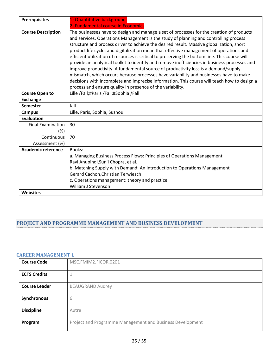| <b>Prerequisites</b>      | 1) Quantitative background.<br>2) Fundamental course in Economics                                                                                                                                                                                                                                                                                                                                                                                                                                                                                                                                                                                                                                                                                                                                                                                                                                                      |
|---------------------------|------------------------------------------------------------------------------------------------------------------------------------------------------------------------------------------------------------------------------------------------------------------------------------------------------------------------------------------------------------------------------------------------------------------------------------------------------------------------------------------------------------------------------------------------------------------------------------------------------------------------------------------------------------------------------------------------------------------------------------------------------------------------------------------------------------------------------------------------------------------------------------------------------------------------|
| <b>Course Description</b> | The businesses have to design and manage a set of processes for the creation of products<br>and services. Operations Management is the study of planning and controlling process<br>structure and process driver to achieve the desired result. Massive globalization, short<br>product life cycle, and digitalization mean that effective management of operations and<br>efficient utilization of resources is critical to preserving the bottom line. This course will<br>provide an analytical toolkit to identify and remove inefficiencies in business processes and<br>improve productivity. A fundamental source of productivity loss is a demand/supply<br>mismatch, which occurs because processes have variability and businesses have to make<br>decisions with incomplete and imprecise information. This course will teach how to design a<br>process and ensure quality in presence of the variability. |
| <b>Course Open to</b>     | Lille /Fall;#Paris /Fall;#Sophia /Fall                                                                                                                                                                                                                                                                                                                                                                                                                                                                                                                                                                                                                                                                                                                                                                                                                                                                                 |
| <b>Exchange</b>           |                                                                                                                                                                                                                                                                                                                                                                                                                                                                                                                                                                                                                                                                                                                                                                                                                                                                                                                        |
| <b>Semester</b>           | fall                                                                                                                                                                                                                                                                                                                                                                                                                                                                                                                                                                                                                                                                                                                                                                                                                                                                                                                   |
| <b>Campus</b>             | Lille, Paris, Sophia, Suzhou                                                                                                                                                                                                                                                                                                                                                                                                                                                                                                                                                                                                                                                                                                                                                                                                                                                                                           |
| <b>Evaluation</b>         |                                                                                                                                                                                                                                                                                                                                                                                                                                                                                                                                                                                                                                                                                                                                                                                                                                                                                                                        |
| <b>Final Examination</b>  | 30                                                                                                                                                                                                                                                                                                                                                                                                                                                                                                                                                                                                                                                                                                                                                                                                                                                                                                                     |
| (%)                       |                                                                                                                                                                                                                                                                                                                                                                                                                                                                                                                                                                                                                                                                                                                                                                                                                                                                                                                        |
| Continuous                | 70                                                                                                                                                                                                                                                                                                                                                                                                                                                                                                                                                                                                                                                                                                                                                                                                                                                                                                                     |
| Assessment (%)            |                                                                                                                                                                                                                                                                                                                                                                                                                                                                                                                                                                                                                                                                                                                                                                                                                                                                                                                        |
| <b>Academic reference</b> | Books:                                                                                                                                                                                                                                                                                                                                                                                                                                                                                                                                                                                                                                                                                                                                                                                                                                                                                                                 |
|                           | a. Managing Business Process Flows: Principles of Operations Management                                                                                                                                                                                                                                                                                                                                                                                                                                                                                                                                                                                                                                                                                                                                                                                                                                                |
|                           | Ravi Anupindi, Sunil Chopra, et al.                                                                                                                                                                                                                                                                                                                                                                                                                                                                                                                                                                                                                                                                                                                                                                                                                                                                                    |
|                           | b. Matching Supply with Demand: An Introduction to Operations Management                                                                                                                                                                                                                                                                                                                                                                                                                                                                                                                                                                                                                                                                                                                                                                                                                                               |
|                           | Gerard Cachon, Christian Terwiesch                                                                                                                                                                                                                                                                                                                                                                                                                                                                                                                                                                                                                                                                                                                                                                                                                                                                                     |
|                           | c. Operations management: theory and practice                                                                                                                                                                                                                                                                                                                                                                                                                                                                                                                                                                                                                                                                                                                                                                                                                                                                          |
|                           | <b>William J Stevenson</b>                                                                                                                                                                                                                                                                                                                                                                                                                                                                                                                                                                                                                                                                                                                                                                                                                                                                                             |
| <b>Websites</b>           |                                                                                                                                                                                                                                                                                                                                                                                                                                                                                                                                                                                                                                                                                                                                                                                                                                                                                                                        |

# <span id="page-24-0"></span>**PROJECT AND PROGRAMME MANAGEMENT AND BUSINESS DEVELOPMENT**

#### <span id="page-24-1"></span>**CAREER MANAGEMENT 1**

| <b>Course Code</b>   | MSC.FMIM2.FICOR.0201                                      |
|----------------------|-----------------------------------------------------------|
| <b>ECTS Credits</b>  |                                                           |
| <b>Course Leader</b> | <b>BEAUGRAND Audrey</b>                                   |
| Synchronous          | 6                                                         |
| <b>Discipline</b>    | Autre                                                     |
| Program              | Project and Programme Management and Business Development |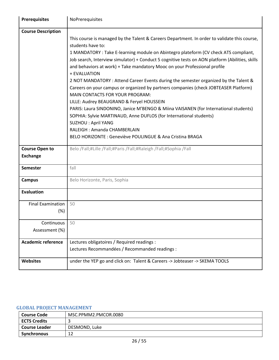| <b>Prerequisites</b>               | NoPrerequisites                                                                                                                                                                                                                                                                      |
|------------------------------------|--------------------------------------------------------------------------------------------------------------------------------------------------------------------------------------------------------------------------------------------------------------------------------------|
| <b>Course Description</b>          |                                                                                                                                                                                                                                                                                      |
|                                    | This course is managed by the Talent & Careers Department. In order to validate this course,<br>students have to:                                                                                                                                                                    |
|                                    | 1 MANDATORY : Take E-learning module on Abintegro plateform (CV check ATS compliant,<br>Job search, Interview simulator) + Conduct 5 cognitive tests on AON platform (Abilities, skills<br>and behaviors at work) + Take mandatory Mooc on your Professional profile<br>+ EVALUATION |
|                                    | 2 NOT MANDATORY: Attend Career Events during the semester organized by the Talent &<br>Careers on your campus or organized by partners companies (check JOBTEASER Platform)<br>MAIN CONTACTS FOR YOUR PROGRAM:                                                                       |
|                                    | LILLE: Audrey BEAUGRAND & Feryel HOUSSEIN<br>PARIS: Laura SINDONINO, Janice M'BENGO & Miina VAISANEN (for International students)<br>SOPHIA: Sylvie MARTINAUD, Anne DUFLOS (for International students)<br><b>SUZHOU: April YANG</b>                                                 |
|                                    | RALEIGH: Amanda CHAMBERLAIN                                                                                                                                                                                                                                                          |
|                                    | BELO HORIZONTE : Geneviève POULINGUE & Ana Cristina BRAGA                                                                                                                                                                                                                            |
|                                    |                                                                                                                                                                                                                                                                                      |
| <b>Course Open to</b>              | Belo /Fall;#Lille /Fall;#Paris /Fall;#Raleigh /Fall;#Sophia /Fall                                                                                                                                                                                                                    |
| <b>Exchange</b>                    |                                                                                                                                                                                                                                                                                      |
| <b>Semester</b>                    | fall                                                                                                                                                                                                                                                                                 |
| <b>Campus</b>                      | Belo Horizonte, Paris, Sophia                                                                                                                                                                                                                                                        |
| <b>Evaluation</b>                  |                                                                                                                                                                                                                                                                                      |
| <b>Final Examination</b><br>$(\%)$ | 50                                                                                                                                                                                                                                                                                   |
| Continuous                         | 50                                                                                                                                                                                                                                                                                   |
| Assessment (%)                     |                                                                                                                                                                                                                                                                                      |
|                                    |                                                                                                                                                                                                                                                                                      |
| <b>Academic reference</b>          | Lectures obligatoires / Required readings :                                                                                                                                                                                                                                          |
|                                    | Lectures Recommandées / Recommanded readings :                                                                                                                                                                                                                                       |
| <b>Websites</b>                    | under the YEP go and click on: Talent & Careers -> Jobteaser -> SKEMA TOOLS                                                                                                                                                                                                          |

# <span id="page-25-0"></span>**GLOBAL PROJECT MANAGEMENT**

| <b>Course Code</b>   | MSC.PPMM2.PMCOR.0080 |
|----------------------|----------------------|
| <b>ECTS Credits</b>  |                      |
| <b>Course Leader</b> | DESMOND, Luke        |
| Synchronous          | ∸                    |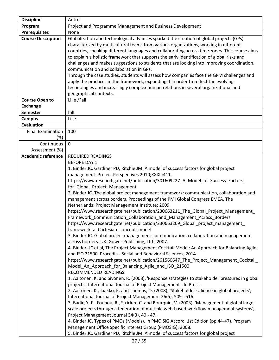| <b>Discipline</b>               | Autre                                                                                                                                                                                                                                                                                                                                                                                                                                                                                                                                                                                                                                                                                                                                                                                                                                                                                                                                                                                                                                                                                                                                                                                                                                                                                                                                                                                                                                                                                                                                                                                                                                                                                                                                                                                                                                                                                                                                                                                                                                                                  |
|---------------------------------|------------------------------------------------------------------------------------------------------------------------------------------------------------------------------------------------------------------------------------------------------------------------------------------------------------------------------------------------------------------------------------------------------------------------------------------------------------------------------------------------------------------------------------------------------------------------------------------------------------------------------------------------------------------------------------------------------------------------------------------------------------------------------------------------------------------------------------------------------------------------------------------------------------------------------------------------------------------------------------------------------------------------------------------------------------------------------------------------------------------------------------------------------------------------------------------------------------------------------------------------------------------------------------------------------------------------------------------------------------------------------------------------------------------------------------------------------------------------------------------------------------------------------------------------------------------------------------------------------------------------------------------------------------------------------------------------------------------------------------------------------------------------------------------------------------------------------------------------------------------------------------------------------------------------------------------------------------------------------------------------------------------------------------------------------------------------|
| Program                         | Project and Programme Management and Business Development                                                                                                                                                                                                                                                                                                                                                                                                                                                                                                                                                                                                                                                                                                                                                                                                                                                                                                                                                                                                                                                                                                                                                                                                                                                                                                                                                                                                                                                                                                                                                                                                                                                                                                                                                                                                                                                                                                                                                                                                              |
| <b>Prerequisites</b>            | None                                                                                                                                                                                                                                                                                                                                                                                                                                                                                                                                                                                                                                                                                                                                                                                                                                                                                                                                                                                                                                                                                                                                                                                                                                                                                                                                                                                                                                                                                                                                                                                                                                                                                                                                                                                                                                                                                                                                                                                                                                                                   |
| <b>Course Description</b>       | Globalization and technological advances sparked the creation of global projects (GPs)<br>characterized by multicultural teams from various organizations, working in different<br>countries, speaking different languages and collaborating across time zones. This course aims<br>to explain a holistic framework that supports the early identification of global risks and<br>challenges and makes suggestions to students that are looking into improving coordination,<br>communication and collaboration in GPs.<br>Through the case studies, students will assess how companies face the GPM challenges and<br>apply the practices in the framework, expanding it in order to reflect the evolving<br>technologies and increasingly complex human relations in several organizational and<br>geographical contexts.                                                                                                                                                                                                                                                                                                                                                                                                                                                                                                                                                                                                                                                                                                                                                                                                                                                                                                                                                                                                                                                                                                                                                                                                                                            |
| <b>Course Open to</b>           | Lille / Fall                                                                                                                                                                                                                                                                                                                                                                                                                                                                                                                                                                                                                                                                                                                                                                                                                                                                                                                                                                                                                                                                                                                                                                                                                                                                                                                                                                                                                                                                                                                                                                                                                                                                                                                                                                                                                                                                                                                                                                                                                                                           |
| <b>Exchange</b>                 |                                                                                                                                                                                                                                                                                                                                                                                                                                                                                                                                                                                                                                                                                                                                                                                                                                                                                                                                                                                                                                                                                                                                                                                                                                                                                                                                                                                                                                                                                                                                                                                                                                                                                                                                                                                                                                                                                                                                                                                                                                                                        |
| <b>Semester</b>                 | fall                                                                                                                                                                                                                                                                                                                                                                                                                                                                                                                                                                                                                                                                                                                                                                                                                                                                                                                                                                                                                                                                                                                                                                                                                                                                                                                                                                                                                                                                                                                                                                                                                                                                                                                                                                                                                                                                                                                                                                                                                                                                   |
| <b>Campus</b>                   | Lille                                                                                                                                                                                                                                                                                                                                                                                                                                                                                                                                                                                                                                                                                                                                                                                                                                                                                                                                                                                                                                                                                                                                                                                                                                                                                                                                                                                                                                                                                                                                                                                                                                                                                                                                                                                                                                                                                                                                                                                                                                                                  |
| <b>Evaluation</b>               |                                                                                                                                                                                                                                                                                                                                                                                                                                                                                                                                                                                                                                                                                                                                                                                                                                                                                                                                                                                                                                                                                                                                                                                                                                                                                                                                                                                                                                                                                                                                                                                                                                                                                                                                                                                                                                                                                                                                                                                                                                                                        |
| <b>Final Examination</b><br>(%) | 100                                                                                                                                                                                                                                                                                                                                                                                                                                                                                                                                                                                                                                                                                                                                                                                                                                                                                                                                                                                                                                                                                                                                                                                                                                                                                                                                                                                                                                                                                                                                                                                                                                                                                                                                                                                                                                                                                                                                                                                                                                                                    |
| Continuous                      | $\mathbf 0$                                                                                                                                                                                                                                                                                                                                                                                                                                                                                                                                                                                                                                                                                                                                                                                                                                                                                                                                                                                                                                                                                                                                                                                                                                                                                                                                                                                                                                                                                                                                                                                                                                                                                                                                                                                                                                                                                                                                                                                                                                                            |
| Assessment (%)                  |                                                                                                                                                                                                                                                                                                                                                                                                                                                                                                                                                                                                                                                                                                                                                                                                                                                                                                                                                                                                                                                                                                                                                                                                                                                                                                                                                                                                                                                                                                                                                                                                                                                                                                                                                                                                                                                                                                                                                                                                                                                                        |
| <b>Academic reference</b>       | <b>REQUIRED READINGS</b><br><b>BEFORE DAY 1</b><br>1. Binder JC, Gardiner PD, Ritchie JM. A model of success factors for global project<br>management. Project Perspectives 2010; XXXII: 411.<br>https://www.researchgate.net/publication/301609227_A_Model_of_Success_Factors_<br>for_Global_Project_Management<br>2. Binder JC. The global project management framework: communication, collaboration and<br>management across borders. Proceedings of the PMI Global Congress EMEA, The<br>Netherlands: Project Management Institute; 2009.<br>https://www.researchgate.net/publication/230663211_The_Global_Project_Management_<br>Framework Communication Collaboration and Management Across Borders<br>https://www.researchgate.net/publication/230663209_Global_project_management_<br>framework_a_Cartesian_concept_model<br>3. Binder JC. Global project management: communication, collaboration and management<br>across borders. UK: Gower Publishing, Ltd.; 2007.<br>4. Binder, JC et al, The Project Management Cocktail Model: An Approach for Balancing Agile<br>and ISO 21500. Procedia - Social and Behavioral Sciences, 2014.<br>https://www.researchgate.net/publication/261560647_The_Project_Management_Cocktail_<br>Model_An_Approach_for_Balancing_Agile_and_ISO_21500<br>RECOMMENDED READINGS<br>1. Aaltonen, K. and Sivonen, R. (2008), 'Response strategies to stakeholder pressures in global<br>projects', International Journal of Project Management - In Press.<br>2. Aaltonen, K., Jaakko, K. and Tuomas, O. (2008), 'Stakeholder salience in global projects',<br>International Journal of Project Management 26(5), 509 - 516.<br>3. Badir, Y. F., Founou, R., Stricker, C. and Bourquin, V. (2003), 'Management of global large-<br>scale projects through a federation of multiple web-based workflow management systems',<br>Project Management Journal 34(3), 40 - 47.<br>4. Binder JC. Types of PMOs (Models). In PMO SIG Accord 1st Edition (pp.44-47). Program<br>Management Office Specific Interest Group (PMOSIG); 2008. |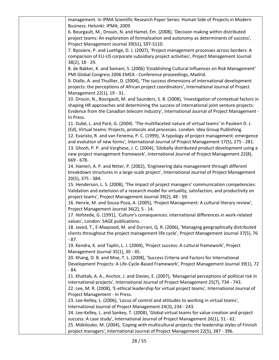management. In IPMA Scientific Research Paper Series: Human Side of Projects in Modern Business. Helsinki: IPMA; 2009.

6. Bourgault, M., Drouin, N. and Hamel, Ém. (2008), 'Decision making within distributed project teams: An exploration of formalization and autonomy as determinants of success', Project Management Journal 39(S1), S97-S110.

7. Byosiere, P. and Luethge, D. J. (2007), 'Project management processes across borders: A comparison of EU-US corporate subsidiary project activities', Project Management Journal 38(2), 18 - 29.

8. de Bakker, K. and Somani, S. (2006) 'Establishing Cultural Influences on Risk Management' PMI Global Congress 2006 EMEA - Conference proceedings, Madrid.

9. Diallo, A. and Thuillier, D. (2004), 'The success dimensions of international development projects: the perceptions of African project coordinators', International Journal of Project Management 22(1), 19 - 31.

10. Drouin, N., Bourgault, M. and Saunders, S. B. (2008), 'Investigation of contextual factors in shaping HR approaches and determining the success of international joint venture projects: Evidence from the Canadian telecom industry', International Journal of Project Management - In Press.

11. Dubé, L. and Paré, G. (2004). 'The multifaceted nature of virtual teams' in Pauleen D. J. (Ed), Virtual teams: Projects, protocols and processes. London: Idea Group Publishing. 12. Evaristo, R. and van Fenema, P. C. (1999), 'A typology of project management: emergence and evolution of new forms', International Journal of Project Management 17(5), 275 - 281. 13. Ghosh, P. P. and Varghese, J. C. (2004), 'Globally distributed product development using a new project management framework', International Journal of Project Management 22(8), 669 - 678.

14. Hameri, A. P. and Nitter, P. (2002), 'Engineering data management through different breakdown structures in a large-scale project', International Journal of Project Management 20(5), 375 - 384.

15. Henderson, L. S. (2008), 'The impact of project managers' communication competencies: Validation and extension of a research model for virtuality, satisfaction, and productivity on project teams', Project Management Journal 39(2), 48 - 59.

16. Henrie, M. and Sousa-Poza, A. (2005), 'Project Management: A cultural literary review', Project Management Journal 36(2), 5 - 14.

17. Hofstede, G. (1991), 'Culture's consequences: international differences in work-related values', London: SAGE publications.

18. Javed, T., E-Maqsood, M. and Durrani, Q. R. (2006), 'Managing geographically distributed clients throughout the project management life cycle', Project Management Journal 37(5), 76 - 87.

19. Kendra, K. and Taplin, L. J. (2004), 'Project success: A cultural framework', Project Management Journal 35(1), 30 - 45.

20. Khang, D. B. and Moe, T. L. (2008), 'Success Criteria and Factors for International Development Projects: A Life-Cycle-Based Framework', Project Management Journal 39(1), 72 - 84.

21. Khattab, A. A., Anchor, J. and Davies, E. (2007), 'Managerial perceptions of political risk in international projects', International Journal of Project Management 25(7), 734 - 743.

22. Lee, M. R. (2008), 'E-ethical leadership for virtual project teams', International Journal of Project Management - In Press.

23. Lee-Kelley, L. (2006), 'Locus of control and attitudes to working in virtual teams', International Journal of Project Management 24(3), 234 - 243.

24. Lee-Kelley, L. and Sankey, T. (2008), 'Global virtual teams for value creation and project success: A case study', International Journal of Project Management 26(1), 51 - 62.

25. Mäkilouko, M. (2004), 'Coping with multicultural projects: the leadership styles of Finnish project managers', International Journal of Project Management 22(5), 387 - 396.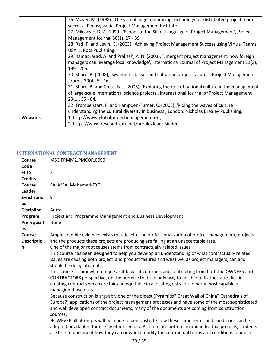|                 | 26. Mayer, M. (1998). 'The virtual edge: embracing technology for distributed project team       |
|-----------------|--------------------------------------------------------------------------------------------------|
|                 | success'. Pennsylvania: Project Management Institute.                                            |
|                 | 27. Milosevic, D. Z. (1999), 'Echoes of the Silent Language of Project Management', Project      |
|                 | Management Journal 30(1), 27 - 39.                                                               |
|                 | 28. Rad, P. and Levin, G. (2003), 'Achieving Project Management Success using Virtual Teams'.    |
|                 | USA: J. Ross Publishing.                                                                         |
|                 | 29. Ramaprasad, A. and Prakash, A. N. (2003), 'Emergent project management: how foreign          |
|                 | managers can leverage local knowledge', International Journal of Project Management 21(3),       |
|                 | $199 - 205.$                                                                                     |
|                 | 30. Shore, B. (2008), 'Systematic biases and culture in project failures', Project Management    |
|                 | Journal 39(4), 5 - 16.                                                                           |
|                 | 31. Shore, B. and Cross, B. J. (2005), 'Exploring the role of national culture in the management |
|                 | of large-scale international science projects', International Journal of Project Management      |
|                 | $23(1)$ , 55 - 64.                                                                               |
|                 | 32. Trompenaars, F. and Hampden-Turner, C. (2005), 'Riding the waves of culture:                 |
|                 | understanding the cultural diversity in business', London: Nicholas Brealey Publishing.          |
| <b>Websites</b> | 1. http://www.globalprojectmanagement.org                                                        |
|                 | 2. https://www.researchgate.net/profile/Jean Binder                                              |
|                 |                                                                                                  |

# <span id="page-28-0"></span>**INTERNATIONAL CONTRACT MANAGEMENT**

| <b>Course</b>     | MSC.PPMM2.PMCOR.0090                                                                                  |
|-------------------|-------------------------------------------------------------------------------------------------------|
| Code              |                                                                                                       |
| <b>ECTS</b>       | 3                                                                                                     |
| <b>Credits</b>    |                                                                                                       |
| Course            | SALAMA, Mohamed-EXT                                                                                   |
| Leader            |                                                                                                       |
| Synchrono         | 9                                                                                                     |
| <b>us</b>         |                                                                                                       |
| <b>Discipline</b> | Autre                                                                                                 |
| Program           | Project and Programme Management and Business Development                                             |
| Prerequisit       | None                                                                                                  |
| es                |                                                                                                       |
| Course            | Ample credible evidence exists that despite the professionalization of project management, projects   |
| <b>Descriptio</b> | and the products these projects are producing are failing at an unacceptable rate.                    |
| n                 | One of the major root causes stems from contractually related issues.                                 |
|                   | This course has been designed to help you develop an understanding of what contractually related      |
|                   | issues are causing both project and product failures and what we, as project managers, can and        |
|                   | should be doing about it.                                                                             |
|                   | This course is somewhat unique as it looks at contracts and contracting from both the OWNERS and      |
|                   | CONTRACTORS perspective, on the premise that the only way to be able to fix the issues lies in        |
|                   | creating contracts which are fair and equitable in allocating risks to the party most capable of      |
|                   | managing those risks.                                                                                 |
|                   | Because construction is arguably one of the oldest (Pyramids? Great Wall of China? Cathedrals of      |
|                   | Europe?) applications of the project management processes and have some of the most sophisticated     |
|                   | and well developed contract documents, many of the documents are coming from construction             |
|                   | sources.                                                                                              |
|                   | HOWEVER all attempts will be made to demonstrate how these same terms and conditions can be           |
|                   | adopted or adapted for use by other sectors. As there are both team and individual projects, students |
|                   | are free to document how they can or would modify the contractual terms and conditions found in       |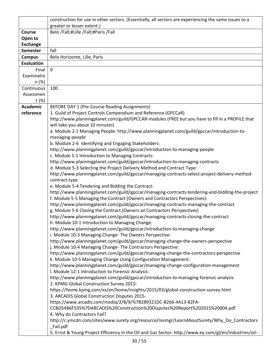|                   | construction for use in other sectors. (Essentially, all sectors are experiencing the same issues to a                                                                        |
|-------------------|-------------------------------------------------------------------------------------------------------------------------------------------------------------------------------|
|                   | greater or lesser extent.)                                                                                                                                                    |
| Course            | Belo /Fall;#Lille /Fall;#Paris /Fall                                                                                                                                          |
| Open to           |                                                                                                                                                                               |
| <b>Exchange</b>   |                                                                                                                                                                               |
| <b>Semester</b>   | fall                                                                                                                                                                          |
| <b>Campus</b>     | Belo Horizonte, Lille, Paris                                                                                                                                                  |
| <b>Evaluation</b> |                                                                                                                                                                               |
| Final             | $\mathbf 0$                                                                                                                                                                   |
| Examinatio        |                                                                                                                                                                               |
| n (%)             |                                                                                                                                                                               |
| Continuous        | 100                                                                                                                                                                           |
| Assessmen         |                                                                                                                                                                               |
| t(%)              |                                                                                                                                                                               |
| <b>Academic</b>   | BEFORE DAY 1 (Pre-Course Reading Assignments)                                                                                                                                 |
| reference         | 1. Guild of Project Controls Compendium and Reference (GPCCaR)                                                                                                                |
|                   | http://www.planningplanet.com/guild/GPCCAR-modules (FREE but you have to fill in a PROFILE that<br>will take you about 10 minutes)                                            |
|                   | a. Module 2-1 Managing People: http://www.planningplanet.com/guild/gpccar/introduction-to-                                                                                    |
|                   | managing-people                                                                                                                                                               |
|                   | b. Module 2-6 Identifying and Engaging Stakeholders:                                                                                                                          |
|                   | http://www.planningplanet.com/guild/gpccar/introduction-to-managing-people                                                                                                    |
|                   | c. Module 5-1 Introduction to Managing Contracts:                                                                                                                             |
|                   | http://www.planningplanet.com/guild/gpccar/introduction-to-managing-contracts                                                                                                 |
|                   | d. Module 5-3 Selecting the Project Delivery Method and Contract Type:                                                                                                        |
|                   | http://www.planningplanet.com/guild/gpccar/managing-contracts-select-project-delivery-method-<br>contract-type                                                                |
|                   | e. Module 5-4 Tendering and Bidding the Contract:                                                                                                                             |
|                   | http://www.planningplanet.com/guild/gpccar/managing-contracts-tendering-and-bidding-the-project<br>f. Module 5-5 Managing the Contract (Owners and Contractors Perspectives): |
|                   | http://www.planningplanet.com/guild/gpccar/managing-contracts-managing-the-contract<br>g. Module 5-6 Closing the Contract (Owners an Contractors Perspectives)                |
|                   | http://www.planningplanet.com/guild/gpccar/managing-contracts-closing-the-contract                                                                                            |
|                   | h. Module 10-1 Introduction to Managing Change:                                                                                                                               |
|                   | http://www.planningplanet.com/guild/gpccar/introduction-to-managing-change                                                                                                    |
|                   | i. Module 10-3 Managing Change- The Owners Perspective:                                                                                                                       |
|                   | http://www.planningplanet.com/guild/gpccar/managing-change-the-owners-perspective<br>j. Module 10-4 Managing Change- The Contractors Perspective:                             |
|                   | http://www.planningplanet.com/guild/gpccar/managing-change-the-contractors-perspective                                                                                        |
|                   | k. Module 10-5 Managing Change Using Configuration Management:                                                                                                                |
|                   | http://www.planningplanet.com/guild/gpccar/managing-change-configuration-management                                                                                           |
|                   | I. Module 12-1 Introduction to Forensic Analysis:                                                                                                                             |
|                   | http://www.planningplanet.com/guild/gpccar/introduction-to-managing-forensic-analysis                                                                                         |
|                   | 2. KPMG Global Construction Survey 2015:                                                                                                                                      |
|                   | https://home.kpmg.com/xx/en/home/insights/2015/03/global-construction-survey.html<br>3. ARCADIS Global Construction Disputes 2015-                                            |
|                   | https://www.arcadis.com/media/2/8/9/%7B289321DC-B266-4A13-82FA-                                                                                                               |
|                   | CCBD54B6F535%7DARCADIS%20Construction%20Disputes%20Report%202015%20004.pdf                                                                                                    |
|                   | 4. Why do Contractors Fail?                                                                                                                                                   |
|                   | http://c.ymcdn.com/sites/www.surety.org/resource/resmgr/LearnAboutSurety/Why_Do_Contractors                                                                                   |
|                   | _Fail.pdf                                                                                                                                                                     |
|                   | 5. Ernst & Young Project Efficiency in the Oil and Gas Sector: http://www.ey.com/gl/en/industries/oil--                                                                       |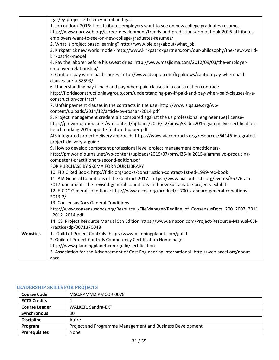|          | -gas/ey-project-efficiency-in-oil-and-gas                                                          |
|----------|----------------------------------------------------------------------------------------------------|
|          | 1. Job outlook 2016: the attributes employers want to see on new college graduates resumes-        |
|          | http://www.naceweb.org/career-development/trends-and-predictions/job-outlook-2016-attributes-      |
|          | employers-want-to-see-on-new-college-graduates-resumes/                                            |
|          | 2. What is project based learning? http://www.bie.org/about/what_pbl                               |
|          | 3. Kirkpatrick new world model- http://www.kirkpatrickpartners.com/our-philosophy/the-new-world-   |
|          | kirkpatrick-model                                                                                  |
|          | 4. Pay the laborer before his sweat dries: http://www.masjidma.com/2012/09/03/the-employer-        |
|          | employee-relationship/                                                                             |
|          | 5. Caution- pay when paid clauses: http://www.jdsupra.com/legalnews/caution-pay-when-paid-         |
|          | clauses-are-a-58593/                                                                               |
|          | 6. Understanding pay-if-paid and pay-when-paid clauses in a construction contract:                 |
|          | http://floridaconstructionlawgroup.com/understanding-pay-if-paid-and-pay-when-paid-clauses-in-a-   |
|          | construction-contract/                                                                             |
|          | 7. Unfair payment clauses in the contracts in the uae: http://www.slqsuae.org/wp-                  |
|          | content/uploads/2014/12/article-by-roshan-2014.pdf                                                 |
|          | 8. Project management credentials compared against the us professional engineer (pe) license-      |
|          | http://pmworldjournal.net/wp-content/uploads/2016/12/pmwj53-dec2016-giammalvo-certification-       |
|          | benchmarking-2016-update-featured-paper.pdf                                                        |
|          | AIS integrated project delivery approach- https://www.aiacontracts.org/resources/64146-integrated- |
|          | project-delivery-a-guide                                                                           |
|          | 9. How to develop competent professional level project management practitioners-                   |
|          | http://pmworldjournal.net/wp-content/uploads/2015/07/pmwj36-jul2015-giammalvo-producing-           |
|          | competent-practitioners-second-edition.pdf                                                         |
|          | FOR PURCHASE BY SKEMA FOR YOUR LIBRARY                                                             |
|          | 10. FIDIC Red Book: http://fidic.org/books/construction-contract-1st-ed-1999-red-book              |
|          | 11. AIA General Conditions of the Contract 2017: https://www.aiacontracts.org/events/86776-aia-    |
|          | 2017-documents-the-revised-general-conditions-and-new-sustainable-projects-exhibit-                |
|          | 12. EJCDC General conditions: http://www.ejcdc.org/product/c-700-standard-general-conditions-      |
|          | $2013 - 2/$                                                                                        |
|          | 13. ConsensusDocs General Conditions                                                               |
|          | http://www.consensusdocs.org/Resource_/FileManager/Redline_of_ConsensusDocs_200_2007_2011          |
|          | 2012 2014.pdf                                                                                      |
|          | 14. CSI Project Resource Manual 5th Edition https://www.amazon.com/Project-Resource-Manual-CSI-    |
|          | Practice/dp/0071370048                                                                             |
| Websites | 1. Guild of Project Controls- http://www.planningplanet.com/guild                                  |
|          | 2. Guild of Project Controls Competency Certification Home page-                                   |
|          | http://www.planningplanet.com/guild/certification                                                  |
|          | 3. Association for the Advancement of Cost Engineering International- http://web.aacei.org/about-  |
|          | aace                                                                                               |

#### <span id="page-30-0"></span>**LEADERSHIP SKILLS FOR PROJECTS**

| <b>Course Code</b>   | MSC.PPMM2.PMCOR.0078                                      |
|----------------------|-----------------------------------------------------------|
| <b>ECTS Credits</b>  | 4                                                         |
| <b>Course Leader</b> | WALKER, Sandra-EXT                                        |
| Synchronous          | 30                                                        |
| <b>Discipline</b>    | Autre                                                     |
| Program              | Project and Programme Management and Business Development |
| <b>Prerequisites</b> | None                                                      |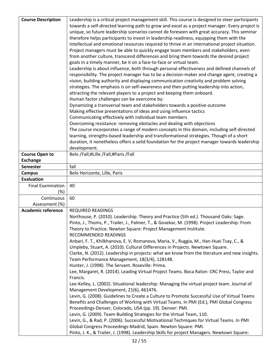| <b>Course Description</b> | Leadership is a critical project management skill. This course is designed to steer participants                                               |
|---------------------------|------------------------------------------------------------------------------------------------------------------------------------------------|
|                           | towards a self-directed learning path to grow and excel as a project manager. Every project is                                                 |
|                           | unique, so future leadership scenarios cannot de foreseen with great accuracy. This seminar                                                    |
|                           | therefore helps participants to invest in leadership readiness, equipping them with the                                                        |
|                           | intellectual and emotional resources required to thrive in an international project situation.                                                 |
|                           | Project managers must be able to quickly engage team members and stakeholders, even                                                            |
|                           | from another culture, transcend differences and bring them towards the desired project                                                         |
|                           | goals in a timely manner, be it on a face-to-face or virtual team.                                                                             |
|                           | Leadership is about influence, both through personal effectiveness and defined channels of                                                     |
|                           | responsibility. The project manager has to be a decision-maker and change agent, creating a                                                    |
|                           | vision, building authority and displaying communication creativity and problem solving                                                         |
|                           | strategies. The emphasis is on self-awareness and then putting leadership into action,                                                         |
|                           | attracting the relevant players to a project and keeping them onboard.                                                                         |
|                           | Human factor challenges can be overcome by:                                                                                                    |
|                           | Dynamizing a transversal team and stakeholders towards a positive outcome                                                                      |
|                           | Making effective presentations of ideas and using influence tactics                                                                            |
|                           | Communicating effectively with individual team members                                                                                         |
|                           | Overcoming resistance: removing obstacles and dealing with objections                                                                          |
|                           | The course incorporates a range of modern concepts in this domain, including self-directed                                                     |
|                           | learning, strengths-based leadership and transformational strategies. Though of a short                                                        |
|                           | duration, it nonetheless offers a solid foundation for the project manager towards leadership                                                  |
|                           | development.                                                                                                                                   |
| <b>Course Open to</b>     | Belo /Fall;#Lille /Fall;#Paris /Fall                                                                                                           |
| <b>Exchange</b>           |                                                                                                                                                |
| <b>Semester</b>           | fall                                                                                                                                           |
| <b>Campus</b>             | Belo Horizonte, Lille, Paris                                                                                                                   |
| <b>Evaluation</b>         |                                                                                                                                                |
| <b>Final Examination</b>  | 40                                                                                                                                             |
| (%)                       |                                                                                                                                                |
| Continuous                | 60                                                                                                                                             |
| Assessment (%)            |                                                                                                                                                |
| <b>Academic reference</b> | <b>REQUIRED READINGS</b>                                                                                                                       |
|                           | Northouse, P. (2010). Leadership: Theory and Practice (5th ed.). Thousand Oaks: Sage.                                                          |
|                           | Pinto, J., Thoms, P., Trailer, J., Palmer, T., & Govekar, M. (1998). Project Leadership: From                                                  |
|                           | Theory to Practice. Newton Square: Project Management Institute.                                                                               |
|                           | RECOMMENDED READINGS                                                                                                                           |
|                           | Anbari, F. T., Khilkhanova, E. V, Romanova, Maria, V., Ruggia, M., Han-Huei Tsay, C., &                                                        |
|                           | Umpleby, Stuart, A. (2010). Cultural Differences in Projects. Newtown Square.                                                                  |
|                           | Clarke, N. (2012). Leadership in projects: what we know from the literature and new insights.<br>Team Performance Management, 18(3/4), 128148. |
|                           | Hunter, J. (1998). The Servant. Roseville: Prima.                                                                                              |
|                           | Lee, Margaret, R. (2014). Leading Virtual Project Teams. Boca Raton: CRC Press, Taylor and                                                     |
|                           | Francis.                                                                                                                                       |
|                           | Lee-Kelley, L. (2002). Situational leadership: Managing the virtual project team. Journal of                                                   |
|                           | Management Development, 21(6), 461476.                                                                                                         |
|                           | Levin, G. (2008). Guidelines to Create a Culture to Promote Successful Use of Virtual Teams                                                    |
|                           | Benefits and Challenges of Working with Virtual Teams. In PMI (Ed.), PMI Global Congress                                                       |
|                           | Proceedings-Denver, Colorado, USA (pp. 19). Denver: PMI.                                                                                       |
|                           | Levin, G. (2009). Team-Building Strategies for the Virtual Team, 110.                                                                          |
|                           | Levin, G., & Rad, P. (2006). Successful Motivational Techniques for Virtual Teams. In PMI                                                      |
|                           | Global Congress Proceedings-Madrid, Spain. Newton Square: PMI.                                                                                 |
|                           | Pinto, J. K., & Trailer, J. (1998). Leadership Skills for project Managers. Newtown Square:                                                    |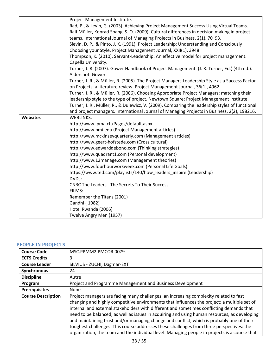|                 | Project Management Institute.                                                                                   |
|-----------------|-----------------------------------------------------------------------------------------------------------------|
|                 | Rad, P., & Levin, G. (2003). Achieving Project Management Success Using Virtual Teams.                          |
|                 | Ralf Müller, Konrad Spang, S. O. (2009). Cultural differences in decision making in project                     |
|                 | teams. International Journal of Managing Projects in Business, 2(1), 70 93.                                     |
|                 | Slevin, D. P., & Pinto, J. K. (1991). Project Leadership: Understanding and Consciously                         |
|                 | Choosing your Style. Project Management Journal, XXII(1), 3948.                                                 |
|                 | Thompson, K. (2010). Servant-Leadership: An effective model for project management.                             |
|                 | Capella University.                                                                                             |
|                 | Turner, J. R. (2007). Gower Handbook of Project Management. (J. R. Turner, Ed.) (4th ed.).<br>Aldershot: Gower. |
|                 | Turner, J. R., & Müller, R. (2005). The Project Managers Leadership Style as a Success Factor                   |
|                 | on Projects: a literature review. Project Management Journal, 36(1), 4962.                                      |
|                 | Turner, J. R., & Müller, R. (2006). Choosing Appropriate Project Managers: matching their                       |
|                 | leadership style to the type of project. Newtown Square: Project Management Institute.                          |
|                 | Turner, J. R., Müller, R., & Dulewicz, V. (2009). Comparing the leadership styles of functional                 |
|                 | and project managers. International Journal of Managing Projects in Business, 2(2), 198216.                     |
| <b>Websites</b> | <b>WEBLINKS:</b>                                                                                                |
|                 | http://www.ipma.ch/Pages/default.aspx                                                                           |
|                 | http://www.pmi.edu (Project Management articles)                                                                |
|                 | http://www.mckinseyquarterly.com (Management articles)                                                          |
|                 | http://www.geert-hofstede.com (Cross cultural)                                                                  |
|                 | http://www.edwarddebono.com (Thinking strategies)                                                               |
|                 | http://www.quadrant1.com (Personal development)                                                                 |
|                 | http://www.12manage.com (Management theories)                                                                   |
|                 | http://www.fourhourworkweek.com (Personal Life Goals)                                                           |
|                 | https://www.ted.com/playlists/140/how_leaders_inspire (Leadership)                                              |
|                 | DVDs:                                                                                                           |
|                 | <b>CNBC The Leaders - The Secrets To Their Success</b>                                                          |
|                 | FILMS:                                                                                                          |
|                 | Remember the Titans (2001)                                                                                      |
|                 | Gandhi (1982)                                                                                                   |
|                 | Hotel Rwanda (2006)                                                                                             |
|                 | Twelve Angry Men (1957)                                                                                         |

#### <span id="page-32-0"></span>**PEOPLE IN PROJECTS**

| <b>Course Code</b>        | MSC.PPMM2.PMCOR.0079                                                                                                                                                                                                                                                                                                                                                                                                                                                                                                                                                                                                                                                       |
|---------------------------|----------------------------------------------------------------------------------------------------------------------------------------------------------------------------------------------------------------------------------------------------------------------------------------------------------------------------------------------------------------------------------------------------------------------------------------------------------------------------------------------------------------------------------------------------------------------------------------------------------------------------------------------------------------------------|
| <b>ECTS Credits</b>       | 3                                                                                                                                                                                                                                                                                                                                                                                                                                                                                                                                                                                                                                                                          |
| <b>Course Leader</b>      | SILVIUS - ZUCHI, Dagmar-EXT                                                                                                                                                                                                                                                                                                                                                                                                                                                                                                                                                                                                                                                |
| Synchronous               | 24                                                                                                                                                                                                                                                                                                                                                                                                                                                                                                                                                                                                                                                                         |
| <b>Discipline</b>         | Autre                                                                                                                                                                                                                                                                                                                                                                                                                                                                                                                                                                                                                                                                      |
| Program                   | Project and Programme Management and Business Development                                                                                                                                                                                                                                                                                                                                                                                                                                                                                                                                                                                                                  |
| <b>Prerequisites</b>      | None                                                                                                                                                                                                                                                                                                                                                                                                                                                                                                                                                                                                                                                                       |
| <b>Course Description</b> | Project managers are facing many challenges: an increasing complexity related to fast<br>changing and highly competitive environments that influences the project; a multiple set of<br>internal and external stakeholders with different and sometimes conflicting demands that<br>need to be balanced; as well as issues in acquiring and using human resources, as developing<br>and maintaining trust and/or managing change and conflict, which is probably one of their<br>toughest challenges. This course addresses these challenges from three perspectives: the<br>organization, the team and the individual level. Managing people in projects is a course that |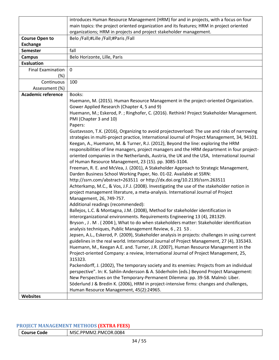|                           | introduces Human Resource Management (HRM) for and in projects, with a focus on four            |
|---------------------------|-------------------------------------------------------------------------------------------------|
|                           | main topics: the project oriented organization and its features; HRM in project oriented        |
|                           | organizations; HRM in projects and project stakeholder management.                              |
| <b>Course Open to</b>     | Belo /Fall;#Lille /Fall;#Paris /Fall                                                            |
| <b>Exchange</b>           |                                                                                                 |
| <b>Semester</b>           | fall                                                                                            |
| <b>Campus</b>             | Belo Horizonte, Lille, Paris                                                                    |
| <b>Evaluation</b>         |                                                                                                 |
| <b>Final Examination</b>  | 0                                                                                               |
| (%)                       |                                                                                                 |
| Continuous                | 100                                                                                             |
| Assessment (%)            |                                                                                                 |
| <b>Academic reference</b> | Books:                                                                                          |
|                           | Huemann, M. (2015). Human Resource Management in the project-oriented Organization.             |
|                           | Gower Applied Research (Chapter 4, 5 and 9)                                                     |
|                           | Huemann, M.; Eskerod, P.; Ringhofer, C. (2016). Rethink! Project Stakeholder Management.        |
|                           | PMI (Chapter 3 and 10)                                                                          |
|                           | Papers:                                                                                         |
|                           | Gustavsson, T.K. (2016), Organizing to avoid projectoverload: The use and risks of narrowing    |
|                           | strategies in multi-project practice, International Journal of Project Management, 34, 94101.   |
|                           | Keegan, A., Huemann, M. & Turner, R.J. (2012), Beyond the line: exploring the HRM               |
|                           | responsibilities of line managers, project managers and the HRM department in four project-     |
|                           | oriented companies in the Netherlands, Austria, the UK and the USA, International Journal       |
|                           | of Human Resource Management, 23 (15). pp. 3085-3104.                                           |
|                           | Freeman, R. E. and McVea, J. (2001), A Stakeholder Approach to Strategic Management,            |
|                           | Darden Business School Working Paper, No. 01-02. Available at SSRN:                             |
|                           | http://ssrn.com/abstract=263511_or http://dx.doi.org/10.2139/ssrn.263511                        |
|                           | Achterkamp, M.C., & Vos, J.F.J. (2008). Investigating the use of the stakeholder notion in      |
|                           | project management literature, a meta-analysis. International Journal of Project                |
|                           | Management, 26, 749-757.                                                                        |
|                           | Additional readings (recommended):                                                              |
|                           | Ballejos, L.C. & Montagna, J.M. (2008), Method for stakeholder identification in                |
|                           | interorganizational environments. Requirements Engineering 13 (4), 281329.                      |
|                           | Bryson, J. M. (2004), What to do when stakeholders matter: Stakeholder identification           |
|                           | analysis techniques, Public Management Review, 6, 21 53.                                        |
|                           | Jepsen, A.L., Eskerod, P. (2009), Stakeholder analysis in projects: challenges in using current |
|                           | guidelines in the real world. International Journal of Project Management, 27 (4), 335343.      |
|                           | Huemann, M., Keegan A.E. and. Turner, J.R. (2007), Human Resource Management in the             |
|                           | Project-oriented Company: a review, International Journal of Project Management, 25,            |
|                           | 315323.                                                                                         |
|                           | Packendorff, J. (2002), The temporary society and its enemies: Projects from an individual      |
|                           | perspective". In: K. Sahlin-Andersson & A. Söderholm (eds.) Beyond Project Management:          |
|                           | New Perspectives on the Temporary-Permanent Dilemma: pp. 39-58. Malmö: Liber.                   |
|                           | Söderlund J & Bredin K. (2006), HRM in project-intensive firms: changes and challenges,         |
|                           | Human Resource Management, 45(2):24965.                                                         |
| Websites                  |                                                                                                 |
|                           |                                                                                                 |

## <span id="page-33-0"></span>**PROJECT MANAGEMENT METHODS (EXTRA FEES)**

| <b>Course Code</b> | MSC.PPMM2.PMCOR.0084 |
|--------------------|----------------------|
|--------------------|----------------------|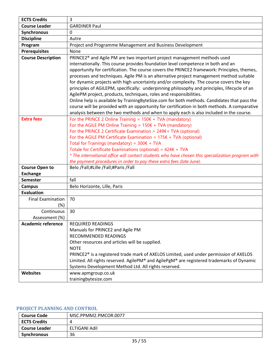| <b>ECTS Credits</b>       | 3                                                                                                  |
|---------------------------|----------------------------------------------------------------------------------------------------|
| <b>Course Leader</b>      | <b>GARDINER Paul</b>                                                                               |
| <b>Synchronous</b>        | 0                                                                                                  |
| <b>Discipline</b>         | Autre                                                                                              |
| Program                   | Project and Programme Management and Business Development                                          |
| <b>Prerequisites</b>      | None                                                                                               |
| <b>Course Description</b> | PRINCE2 <sup>®</sup> and Agile PM are two important project management methods used                |
|                           | internationally. This course provides foundation level competence in both and an                   |
|                           | opportunity for certification. The course covers the PRINCE2 framework: Principles, themes,        |
|                           | processes and techniques. Agile PM is an alternative project management method suitable            |
|                           | for dynamic projects with high uncertainty and/or complexity. The course covers the key            |
|                           | principles of AGILEPM, specifically: underpinning philosophy and principles, lifecycle of an       |
|                           | AgilePM project, products, techniques, roles and responsibilities.                                 |
|                           | Online help is available by TrainingByteSize.com for both methods. Candidates that pass the        |
|                           | course will be provided with an opportunity for certification in both methods. A comparative       |
|                           | analysis between the two methods and when to apply each is also included in the course.            |
| <b>Extra fees</b>         | For the PRINCE 2 Online Training = $150 \epsilon$ + TVA (mandatory)                                |
|                           | For the AGILE PM Online Training = $150 \epsilon + TVA$ (mandatory)                                |
|                           | For the PRINCE 2 Certificate Examination = $249f + TVA$ (optional)                                 |
|                           | For the AGILE PM Certificate Examination = $175f + TVA$ (optional)                                 |
|                           | Total for Trainings (mandatory) = $300 \epsilon + TVA$                                             |
|                           | Totale for Certificate Examinations (optional) = $424E + TVA$                                      |
|                           | * The international office will contact students who have chosen this specialization program with  |
|                           | the payment procedures in order to pay these extra fees (late June).                               |
| <b>Course Open to</b>     | Belo /Fall;#Lille /Fall;#Paris /Fall                                                               |
| <b>Exchange</b>           |                                                                                                    |
| <b>Semester</b>           | fall                                                                                               |
| <b>Campus</b>             | Belo Horizonte, Lille, Paris                                                                       |
| <b>Evaluation</b>         |                                                                                                    |
| <b>Final Examination</b>  | 70                                                                                                 |
| (%)                       |                                                                                                    |
| Continuous                | 30                                                                                                 |
| Assessment (%)            |                                                                                                    |
| <b>Academic reference</b> | <b>REQUIRED READINGS</b>                                                                           |
|                           | Manuals for PRINCE2 and Agile PM<br>RECOMMENDED READINGS                                           |
|                           | Other resources and articles will be supplied.                                                     |
|                           | <b>NOTE</b>                                                                                        |
|                           | PRINCE2 <sup>®</sup> is a registered trade mark of AXELOS Limited, used under permission of AXELOS |
|                           | Limited. All rights reserved. AgilePM® and AgilePgM® are registered trademarks of Dynamic          |
|                           | Systems Development Method Ltd. All rights reserved.                                               |
| Websites                  | www.apmgroup.co.uk                                                                                 |
|                           | trainingbytesize.com                                                                               |

# <span id="page-34-0"></span>**PROJECT PLANNING AND CONTROL**

| <b>Course Code</b>  | MSC.PPMM2.PMCOR.0077 |
|---------------------|----------------------|
| <b>ECTS Credits</b> |                      |
| Course Leader       | ELTIGANI Adil        |
| Synchronous         | 36                   |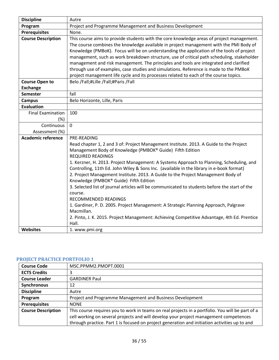| <b>Discipline</b>         | Autre                                                                                                                                                                                                                                                                                                                                                                                                                                                                                                                                                                                                                                                                                                                                                                                                                                                                  |
|---------------------------|------------------------------------------------------------------------------------------------------------------------------------------------------------------------------------------------------------------------------------------------------------------------------------------------------------------------------------------------------------------------------------------------------------------------------------------------------------------------------------------------------------------------------------------------------------------------------------------------------------------------------------------------------------------------------------------------------------------------------------------------------------------------------------------------------------------------------------------------------------------------|
| Program                   | Project and Programme Management and Business Development                                                                                                                                                                                                                                                                                                                                                                                                                                                                                                                                                                                                                                                                                                                                                                                                              |
| <b>Prerequisites</b>      | None.                                                                                                                                                                                                                                                                                                                                                                                                                                                                                                                                                                                                                                                                                                                                                                                                                                                                  |
| <b>Course Description</b> | This course aims to provide students with the core knowledge areas of project management.<br>The course combines the knowledge available in project management with the PMI Body of<br>Knowledge (PMBoK). Focus will be on understanding the application of the tools of project<br>management, such as work breakdown structure, use of critical path scheduling, stakeholder<br>management and risk management. The principles and tools are integrated and clarified<br>through use of examples, case studies and simulations. Reference is made to the PMBoK<br>project management life cycle and its processes related to each of the course topics.                                                                                                                                                                                                              |
| <b>Course Open to</b>     | Belo /Fall;#Lille /Fall;#Paris /Fall                                                                                                                                                                                                                                                                                                                                                                                                                                                                                                                                                                                                                                                                                                                                                                                                                                   |
| <b>Exchange</b>           |                                                                                                                                                                                                                                                                                                                                                                                                                                                                                                                                                                                                                                                                                                                                                                                                                                                                        |
| <b>Semester</b>           | fall                                                                                                                                                                                                                                                                                                                                                                                                                                                                                                                                                                                                                                                                                                                                                                                                                                                                   |
| <b>Campus</b>             | Belo Horizonte, Lille, Paris                                                                                                                                                                                                                                                                                                                                                                                                                                                                                                                                                                                                                                                                                                                                                                                                                                           |
| <b>Evaluation</b>         |                                                                                                                                                                                                                                                                                                                                                                                                                                                                                                                                                                                                                                                                                                                                                                                                                                                                        |
| <b>Final Examination</b>  | 100                                                                                                                                                                                                                                                                                                                                                                                                                                                                                                                                                                                                                                                                                                                                                                                                                                                                    |
| (%)                       |                                                                                                                                                                                                                                                                                                                                                                                                                                                                                                                                                                                                                                                                                                                                                                                                                                                                        |
| Continuous                | 0                                                                                                                                                                                                                                                                                                                                                                                                                                                                                                                                                                                                                                                                                                                                                                                                                                                                      |
| Assessment (%)            |                                                                                                                                                                                                                                                                                                                                                                                                                                                                                                                                                                                                                                                                                                                                                                                                                                                                        |
| <b>Academic reference</b> | PRE-READING<br>Read chapter 1, 2 and 3 of: Project Management Institute. 2013. A Guide to the Project<br>Management Body of Knowledge (PMBOK® Guide) Fifth Edition<br><b>REQUIRED READINGS</b><br>1. Kerzner, H. 2013. Project Management: A Systems Approach to Planning, Scheduling, and<br>Controlling, 11th Ed. John Wiley & Sons Inc. (available in the library in e-book format)<br>2. Project Management Institute. 2013. A Guide to the Project Management Body of<br>Knowledge (PMBOK® Guide) Fifth Edition<br>3. Selected list of journal articles will be communicated to students before the start of the<br>course.<br>RECOMMENDED READINGS<br>1. Gardiner, P. D. 2005. Project Management: A Strategic Planning Approach, Palgrave<br>Macmillan.<br>2. Pinto, J. K. 2015. Project Management: Achieving Competitive Advantage, 4th Ed. Prentice<br>Hall. |
| <b>Websites</b>           | 1. www.pmi.org                                                                                                                                                                                                                                                                                                                                                                                                                                                                                                                                                                                                                                                                                                                                                                                                                                                         |

# <span id="page-35-0"></span>**PROJECT PRACTICE PORTFOLIO 1**

| <b>Course Code</b>        | MSC.PPMM2.PMOPT.0001                                                                             |
|---------------------------|--------------------------------------------------------------------------------------------------|
| <b>ECTS Credits</b>       | 3                                                                                                |
| <b>Course Leader</b>      | <b>GARDINER Paul</b>                                                                             |
| Synchronous               | 12                                                                                               |
| <b>Discipline</b>         | Autre                                                                                            |
| Program                   | Project and Programme Management and Business Development                                        |
| <b>Prerequisites</b>      | <b>NONE</b>                                                                                      |
| <b>Course Description</b> | This course requires you to work in teams on real projects in a portfolio. You will be part of a |
|                           | cell working on several projects and will develop your project management competences            |
|                           | through practice. Part 1 is focused on project generation and initiation activities up to and    |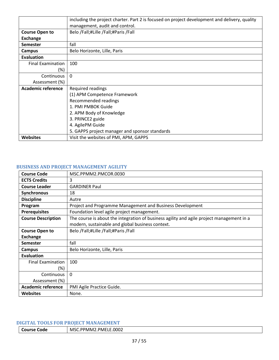|                           | including the project charter. Part 2 is focused on project development and delivery, quality |
|---------------------------|-----------------------------------------------------------------------------------------------|
|                           | management, audit and control.                                                                |
| <b>Course Open to</b>     | Belo /Fall;#Lille /Fall;#Paris /Fall                                                          |
| Exchange                  |                                                                                               |
| <b>Semester</b>           | fall                                                                                          |
| Campus                    | Belo Horizonte, Lille, Paris                                                                  |
| Evaluation                |                                                                                               |
| <b>Final Examination</b>  | 100                                                                                           |
| $(\%)$                    |                                                                                               |
| Continuous                | $\Omega$                                                                                      |
| Assessment (%)            |                                                                                               |
| <b>Academic reference</b> | Required readings                                                                             |
|                           | (1) APM Competence Framework                                                                  |
|                           | Recommended readings                                                                          |
|                           | 1. PMI PMBOK Guide                                                                            |
|                           | 2. APM Body of Knowledge                                                                      |
|                           | 3. PRINCE2 guide                                                                              |
|                           | 4. AgilePM Guide                                                                              |
|                           | 5. GAPPS project manager and sponsor standards                                                |
| <b>Websites</b>           | Visit the websites of PMI, APM, GAPPS                                                         |

#### <span id="page-36-0"></span>**BUSINESS AND PROJECT MANAGEMENT AGILITY**

| <b>Course Code</b>        | MSC.PPMM2.PMCOR.0030                                                                      |
|---------------------------|-------------------------------------------------------------------------------------------|
| <b>ECTS Credits</b>       | 3                                                                                         |
| <b>Course Leader</b>      | <b>GARDINER Paul</b>                                                                      |
| Synchronous               | 18                                                                                        |
| <b>Discipline</b>         | Autre                                                                                     |
| Program                   | Project and Programme Management and Business Development                                 |
| <b>Prerequisites</b>      | Foundation level agile project management.                                                |
| <b>Course Description</b> | The course is about the integration of business agility and agile project management in a |
|                           | modern, sustainable and global business context.                                          |
| <b>Course Open to</b>     | Belo /Fall;#Lille /Fall;#Paris /Fall                                                      |
| <b>Exchange</b>           |                                                                                           |
| <b>Semester</b>           | fall                                                                                      |
| Campus                    | Belo Horizonte, Lille, Paris                                                              |
| <b>Evaluation</b>         |                                                                                           |
| <b>Final Examination</b>  | 100                                                                                       |
| (%)                       |                                                                                           |
| Continuous                | $\Omega$                                                                                  |
| Assessment (%)            |                                                                                           |
| <b>Academic reference</b> | PMI Agile Practice Guide.                                                                 |
| <b>Websites</b>           | None.                                                                                     |

# <span id="page-36-1"></span>**DIGITAL TOOLS FOR PROJECT MANAGEMENT**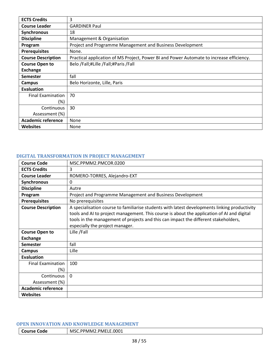| <b>ECTS Credits</b>       | 3                                                                                        |
|---------------------------|------------------------------------------------------------------------------------------|
| <b>Course Leader</b>      | <b>GARDINER Paul</b>                                                                     |
| <b>Synchronous</b>        | 18                                                                                       |
| <b>Discipline</b>         | Management & Organisation                                                                |
| Program                   | Project and Programme Management and Business Development                                |
| <b>Prerequisites</b>      | None.                                                                                    |
| <b>Course Description</b> | Practical application of MS Project, Power BI and Power Automate to increase efficiency. |
| <b>Course Open to</b>     | Belo /Fall;#Lille /Fall;#Paris /Fall                                                     |
| <b>Exchange</b>           |                                                                                          |
| <b>Semester</b>           | fall                                                                                     |
| Campus                    | Belo Horizonte, Lille, Paris                                                             |
| Evaluation                |                                                                                          |
| <b>Final Examination</b>  | 70                                                                                       |
| (%)                       |                                                                                          |
| Continuous                | 30                                                                                       |
| Assessment (%)            |                                                                                          |
| <b>Academic reference</b> | None                                                                                     |
| <b>Websites</b>           | None                                                                                     |

# <span id="page-37-0"></span>**DIGITAL TRANSFORMATION IN PROJECT MANAGEMENT**

| <b>Course Code</b>        | MSC.PPMM2.PMCOR.0200                                                                                                                                                                                                                                                                                                  |
|---------------------------|-----------------------------------------------------------------------------------------------------------------------------------------------------------------------------------------------------------------------------------------------------------------------------------------------------------------------|
| <b>ECTS Credits</b>       | 3                                                                                                                                                                                                                                                                                                                     |
| <b>Course Leader</b>      | ROMERO-TORRES, Alejandro-EXT                                                                                                                                                                                                                                                                                          |
| Synchronous               | 0                                                                                                                                                                                                                                                                                                                     |
| <b>Discipline</b>         | Autre                                                                                                                                                                                                                                                                                                                 |
| Program                   | Project and Programme Management and Business Development                                                                                                                                                                                                                                                             |
| <b>Prerequisites</b>      | No prerequisites                                                                                                                                                                                                                                                                                                      |
| <b>Course Description</b> | A specialisation course to familiarise students with latest developments linking productivity<br>tools and AI to project management. This course is about the application of AI and digital<br>tools in the management of projects and this can impact the different stakeholders,<br>especially the project manager. |
| <b>Course Open to</b>     | Lille /Fall                                                                                                                                                                                                                                                                                                           |
| <b>Exchange</b>           |                                                                                                                                                                                                                                                                                                                       |
| <b>Semester</b>           | fall                                                                                                                                                                                                                                                                                                                  |
| <b>Campus</b>             | Lille                                                                                                                                                                                                                                                                                                                 |
| <b>Evaluation</b>         |                                                                                                                                                                                                                                                                                                                       |
| <b>Final Examination</b>  | 100                                                                                                                                                                                                                                                                                                                   |
| $(\%)$                    |                                                                                                                                                                                                                                                                                                                       |
| Continuous                | $\Omega$                                                                                                                                                                                                                                                                                                              |
| Assessment (%)            |                                                                                                                                                                                                                                                                                                                       |
| <b>Academic reference</b> |                                                                                                                                                                                                                                                                                                                       |
| <b>Websites</b>           |                                                                                                                                                                                                                                                                                                                       |

#### <span id="page-37-1"></span>**OPEN INNOVATION AND KNOWLEDGE MANAGEMENT**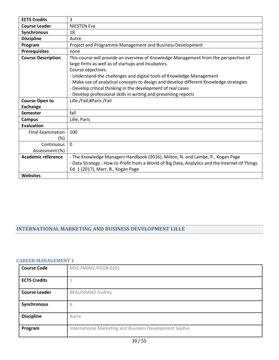| <b>ECTS Credits</b>       | 3                                                                                              |
|---------------------------|------------------------------------------------------------------------------------------------|
| <b>Course Leader</b>      | <b>NIESTEN Eva</b>                                                                             |
| Synchronous               | 18                                                                                             |
| <b>Discipline</b>         | Autre                                                                                          |
| Program                   | Project and Programme Management and Business Development                                      |
| <b>Prerequisites</b>      | none                                                                                           |
| <b>Course Description</b> | This course will provide an overview of Knowledge Management from the perspective of           |
|                           | large firms as well as of startups and incubators.                                             |
|                           | Course objectives:                                                                             |
|                           | - Understand the challenges and digital tools of Knowledge Management                          |
|                           | - Make use of analytical concepts to design and develop different Knowledge strategies         |
|                           | - Develop critical thinking in the development of real cases                                   |
|                           | - Develop professional skills in writing and presenting reports                                |
| <b>Course Open to</b>     | Lille /Fall;#Paris /Fall                                                                       |
| <b>Exchange</b>           |                                                                                                |
| <b>Semester</b>           | fall                                                                                           |
| <b>Campus</b>             | Lille, Paris                                                                                   |
| <b>Evaluation</b>         |                                                                                                |
| <b>Final Examination</b>  | 100                                                                                            |
| (%)                       |                                                                                                |
| Continuous                | $\Omega$                                                                                       |
| Assessment (%)            |                                                                                                |
| <b>Academic reference</b> | - The Knowledge Managers Handbook (2016), Milton, N. and Lambe, P., Kogan Page                 |
|                           | - Data Strategy : How to Profit from a World of Big Data, Analytics and the Internet of Things |
|                           | Ed. 1 (2017), Marr, B., Kogan Page                                                             |
| <b>Websites</b>           |                                                                                                |

# <span id="page-38-0"></span>**INTERNATIONAL MARKETING AND BUSINESS DEVELOPMENT LILLE**

#### <span id="page-38-1"></span>**CAREER MANAGEMENT 1**

| <b>Course Code</b>   | MSC.FMIM2.FICOR.0201                                    |
|----------------------|---------------------------------------------------------|
|                      |                                                         |
| <b>ECTS Credits</b>  |                                                         |
| <b>Course Leader</b> | <b>BEAUGRAND Audrey</b>                                 |
| Synchronous          | 6                                                       |
| <b>Discipline</b>    | Autre                                                   |
| Program              | International Marketing and Business Development Sophia |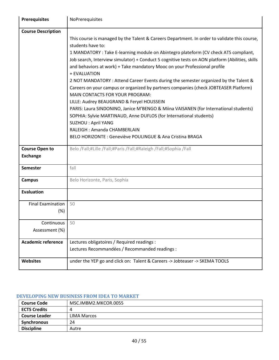| <b>Prerequisites</b>      | NoPrerequisites                                                                                                                                                                                                                                                                      |
|---------------------------|--------------------------------------------------------------------------------------------------------------------------------------------------------------------------------------------------------------------------------------------------------------------------------------|
| <b>Course Description</b> |                                                                                                                                                                                                                                                                                      |
|                           | This course is managed by the Talent & Careers Department. In order to validate this course,<br>students have to:                                                                                                                                                                    |
|                           | 1 MANDATORY : Take E-learning module on Abintegro plateform (CV check ATS compliant,<br>Job search, Interview simulator) + Conduct 5 cognitive tests on AON platform (Abilities, skills<br>and behaviors at work) + Take mandatory Mooc on your Professional profile<br>+ EVALUATION |
|                           | 2 NOT MANDATORY: Attend Career Events during the semester organized by the Talent &<br>Careers on your campus or organized by partners companies (check JOBTEASER Platform)<br>MAIN CONTACTS FOR YOUR PROGRAM:                                                                       |
|                           | LILLE: Audrey BEAUGRAND & Feryel HOUSSEIN<br>PARIS: Laura SINDONINO, Janice M'BENGO & Miina VAISANEN (for International students)<br>SOPHIA: Sylvie MARTINAUD, Anne DUFLOS (for International students)<br><b>SUZHOU: April YANG</b>                                                 |
|                           | RALEIGH: Amanda CHAMBERLAIN                                                                                                                                                                                                                                                          |
|                           | BELO HORIZONTE : Geneviève POULINGUE & Ana Cristina BRAGA                                                                                                                                                                                                                            |
| <b>Course Open to</b>     | Belo /Fall;#Lille /Fall;#Paris /Fall;#Raleigh /Fall;#Sophia /Fall                                                                                                                                                                                                                    |
| <b>Exchange</b>           |                                                                                                                                                                                                                                                                                      |
| <b>Semester</b>           | fall                                                                                                                                                                                                                                                                                 |
| <b>Campus</b>             | Belo Horizonte, Paris, Sophia                                                                                                                                                                                                                                                        |
| <b>Evaluation</b>         |                                                                                                                                                                                                                                                                                      |
| <b>Final Examination</b>  | 50                                                                                                                                                                                                                                                                                   |
| $(\%)$                    |                                                                                                                                                                                                                                                                                      |
| Continuous                | 50                                                                                                                                                                                                                                                                                   |
| Assessment (%)            |                                                                                                                                                                                                                                                                                      |
| <b>Academic reference</b> | Lectures obligatoires / Required readings :                                                                                                                                                                                                                                          |
|                           | Lectures Recommandées / Recommanded readings :                                                                                                                                                                                                                                       |
| <b>Websites</b>           | under the YEP go and click on: Talent & Careers -> Jobteaser -> SKEMA TOOLS                                                                                                                                                                                                          |

## <span id="page-39-0"></span>**DEVELOPING NEW BUSINESS FROM IDEA TO MARKET**

| <b>Course Code</b>   | MSC.IMBM2.MKCOR.0055 |
|----------------------|----------------------|
| <b>ECTS Credits</b>  |                      |
| <b>Course Leader</b> | <b>LIMA Marcos</b>   |
| Synchronous          | 24                   |
| <b>Discipline</b>    | Autre                |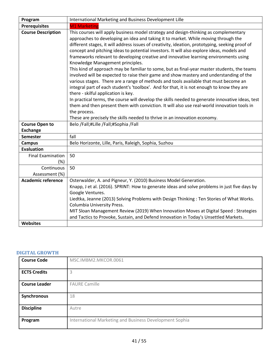| Program                                  | International Marketing and Business Development Lille                                                                                                                                                                                                                                                                                                                                                                                                                                                                                                                                                                                                                                                                                                                                                                                                                                                                                                                                                                                                                                                                                                                                                                         |
|------------------------------------------|--------------------------------------------------------------------------------------------------------------------------------------------------------------------------------------------------------------------------------------------------------------------------------------------------------------------------------------------------------------------------------------------------------------------------------------------------------------------------------------------------------------------------------------------------------------------------------------------------------------------------------------------------------------------------------------------------------------------------------------------------------------------------------------------------------------------------------------------------------------------------------------------------------------------------------------------------------------------------------------------------------------------------------------------------------------------------------------------------------------------------------------------------------------------------------------------------------------------------------|
| <b>Prerequisites</b>                     | <b>M1 Marketing</b>                                                                                                                                                                                                                                                                                                                                                                                                                                                                                                                                                                                                                                                                                                                                                                                                                                                                                                                                                                                                                                                                                                                                                                                                            |
| <b>Course Description</b>                | This courses will apply business model strategy and design-thinking as complementary<br>approaches to developing an idea and taking it to market. While moving through the<br>different stages, it will address issues of creativity, ideation, prototyping, seeking proof of<br>concept and pitching ideas to potential investors. It will also explore ideas, models and<br>frameworks relevant to developing creative and innovative learning environments using<br>Knowledge Management principles.<br>This kind of approach may be familiar to some, but as final-year master students, the teams<br>involved will be expected to raise their game and show mastery and understanding of the<br>various stages. There are a range of methods and tools available that must become an<br>integral part of each student's 'toolbox'. And for that, it is not enough to know they are<br>there - skilful application is key.<br>In practical terms, the course will develop the skills needed to generate innovative ideas, test<br>them and then present them with conviction. It will also use real-world innovation tools in<br>the process.<br>These are precisely the skills needed to thrive in an innovation economy. |
| <b>Course Open to</b><br><b>Exchange</b> | Belo /Fall;#Lille /Fall;#Sophia /Fall                                                                                                                                                                                                                                                                                                                                                                                                                                                                                                                                                                                                                                                                                                                                                                                                                                                                                                                                                                                                                                                                                                                                                                                          |
| <b>Semester</b>                          | fall                                                                                                                                                                                                                                                                                                                                                                                                                                                                                                                                                                                                                                                                                                                                                                                                                                                                                                                                                                                                                                                                                                                                                                                                                           |
| <b>Campus</b>                            | Belo Horizonte, Lille, Paris, Raleigh, Sophia, Suzhou                                                                                                                                                                                                                                                                                                                                                                                                                                                                                                                                                                                                                                                                                                                                                                                                                                                                                                                                                                                                                                                                                                                                                                          |
| <b>Evaluation</b>                        |                                                                                                                                                                                                                                                                                                                                                                                                                                                                                                                                                                                                                                                                                                                                                                                                                                                                                                                                                                                                                                                                                                                                                                                                                                |
| <b>Final Examination</b><br>$(\%)$       | 50                                                                                                                                                                                                                                                                                                                                                                                                                                                                                                                                                                                                                                                                                                                                                                                                                                                                                                                                                                                                                                                                                                                                                                                                                             |
| Continuous<br>Assessment (%)             | 50                                                                                                                                                                                                                                                                                                                                                                                                                                                                                                                                                                                                                                                                                                                                                                                                                                                                                                                                                                                                                                                                                                                                                                                                                             |
| <b>Academic reference</b>                | Osterwalder, A. and Pigneur, Y. (2010) Business Model Generation.<br>Knapp, J et al. (2016). SPRINT: How to generate ideas and solve problems in just five days by<br>Google Ventures.<br>Liedtka, Jeanne (2013) Solving Problems with Design Thinking: Ten Stories of What Works.<br>Columbia University Press.<br>MIT Sloan Management Review (2019) When Innovation Moves at Digital Speed : Strategies<br>and Tactics to Provoke, Sustain, and Defend Innovation in Today's Unsettled Markets.                                                                                                                                                                                                                                                                                                                                                                                                                                                                                                                                                                                                                                                                                                                             |
| <b>Websites</b>                          |                                                                                                                                                                                                                                                                                                                                                                                                                                                                                                                                                                                                                                                                                                                                                                                                                                                                                                                                                                                                                                                                                                                                                                                                                                |

#### <span id="page-40-0"></span>**DIGITAL GROWTH**

| <b>Course Code</b>   | MSC.IMBM2.MKCOR.0061                                    |
|----------------------|---------------------------------------------------------|
| <b>ECTS Credits</b>  | 3                                                       |
| <b>Course Leader</b> | <b>FAURE Camille</b>                                    |
| Synchronous          | 18                                                      |
| <b>Discipline</b>    | Autre                                                   |
| Program              | International Marketing and Business Development Sophia |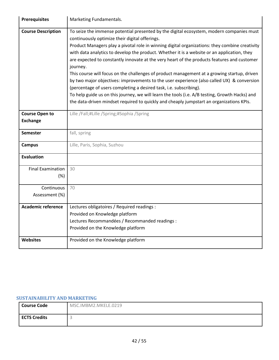| <b>Prerequisites</b>      | Marketing Fundamentals.                                                                                                                                                                                                                                                                                                                                                                                                                                                                                                                                                                                                                                                                                                                                                                                                                                                                                                 |
|---------------------------|-------------------------------------------------------------------------------------------------------------------------------------------------------------------------------------------------------------------------------------------------------------------------------------------------------------------------------------------------------------------------------------------------------------------------------------------------------------------------------------------------------------------------------------------------------------------------------------------------------------------------------------------------------------------------------------------------------------------------------------------------------------------------------------------------------------------------------------------------------------------------------------------------------------------------|
| <b>Course Description</b> | To seize the immense potential presented by the digital ecosystem, modern companies must<br>continuously optimize their digital offerings.<br>Product Managers play a pivotal role in winning digital organizations: they combine creativity<br>with data analytics to develop the product. Whether it is a website or an application, they<br>are expected to constantly innovate at the very heart of the products features and customer<br>journey.<br>This course will focus on the challenges of product management at a growing startup, driven<br>by two major objectives: improvements to the user experience (also called UX) & conversion<br>(percentage of users completing a desired task, i.e. subscribing).<br>To help guide us on this journey, we will learn the tools (i.e. A/B testing, Growth Hacks) and<br>the data-driven mindset required to quickly and cheaply jumpstart an organizations KPIs. |
| <b>Course Open to</b>     | Lille /Fall;#Lille /Spring;#Sophia /Spring                                                                                                                                                                                                                                                                                                                                                                                                                                                                                                                                                                                                                                                                                                                                                                                                                                                                              |
| <b>Exchange</b>           |                                                                                                                                                                                                                                                                                                                                                                                                                                                                                                                                                                                                                                                                                                                                                                                                                                                                                                                         |
| <b>Semester</b>           | fall, spring                                                                                                                                                                                                                                                                                                                                                                                                                                                                                                                                                                                                                                                                                                                                                                                                                                                                                                            |
| <b>Campus</b>             | Lille, Paris, Sophia, Suzhou                                                                                                                                                                                                                                                                                                                                                                                                                                                                                                                                                                                                                                                                                                                                                                                                                                                                                            |
| <b>Evaluation</b>         |                                                                                                                                                                                                                                                                                                                                                                                                                                                                                                                                                                                                                                                                                                                                                                                                                                                                                                                         |
| <b>Final Examination</b>  | 30                                                                                                                                                                                                                                                                                                                                                                                                                                                                                                                                                                                                                                                                                                                                                                                                                                                                                                                      |
| (%)                       |                                                                                                                                                                                                                                                                                                                                                                                                                                                                                                                                                                                                                                                                                                                                                                                                                                                                                                                         |
| Continuous                | 70                                                                                                                                                                                                                                                                                                                                                                                                                                                                                                                                                                                                                                                                                                                                                                                                                                                                                                                      |
| Assessment (%)            |                                                                                                                                                                                                                                                                                                                                                                                                                                                                                                                                                                                                                                                                                                                                                                                                                                                                                                                         |
| <b>Academic reference</b> | Lectures obligatoires / Required readings :                                                                                                                                                                                                                                                                                                                                                                                                                                                                                                                                                                                                                                                                                                                                                                                                                                                                             |
|                           | Provided on Knowledge platform                                                                                                                                                                                                                                                                                                                                                                                                                                                                                                                                                                                                                                                                                                                                                                                                                                                                                          |
|                           | Lectures Recommandées / Recommanded readings :                                                                                                                                                                                                                                                                                                                                                                                                                                                                                                                                                                                                                                                                                                                                                                                                                                                                          |
|                           | Provided on the Knowledge platform                                                                                                                                                                                                                                                                                                                                                                                                                                                                                                                                                                                                                                                                                                                                                                                                                                                                                      |
| <b>Websites</b>           | Provided on the Knowledge platform                                                                                                                                                                                                                                                                                                                                                                                                                                                                                                                                                                                                                                                                                                                                                                                                                                                                                      |

## <span id="page-41-0"></span>**SUSTAINABILITY AND MARKETING**

| <b>Course Code</b>  | MSC.IMBM2.MKELE.0219 |
|---------------------|----------------------|
| <b>ECTS Credits</b> |                      |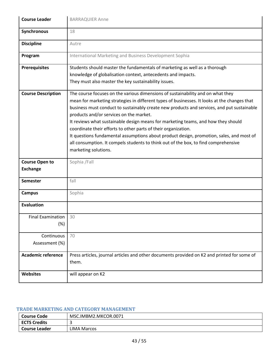| <b>Course Leader</b>                     | <b>BARRAQUIER Anne</b>                                                                                                                                                                                                                                                                                                                                                                                                                                                                                                                                                                                                                                                                     |
|------------------------------------------|--------------------------------------------------------------------------------------------------------------------------------------------------------------------------------------------------------------------------------------------------------------------------------------------------------------------------------------------------------------------------------------------------------------------------------------------------------------------------------------------------------------------------------------------------------------------------------------------------------------------------------------------------------------------------------------------|
| Synchronous                              | 18                                                                                                                                                                                                                                                                                                                                                                                                                                                                                                                                                                                                                                                                                         |
| <b>Discipline</b>                        | Autre                                                                                                                                                                                                                                                                                                                                                                                                                                                                                                                                                                                                                                                                                      |
| Program                                  | International Marketing and Business Development Sophia                                                                                                                                                                                                                                                                                                                                                                                                                                                                                                                                                                                                                                    |
| <b>Prerequisites</b>                     | Students should master the fundamentals of marketing as well as a thorough<br>knowledge of globalisation context, antecedents and impacts.<br>They must also master the key sustainability issues.                                                                                                                                                                                                                                                                                                                                                                                                                                                                                         |
| <b>Course Description</b>                | The course focuses on the various dimensions of sustainability and on what they<br>mean for marketing strategies in different types of businesses. It looks at the changes that<br>business must conduct to sustainably create new products and services, and put sustainable<br>products and/or services on the market.<br>It reviews what sustainable design means for marketing teams, and how they should<br>coordinate their efforts to other parts of their organization.<br>It questions fundamental assumptions about product design, promotion, sales, and most of<br>all consumption. It compels students to think out of the box, to find comprehensive<br>marketing solutions. |
| <b>Course Open to</b><br><b>Exchange</b> | Sophia /Fall                                                                                                                                                                                                                                                                                                                                                                                                                                                                                                                                                                                                                                                                               |
| <b>Semester</b>                          | fall                                                                                                                                                                                                                                                                                                                                                                                                                                                                                                                                                                                                                                                                                       |
| <b>Campus</b>                            | Sophia                                                                                                                                                                                                                                                                                                                                                                                                                                                                                                                                                                                                                                                                                     |
| <b>Evaluation</b>                        |                                                                                                                                                                                                                                                                                                                                                                                                                                                                                                                                                                                                                                                                                            |
| Final Examination<br>(%)                 | 30                                                                                                                                                                                                                                                                                                                                                                                                                                                                                                                                                                                                                                                                                         |
| Continuous                               | 70                                                                                                                                                                                                                                                                                                                                                                                                                                                                                                                                                                                                                                                                                         |
| Assessment (%)                           |                                                                                                                                                                                                                                                                                                                                                                                                                                                                                                                                                                                                                                                                                            |
| <b>Academic reference</b>                | Press articles, journal articles and other documents provided on K2 and printed for some of<br>them.                                                                                                                                                                                                                                                                                                                                                                                                                                                                                                                                                                                       |
| <b>Websites</b>                          | will appear on K2                                                                                                                                                                                                                                                                                                                                                                                                                                                                                                                                                                                                                                                                          |

## <span id="page-42-0"></span>**TRADE MARKETING AND CATEGORY MANAGEMENT**

| <b>Course Code</b>  | MSC.IMBM2.MKCOR.0071 |
|---------------------|----------------------|
| <b>ECTS Credits</b> |                      |
| Course Leader       | LIMA Marcos          |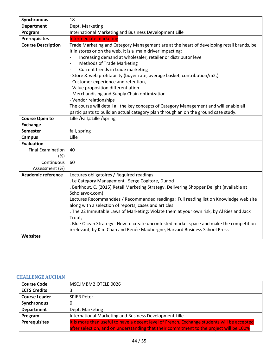| Synchronous               | 18                                                                                                                                                                                                                                                                                                                                                                                                                                                                                                                                                                                                                                                                                                                                                                                                   |
|---------------------------|------------------------------------------------------------------------------------------------------------------------------------------------------------------------------------------------------------------------------------------------------------------------------------------------------------------------------------------------------------------------------------------------------------------------------------------------------------------------------------------------------------------------------------------------------------------------------------------------------------------------------------------------------------------------------------------------------------------------------------------------------------------------------------------------------|
| <b>Department</b>         | Dept. Marketing                                                                                                                                                                                                                                                                                                                                                                                                                                                                                                                                                                                                                                                                                                                                                                                      |
| Program                   | International Marketing and Business Development Lille                                                                                                                                                                                                                                                                                                                                                                                                                                                                                                                                                                                                                                                                                                                                               |
| <b>Prerequisites</b>      | <b>Intermediate marketing</b>                                                                                                                                                                                                                                                                                                                                                                                                                                                                                                                                                                                                                                                                                                                                                                        |
| <b>Course Description</b> | Trade Marketing and Category Management are at the heart of developing retail brands, be<br>it in stores or on the web. It is a main driver impacting:<br>Increasing demand at wholesaler, retailer or distributor level<br>$\overline{\phantom{a}}$<br><b>Methods of Trade Marketing</b><br>$\overline{\phantom{a}}$<br>Current trends in trade marketing<br>$\overline{a}$<br>- Store & web profitability (buyer rate, average basket, contribution/m2,)<br>- Customer experience and retention,<br>- Value proposition differentiation<br>- Merchandising and Supply Chain optimization<br>- Vendor relationships<br>The course will detail all the key concepts of Category Management and will enable all<br>participants to build an actual category plan through an on the ground case study. |
| <b>Course Open to</b>     | Lille /Fall;#Lille /Spring                                                                                                                                                                                                                                                                                                                                                                                                                                                                                                                                                                                                                                                                                                                                                                           |
| <b>Exchange</b>           |                                                                                                                                                                                                                                                                                                                                                                                                                                                                                                                                                                                                                                                                                                                                                                                                      |
| <b>Semester</b>           | fall, spring                                                                                                                                                                                                                                                                                                                                                                                                                                                                                                                                                                                                                                                                                                                                                                                         |
| <b>Campus</b>             | Lille                                                                                                                                                                                                                                                                                                                                                                                                                                                                                                                                                                                                                                                                                                                                                                                                |
| <b>Evaluation</b>         |                                                                                                                                                                                                                                                                                                                                                                                                                                                                                                                                                                                                                                                                                                                                                                                                      |
| <b>Final Examination</b>  | 40                                                                                                                                                                                                                                                                                                                                                                                                                                                                                                                                                                                                                                                                                                                                                                                                   |
| (%)                       |                                                                                                                                                                                                                                                                                                                                                                                                                                                                                                                                                                                                                                                                                                                                                                                                      |
| Continuous                | 60                                                                                                                                                                                                                                                                                                                                                                                                                                                                                                                                                                                                                                                                                                                                                                                                   |
| Assessment (%)            |                                                                                                                                                                                                                                                                                                                                                                                                                                                                                                                                                                                                                                                                                                                                                                                                      |
| <b>Academic reference</b> | Lectures obligatoires / Required readings :                                                                                                                                                                                                                                                                                                                                                                                                                                                                                                                                                                                                                                                                                                                                                          |
|                           | . Le Category Management, Serge Cogitore, Dunod                                                                                                                                                                                                                                                                                                                                                                                                                                                                                                                                                                                                                                                                                                                                                      |
|                           | . Berkhout, C. (2015) Retail Marketing Strategy. Delivering Shopper Delight (available at                                                                                                                                                                                                                                                                                                                                                                                                                                                                                                                                                                                                                                                                                                            |
|                           | Scholarvox.com)                                                                                                                                                                                                                                                                                                                                                                                                                                                                                                                                                                                                                                                                                                                                                                                      |
|                           | Lectures Recommandées / Recommanded readings : Full reading list on Knowledge web site<br>along with a selection of reports, cases and articles                                                                                                                                                                                                                                                                                                                                                                                                                                                                                                                                                                                                                                                      |
|                           | . The 22 Immutable Laws of Marketing: Violate them at your own risk, by Al Ries and Jack                                                                                                                                                                                                                                                                                                                                                                                                                                                                                                                                                                                                                                                                                                             |
|                           | Trout,                                                                                                                                                                                                                                                                                                                                                                                                                                                                                                                                                                                                                                                                                                                                                                                               |
|                           | . Blue Ocean Strategy : How to create uncontested market space and make the competition                                                                                                                                                                                                                                                                                                                                                                                                                                                                                                                                                                                                                                                                                                              |
|                           | irrelevant, by Kim Chan and Renée Mauborgne, Harvard Business School Press                                                                                                                                                                                                                                                                                                                                                                                                                                                                                                                                                                                                                                                                                                                           |
| Websites                  |                                                                                                                                                                                                                                                                                                                                                                                                                                                                                                                                                                                                                                                                                                                                                                                                      |

## <span id="page-43-0"></span>**CHALLENGE AUCHAN**

| <b>Course Code</b>   | MSC.IMBM2.OTELE.0026                                                                        |
|----------------------|---------------------------------------------------------------------------------------------|
| <b>ECTS Credits</b>  |                                                                                             |
| <b>Course Leader</b> | <b>SPIER Peter</b>                                                                          |
| <b>Synchronous</b>   | 0                                                                                           |
| <b>Department</b>    | Dept. Marketing                                                                             |
| Program              | International Marketing and Business Development Lille                                      |
| <b>Prerequisites</b> | It is more than useful to have a decent level of French. Exchange students will be accepted |
|                      | after selection, and on understanding that their commitment to the project will be 100%     |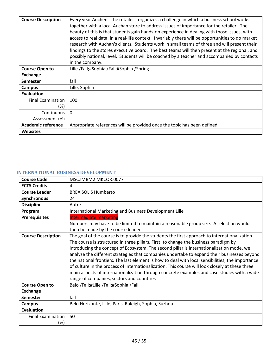| <b>Course Description</b> | Every year Auchen - the retailer - organizes a challenge in which a business school works        |
|---------------------------|--------------------------------------------------------------------------------------------------|
|                           | together with a local Auchan store to address issues of importance for the retailer. The         |
|                           | beauty of this is that students gain hands-on experience in dealing with those issues, with      |
|                           | access to real data, in a real-life context. Invariably there will be opportunities to do market |
|                           | research with Auchan's clients. Students work in small teams of three and will present their     |
|                           | findings to the stores executive board. The best teams will then present at the regional, and    |
|                           | possibly national, level. Students will be coached by a teacher and accompanied by contacts      |
|                           | in the company.                                                                                  |
| <b>Course Open to</b>     | Lille /Fall;#Sophia /Fall;#Sophia /Spring                                                        |
| <b>Exchange</b>           |                                                                                                  |
| <b>Semester</b>           | fall                                                                                             |
| Campus                    | Lille, Sophia                                                                                    |
| <b>Evaluation</b>         |                                                                                                  |
| <b>Final Examination</b>  | 100                                                                                              |
| (%)                       |                                                                                                  |
| Continuous                | $\Omega$                                                                                         |
| Assessment (%)            |                                                                                                  |
| <b>Academic reference</b> | Appropriate references will be provided once the topic has been defined                          |
| <b>Websites</b>           |                                                                                                  |

#### <span id="page-44-0"></span>**INTERNATIONAL BUSINESS DEVELOPMENT**

| <b>Course Code</b>                       | MSC.IMBM2.MKCOR.0077                                                                                                                                                                                                                                                                                                                                                                                                                                                                                                                                                                                                                                                                                                                |
|------------------------------------------|-------------------------------------------------------------------------------------------------------------------------------------------------------------------------------------------------------------------------------------------------------------------------------------------------------------------------------------------------------------------------------------------------------------------------------------------------------------------------------------------------------------------------------------------------------------------------------------------------------------------------------------------------------------------------------------------------------------------------------------|
| <b>ECTS Credits</b>                      | 4                                                                                                                                                                                                                                                                                                                                                                                                                                                                                                                                                                                                                                                                                                                                   |
| <b>Course Leader</b>                     | <b>BREA SOLIS Humberto</b>                                                                                                                                                                                                                                                                                                                                                                                                                                                                                                                                                                                                                                                                                                          |
| Synchronous                              | 24                                                                                                                                                                                                                                                                                                                                                                                                                                                                                                                                                                                                                                                                                                                                  |
| <b>Discipline</b>                        | Autre                                                                                                                                                                                                                                                                                                                                                                                                                                                                                                                                                                                                                                                                                                                               |
| Program                                  | International Marketing and Business Development Lille                                                                                                                                                                                                                                                                                                                                                                                                                                                                                                                                                                                                                                                                              |
| <b>Prerequisites</b>                     | <b>Intermediate marketing</b><br>Numbers may have to be limited to maintain a reasonable group size. A selection would<br>then be made by the course leader                                                                                                                                                                                                                                                                                                                                                                                                                                                                                                                                                                         |
| <b>Course Description</b>                | The goal of the course is to provide the students the first approach to internationalization.<br>The course is structured in three pillars. First, to change the business paradigm by<br>introducing the concept of Ecosystem. The second pillar is internationalization mode, we<br>analyze the different strategies that companies undertake to expand their businesses beyond<br>the national frontiers. The last element is how to deal with local sensibilities; the importance<br>of culture in the process of internationalization. This course will look closely at these three<br>main aspects of internationalization through concrete examples and case studies with a wide<br>range of companies, sectors and countries |
| <b>Course Open to</b><br><b>Exchange</b> | Belo /Fall;#Lille /Fall;#Sophia /Fall                                                                                                                                                                                                                                                                                                                                                                                                                                                                                                                                                                                                                                                                                               |
| <b>Semester</b>                          | fall                                                                                                                                                                                                                                                                                                                                                                                                                                                                                                                                                                                                                                                                                                                                |
| <b>Campus</b>                            | Belo Horizonte, Lille, Paris, Raleigh, Sophia, Suzhou                                                                                                                                                                                                                                                                                                                                                                                                                                                                                                                                                                                                                                                                               |
| <b>Evaluation</b>                        |                                                                                                                                                                                                                                                                                                                                                                                                                                                                                                                                                                                                                                                                                                                                     |
| <b>Final Examination</b><br>(%)          | 50                                                                                                                                                                                                                                                                                                                                                                                                                                                                                                                                                                                                                                                                                                                                  |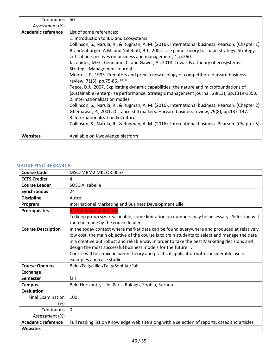| Continuous         | 50                                                                                              |
|--------------------|-------------------------------------------------------------------------------------------------|
| Assessment (%)     |                                                                                                 |
| Academic reference | List of some references:                                                                        |
|                    | 1. Introduction to IBD and Ecosystems                                                           |
|                    | Collinson, S., Narula, R., & Rugman, A. M. (2016). International business. Pearson. (Chapter 1) |
|                    | Brandenburger, A.M. and Nalebuff, B.J., 2002. Use game theory to shape strategy. Strategy:      |
|                    | critical perspectives on business and management, 4, p.260.                                     |
|                    | Jacobides, M.G., Cennamo, C. and Gawer, A., 2018. Towards a theory of ecosystems.               |
|                    | Strategic Management Journal.                                                                   |
|                    | Moore, J.F., 1993. Predators and prey: a new ecology of competition. Harvard business           |
|                    | review, 71(3), pp.75-86. ***                                                                    |
|                    | Teece, D.J., 2007. Explicating dynamic capabilities: the nature and microfoundations of         |
|                    | (sustainable) enterprise performance. Strategic management journal, 28(13), pp.1319-1350.       |
|                    | 2. Internationalization modes                                                                   |
|                    | Collinson, S., Narula, R., & Rugman, A. M. (2016). International business. Pearson. (Chapter 2) |
|                    | Ghemawat, P., 2001. Distance still matters. Harvard business review, 79(8), pp.137-147.         |
|                    | 3. Internationalization & Culture:                                                              |
|                    | Collinson, S., Narula, R., & Rugman, A. M. (2016). International business. Pearson. (Chapter 5) |
|                    |                                                                                                 |
| <b>Websites</b>    | Available on Kwowledge platform                                                                 |

# <span id="page-45-0"></span>**MARKETING RESEARCH**

| <b>Course Code</b>        | MSC.IMBM2.MKCOR.0057                                                                                                                                                                                                                                                                                                                                                                                                                                                              |
|---------------------------|-----------------------------------------------------------------------------------------------------------------------------------------------------------------------------------------------------------------------------------------------------------------------------------------------------------------------------------------------------------------------------------------------------------------------------------------------------------------------------------|
| <b>ECTS Credits</b>       | 4                                                                                                                                                                                                                                                                                                                                                                                                                                                                                 |
| <b>Course Leader</b>      | SOSCIA Isabella                                                                                                                                                                                                                                                                                                                                                                                                                                                                   |
| <b>Synchronous</b>        | 24                                                                                                                                                                                                                                                                                                                                                                                                                                                                                |
| <b>Discipline</b>         | Autre                                                                                                                                                                                                                                                                                                                                                                                                                                                                             |
| Program                   | International Marketing and Business Development Lille                                                                                                                                                                                                                                                                                                                                                                                                                            |
| <b>Prerequisites</b>      | Intermediate marketing                                                                                                                                                                                                                                                                                                                                                                                                                                                            |
|                           | To keep group size reasonable, some limitation on numbers may be necessary. Selection will<br>then be made by the course leader                                                                                                                                                                                                                                                                                                                                                   |
| <b>Course Description</b> | In the today context where market data can be found everywhere and produced at relatively<br>low cost, the main objective of the course is to train students to select and manage the data<br>in a creative but robust and reliable way in order to take the best Marketing decisions and<br>design the most successful business models for the future. .<br>Course will be a mix between theory and practical application with considerable use of<br>examples and case studies. |
| <b>Course Open to</b>     | Belo /Fall;#Lille /Fall;#Sophia /Fall                                                                                                                                                                                                                                                                                                                                                                                                                                             |
| <b>Exchange</b>           |                                                                                                                                                                                                                                                                                                                                                                                                                                                                                   |
| <b>Semester</b>           | fall                                                                                                                                                                                                                                                                                                                                                                                                                                                                              |
| <b>Campus</b>             | Belo Horizonte, Lille, Paris, Raleigh, Sophia, Suzhou                                                                                                                                                                                                                                                                                                                                                                                                                             |
| <b>Evaluation</b>         |                                                                                                                                                                                                                                                                                                                                                                                                                                                                                   |
| <b>Final Examination</b>  | 100                                                                                                                                                                                                                                                                                                                                                                                                                                                                               |
| $(\%)$                    |                                                                                                                                                                                                                                                                                                                                                                                                                                                                                   |
| Continuous                | $\Omega$                                                                                                                                                                                                                                                                                                                                                                                                                                                                          |
| Assessment (%)            |                                                                                                                                                                                                                                                                                                                                                                                                                                                                                   |
| <b>Academic reference</b> | Full reading list on Knowledge web site along with a selection of reports, cases and articles                                                                                                                                                                                                                                                                                                                                                                                     |
| <b>Websites</b>           |                                                                                                                                                                                                                                                                                                                                                                                                                                                                                   |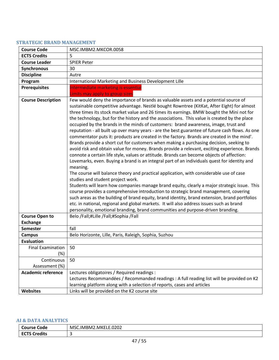#### <span id="page-46-0"></span>**STRATEGIC BRAND MANAGEMENT**

| <b>Course Code</b>                       | MSC.IMBM2.MKCOR.0058                                                                                                                                                                                                                                                                                                                                                                                                                                                                                                                                                                                                                                                                                                                                                                                                                                                                                                                                                                                                                                                                                                                                                                                                                                                                                                                                                                                                                                                                                                                                                                                                                                                                |
|------------------------------------------|-------------------------------------------------------------------------------------------------------------------------------------------------------------------------------------------------------------------------------------------------------------------------------------------------------------------------------------------------------------------------------------------------------------------------------------------------------------------------------------------------------------------------------------------------------------------------------------------------------------------------------------------------------------------------------------------------------------------------------------------------------------------------------------------------------------------------------------------------------------------------------------------------------------------------------------------------------------------------------------------------------------------------------------------------------------------------------------------------------------------------------------------------------------------------------------------------------------------------------------------------------------------------------------------------------------------------------------------------------------------------------------------------------------------------------------------------------------------------------------------------------------------------------------------------------------------------------------------------------------------------------------------------------------------------------------|
| <b>ECTS Credits</b>                      | 5                                                                                                                                                                                                                                                                                                                                                                                                                                                                                                                                                                                                                                                                                                                                                                                                                                                                                                                                                                                                                                                                                                                                                                                                                                                                                                                                                                                                                                                                                                                                                                                                                                                                                   |
| <b>Course Leader</b>                     | <b>SPIER Peter</b>                                                                                                                                                                                                                                                                                                                                                                                                                                                                                                                                                                                                                                                                                                                                                                                                                                                                                                                                                                                                                                                                                                                                                                                                                                                                                                                                                                                                                                                                                                                                                                                                                                                                  |
| Synchronous                              | 30                                                                                                                                                                                                                                                                                                                                                                                                                                                                                                                                                                                                                                                                                                                                                                                                                                                                                                                                                                                                                                                                                                                                                                                                                                                                                                                                                                                                                                                                                                                                                                                                                                                                                  |
| <b>Discipline</b>                        | Autre                                                                                                                                                                                                                                                                                                                                                                                                                                                                                                                                                                                                                                                                                                                                                                                                                                                                                                                                                                                                                                                                                                                                                                                                                                                                                                                                                                                                                                                                                                                                                                                                                                                                               |
| Program                                  | International Marketing and Business Development Lille                                                                                                                                                                                                                                                                                                                                                                                                                                                                                                                                                                                                                                                                                                                                                                                                                                                                                                                                                                                                                                                                                                                                                                                                                                                                                                                                                                                                                                                                                                                                                                                                                              |
| <b>Prerequisites</b>                     | Intermediate marketing is essential<br>Limits may apply to group sizes                                                                                                                                                                                                                                                                                                                                                                                                                                                                                                                                                                                                                                                                                                                                                                                                                                                                                                                                                                                                                                                                                                                                                                                                                                                                                                                                                                                                                                                                                                                                                                                                              |
| <b>Course Description</b>                | Few would deny the importance of brands as valuable assets and a potential source of<br>sustainable competitive advantage. Nestlé bought Rowntree (KitKat, After Eight) for almost<br>three times its stock market value and 26 times its earnings. BMW bought the Mini not for<br>the technology, but for the history and the associations. This value is created by the place<br>occupied by the brands in the minds of customers: brand awareness, image, trust and<br>reputation - all built up over many years - are the best guarantee of future cash flows. As one<br>commentator puts it: products are created in the factory. Brands are created in the mind'.<br>Brands provide a short cut for customers when making a purchasing decision, seeking to<br>avoid risk and obtain value for money. Brands provide a relevant, exciting experience. Brands<br>connote a certain life style, values or attitude. Brands can become objects of affection:<br>Lovemarks, even. Buying a brand is an integral part of an individuals quest for identity and<br>meaning.<br>The course will balance theory and practical application, with considerable use of case<br>studies and student project work.<br>Students will learn how companies manage brand equity, clearly a major strategic issue. This<br>course provides a comprehensive introduction to strategic brand management, covering<br>such areas as the building of brand equity, brand identity, brand extension, brand portfolios<br>etc. in national, regional and global markets. It will also address issues such as brand<br>personality, emotional branding, brand communities and purpose-driven branding. |
| <b>Course Open to</b><br><b>Exchange</b> | Belo /Fall;#Lille /Fall;#Sophia /Fall                                                                                                                                                                                                                                                                                                                                                                                                                                                                                                                                                                                                                                                                                                                                                                                                                                                                                                                                                                                                                                                                                                                                                                                                                                                                                                                                                                                                                                                                                                                                                                                                                                               |
| <b>Semester</b>                          | fall                                                                                                                                                                                                                                                                                                                                                                                                                                                                                                                                                                                                                                                                                                                                                                                                                                                                                                                                                                                                                                                                                                                                                                                                                                                                                                                                                                                                                                                                                                                                                                                                                                                                                |
| <b>Campus</b>                            | Belo Horizonte, Lille, Paris, Raleigh, Sophia, Suzhou                                                                                                                                                                                                                                                                                                                                                                                                                                                                                                                                                                                                                                                                                                                                                                                                                                                                                                                                                                                                                                                                                                                                                                                                                                                                                                                                                                                                                                                                                                                                                                                                                               |
| <b>Evaluation</b>                        |                                                                                                                                                                                                                                                                                                                                                                                                                                                                                                                                                                                                                                                                                                                                                                                                                                                                                                                                                                                                                                                                                                                                                                                                                                                                                                                                                                                                                                                                                                                                                                                                                                                                                     |
| <b>Final Examination</b>                 | 50                                                                                                                                                                                                                                                                                                                                                                                                                                                                                                                                                                                                                                                                                                                                                                                                                                                                                                                                                                                                                                                                                                                                                                                                                                                                                                                                                                                                                                                                                                                                                                                                                                                                                  |
| (%)                                      |                                                                                                                                                                                                                                                                                                                                                                                                                                                                                                                                                                                                                                                                                                                                                                                                                                                                                                                                                                                                                                                                                                                                                                                                                                                                                                                                                                                                                                                                                                                                                                                                                                                                                     |
| Continuous                               | 50                                                                                                                                                                                                                                                                                                                                                                                                                                                                                                                                                                                                                                                                                                                                                                                                                                                                                                                                                                                                                                                                                                                                                                                                                                                                                                                                                                                                                                                                                                                                                                                                                                                                                  |
| Assessment (%)                           |                                                                                                                                                                                                                                                                                                                                                                                                                                                                                                                                                                                                                                                                                                                                                                                                                                                                                                                                                                                                                                                                                                                                                                                                                                                                                                                                                                                                                                                                                                                                                                                                                                                                                     |
| <b>Academic reference</b>                | Lectures obligatoires / Required readings :                                                                                                                                                                                                                                                                                                                                                                                                                                                                                                                                                                                                                                                                                                                                                                                                                                                                                                                                                                                                                                                                                                                                                                                                                                                                                                                                                                                                                                                                                                                                                                                                                                         |
|                                          | Lectures Recommandées / Recommanded readings : A full reading list will be provided on K2                                                                                                                                                                                                                                                                                                                                                                                                                                                                                                                                                                                                                                                                                                                                                                                                                                                                                                                                                                                                                                                                                                                                                                                                                                                                                                                                                                                                                                                                                                                                                                                           |
|                                          | learning platform along with a selection of reports, cases and articles                                                                                                                                                                                                                                                                                                                                                                                                                                                                                                                                                                                                                                                                                                                                                                                                                                                                                                                                                                                                                                                                                                                                                                                                                                                                                                                                                                                                                                                                                                                                                                                                             |
| <b>Websites</b>                          | Links will be provided on the K2 course site                                                                                                                                                                                                                                                                                                                                                                                                                                                                                                                                                                                                                                                                                                                                                                                                                                                                                                                                                                                                                                                                                                                                                                                                                                                                                                                                                                                                                                                                                                                                                                                                                                        |

### <span id="page-46-1"></span>**AI & DATA ANALYTICS**

| ◠<br>Code<br>⊺ourse                 | C.IMBM2.MKELE.0202<br>MSC |
|-------------------------------------|---------------------------|
| ECT<br><sup>-</sup> S Credits<br>-- | ີ                         |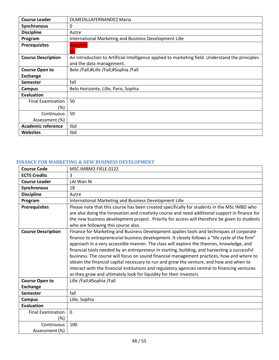| <b>Course Leader</b>      | <b>OLMEDILLAFERNANDEZ Maria</b>                                                                                              |
|---------------------------|------------------------------------------------------------------------------------------------------------------------------|
| <b>Synchronous</b>        | 0                                                                                                                            |
| <b>Discipline</b>         | Autre                                                                                                                        |
| Program                   | International Marketing and Business Development Lille                                                                       |
| <b>Prerequisites</b>      | analytics<br>xls                                                                                                             |
| <b>Course Description</b> | An introduction to Artificial Intelligence applied to marketing field. Understand the principles<br>and the data management. |
| <b>Course Open to</b>     | Belo /Fall;#Lille /Fall;#Sophia /Fall                                                                                        |
| <b>Exchange</b>           |                                                                                                                              |
| <b>Semester</b>           | fall                                                                                                                         |
| Campus                    | Belo Horizonte, Lille, Paris, Sophia                                                                                         |
| Evaluation                |                                                                                                                              |
| <b>Final Examination</b>  | 50                                                                                                                           |
| (%)                       |                                                                                                                              |
| Continuous                | 50                                                                                                                           |
| Assessment (%)            |                                                                                                                              |
| <b>Academic reference</b> | tbd                                                                                                                          |
| <b>Websites</b>           | tbd                                                                                                                          |

### <span id="page-47-0"></span>**FINANCE FOR MARKETING & NEW BUSINESS DEVELOPMENT**

| <b>Course Code</b>                 | MSC.IMBM2.FIELE.0122                                                                                                                                                                                                                                                                                                                                                                                                                                                                                                                                                                                                                                                                                                                                    |
|------------------------------------|---------------------------------------------------------------------------------------------------------------------------------------------------------------------------------------------------------------------------------------------------------------------------------------------------------------------------------------------------------------------------------------------------------------------------------------------------------------------------------------------------------------------------------------------------------------------------------------------------------------------------------------------------------------------------------------------------------------------------------------------------------|
| <b>ECTS Credits</b>                | 3                                                                                                                                                                                                                                                                                                                                                                                                                                                                                                                                                                                                                                                                                                                                                       |
| <b>Course Leader</b>               | LAI Wan Ni                                                                                                                                                                                                                                                                                                                                                                                                                                                                                                                                                                                                                                                                                                                                              |
| Synchronous                        | 18                                                                                                                                                                                                                                                                                                                                                                                                                                                                                                                                                                                                                                                                                                                                                      |
| <b>Discipline</b>                  | Autre                                                                                                                                                                                                                                                                                                                                                                                                                                                                                                                                                                                                                                                                                                                                                   |
| Program                            | International Marketing and Business Development Lille                                                                                                                                                                                                                                                                                                                                                                                                                                                                                                                                                                                                                                                                                                  |
| <b>Prerequisites</b>               | Please note that this course has been created specifically for students in the MSc IMBD who<br>are also doing the innovation and creativity course and need additional support in finance for<br>the new business development project. Priority for access will therefore be given to students<br>who are following this course also.                                                                                                                                                                                                                                                                                                                                                                                                                   |
| <b>Course Description</b>          | Finance for Marketing and Business Development applies tools and techniques of corporate<br>finance to entrepreneurial business development. It closely follows a "life cycle of the firm"<br>approach in a very accessible manner. The class will explore the theories, knowledge, and<br>financial tools needed by an entrepreneur in starting, building, and harvesting a successful<br>business. The course will focus on sound financial management practices, how and where to<br>obtain the financial capital necessary to run and grow the venture, and how and when to<br>interact with the financial institutions and regulatory agencies central to financing ventures<br>as they grow and ultimately look for liquidity for their investors |
| <b>Course Open to</b>              | Lille /Fall;#Sophia /Fall                                                                                                                                                                                                                                                                                                                                                                                                                                                                                                                                                                                                                                                                                                                               |
| <b>Exchange</b>                    |                                                                                                                                                                                                                                                                                                                                                                                                                                                                                                                                                                                                                                                                                                                                                         |
| <b>Semester</b>                    | fall                                                                                                                                                                                                                                                                                                                                                                                                                                                                                                                                                                                                                                                                                                                                                    |
| <b>Campus</b>                      | Lille, Sophia                                                                                                                                                                                                                                                                                                                                                                                                                                                                                                                                                                                                                                                                                                                                           |
| <b>Evaluation</b>                  |                                                                                                                                                                                                                                                                                                                                                                                                                                                                                                                                                                                                                                                                                                                                                         |
| <b>Final Examination</b><br>$(\%)$ | $\mathbf{0}$                                                                                                                                                                                                                                                                                                                                                                                                                                                                                                                                                                                                                                                                                                                                            |
| Continuous<br>Assessment (%)       | 100                                                                                                                                                                                                                                                                                                                                                                                                                                                                                                                                                                                                                                                                                                                                                     |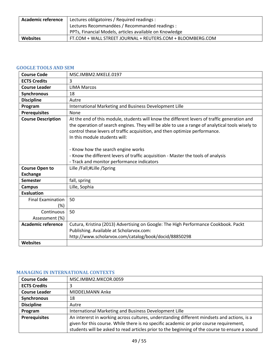| <b>Academic reference</b> | Lectures obligatoires / Required readings :                |
|---------------------------|------------------------------------------------------------|
|                           | Lectures Recommandées / Recommanded readings :             |
|                           | PPTs, Financial Models, articles available on Knowledge    |
| <b>Websites</b>           | FT.COM + WALL STREET JOURNAL + REUTERS.COM + BLOOMBERG.COM |

# <span id="page-48-0"></span>**GOOGLE TOOLS AND SEM**

| <b>Course Code</b>              | MSC.IMBM2.MKELE.0197                                                                                                                                                                                                                                                                                                                                                                                                                                                                     |
|---------------------------------|------------------------------------------------------------------------------------------------------------------------------------------------------------------------------------------------------------------------------------------------------------------------------------------------------------------------------------------------------------------------------------------------------------------------------------------------------------------------------------------|
| <b>ECTS Credits</b>             | 3                                                                                                                                                                                                                                                                                                                                                                                                                                                                                        |
| <b>Course Leader</b>            | <b>LIMA Marcos</b>                                                                                                                                                                                                                                                                                                                                                                                                                                                                       |
| Synchronous                     | 18                                                                                                                                                                                                                                                                                                                                                                                                                                                                                       |
| <b>Discipline</b>               | Autre                                                                                                                                                                                                                                                                                                                                                                                                                                                                                    |
| Program                         | International Marketing and Business Development Lille                                                                                                                                                                                                                                                                                                                                                                                                                                   |
| <b>Prerequisites</b>            | None                                                                                                                                                                                                                                                                                                                                                                                                                                                                                     |
| <b>Course Description</b>       | At the end of this module, students will know the different levers of traffic generation and<br>the operation of search engines. They will be able to use a range of analytical tools wisely to<br>control these levers of traffic acquisition, and then optimize performance.<br>In this module students will:<br>- Know how the search engine works<br>- Know the different levers of traffic acquisition - Master the tools of analysis<br>- Track and monitor performance indicators |
| <b>Course Open to</b>           | Lille /Fall;#Lille /Spring                                                                                                                                                                                                                                                                                                                                                                                                                                                               |
| <b>Exchange</b>                 |                                                                                                                                                                                                                                                                                                                                                                                                                                                                                          |
| <b>Semester</b>                 | fall, spring                                                                                                                                                                                                                                                                                                                                                                                                                                                                             |
| <b>Campus</b>                   | Lille, Sophia                                                                                                                                                                                                                                                                                                                                                                                                                                                                            |
| Evaluation                      |                                                                                                                                                                                                                                                                                                                                                                                                                                                                                          |
| <b>Final Examination</b><br>(%) | 50                                                                                                                                                                                                                                                                                                                                                                                                                                                                                       |
| Continuous<br>Assessment (%)    | 50                                                                                                                                                                                                                                                                                                                                                                                                                                                                                       |
| <b>Academic reference</b>       | Cutura, Kristina (2013) Advertising on Google: The High Performance Cookbook. Packt<br>Publishing. Available at Scholarvox.com:<br>http://www.scholarvox.com/catalog/book/docid/88850298                                                                                                                                                                                                                                                                                                 |
| <b>Websites</b>                 |                                                                                                                                                                                                                                                                                                                                                                                                                                                                                          |

#### <span id="page-48-1"></span>**MANAGING IN INTERNATIONAL CONTEXTS**

| <b>Course Code</b>   | MSC.IMBM2.MKCOR.0059                                                                           |
|----------------------|------------------------------------------------------------------------------------------------|
| <b>ECTS Credits</b>  |                                                                                                |
| <b>Course Leader</b> | MIDDELMANN Anke                                                                                |
| Synchronous          | 18                                                                                             |
| <b>Discipline</b>    | Autre                                                                                          |
| Program              | International Marketing and Business Development Lille                                         |
| <b>Prerequisites</b> | An intererst in working across cultures, understanding different mindsets and actions, is a    |
|                      | given for this course. While there is no specific academic or prior course requirement,        |
|                      | students will be asked to read articles prior to the beginning of the course to ensure a sound |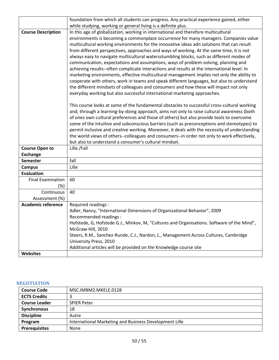|                                             | foundation from which all students can progress. Any practical experience gained, either      |
|---------------------------------------------|-----------------------------------------------------------------------------------------------|
|                                             | while studying, working or general living is a definite plus.                                 |
| <b>Course Description</b>                   | In this age of globalization, working in international and therefore multicultural            |
|                                             | environments is becoming a commonplace occurrence for many managers. Companies value          |
|                                             | multicultural working environments for the innovative ideas adn solutions that can result     |
|                                             | from different perspectives, approaches and ways of working. At the same time, it is not      |
|                                             | always easy to navigate multicultural watersstumbling blocks, such as different modes of      |
|                                             | communication, expectations and assumptions, ways of problem-solving, planning and            |
|                                             | achieving results--often complicate interactions and results at the international level. In   |
|                                             | marketing environments, effective multicultural management implies not only the ability to    |
|                                             | cooperate with others, work in teams and speak different languages, but also to understand    |
|                                             | the different mindsets of colleagues and consumers and how these will impact not only         |
|                                             | everyday working but also successful international marketing approaches.                      |
|                                             | This course looks at some of the fundamental obstacles to successful cross-cultural working   |
|                                             | and, through a learning-by-doing approach, aims not only to raise cultural awareness (both    |
|                                             | of ones own cultural preferences and those of others) but also provide tools to overcome      |
|                                             | some of the intuitive and subconscious barriers (such as preconceptions and stereotypes) to   |
|                                             | permit inclusive and creative working. Moreover, it deals with the necessity of understanding |
|                                             | the world views of others--colleagues and consumers--in order not only to work effectively,   |
|                                             | but also to understand a consumer's cultural mindset.                                         |
| <b>Course Open to</b>                       | Lille /Fall                                                                                   |
| <b>Exchange</b>                             |                                                                                               |
| <b>Semester</b>                             | fall                                                                                          |
| <b>Campus</b>                               | Lille                                                                                         |
| <b>Evaluation</b>                           |                                                                                               |
| <b>Final Examination</b>                    | 60                                                                                            |
| $(\%)$                                      |                                                                                               |
| Continuous                                  | 40                                                                                            |
| Assessment (%)<br><b>Academic reference</b> | Required readings :                                                                           |
|                                             | Adler, Nancy, "International Dimensions of Organizational Behavior", 2009                     |
|                                             | Recommended readings :                                                                        |
|                                             | Hofstede, G, Hofstede G.J., Minkov, M, "Cultures and Organisations. Software of the Mind",    |
|                                             | McGraw-Hill, 2010                                                                             |
|                                             | Steers, R.M., Sanchez-Runde, C.J., Nardon, L., Management Across Cultures, Cambridge          |
|                                             | University Press, 2010                                                                        |
|                                             | Additional articles will be provided on the Knowledge course site                             |
| <b>Websites</b>                             |                                                                                               |

## <span id="page-49-0"></span>**NEGOTIATION**

| <b>Course Code</b>   | MSC.IMBM2.MKELE.0128                                   |
|----------------------|--------------------------------------------------------|
| <b>ECTS Credits</b>  |                                                        |
| <b>Course Leader</b> | <b>SPIER Peter</b>                                     |
| <b>Synchronous</b>   | 18                                                     |
| <b>Discipline</b>    | Autre                                                  |
| Program              | International Marketing and Business Development Lille |
| <b>Prerequisites</b> | None                                                   |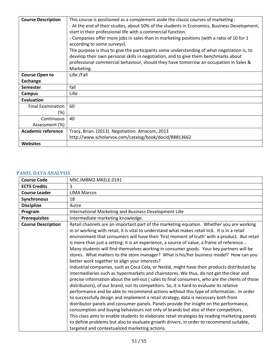| <b>Course Description</b> | This course is positioned as a complement aside the classic courses of marketing :<br>- At the end of their studies, about 50% of the students in Economics, Business Development, |
|---------------------------|------------------------------------------------------------------------------------------------------------------------------------------------------------------------------------|
|                           | start in their professional life with a commercial function.<br>- Companies offer more jobs in sales than in marketing positions (with a ratio of 10 for 1                         |
|                           | according to some surveys).<br>The purpose is thus to give the participants some understanding of what negotiation is, to                                                          |
|                           | develop their own personal skills in negotiation, and to give them benchmarks about                                                                                                |
|                           | professional commercial behaviour, should they have tomorrow an occupation in Sales &<br>Marketing.                                                                                |
| <b>Course Open to</b>     | Lille /Fall                                                                                                                                                                        |
| <b>Exchange</b>           |                                                                                                                                                                                    |
| <b>Semester</b>           | fall                                                                                                                                                                               |
| <b>Campus</b>             | Lille                                                                                                                                                                              |
| <b>Evaluation</b>         |                                                                                                                                                                                    |
| <b>Final Examination</b>  | 60                                                                                                                                                                                 |
| (%)                       |                                                                                                                                                                                    |
| Continuous                | 40                                                                                                                                                                                 |
| Assessment (%)            |                                                                                                                                                                                    |
| <b>Academic reference</b> | Tracy, Brian. (2013). Negotiation. Amacom, 2013                                                                                                                                    |
|                           | http://www.scholarvox.com/catalog/book/docid/88813662                                                                                                                              |
| <b>Websites</b>           |                                                                                                                                                                                    |

# <span id="page-50-0"></span>**PANEL DATA ANALYSIS**

| <b>Course Code</b>        | MSC.IMBM2.MKELE.0191                                                                                                                                                                                                                                                                                                                                                                                                                                                                                                                                                                                                                                                                                                                                                                                                                                                                                                                                                                                                                                                                                                                                                                                                                                                                                                                                                                                                                                                                                                                                                                                                                     |
|---------------------------|------------------------------------------------------------------------------------------------------------------------------------------------------------------------------------------------------------------------------------------------------------------------------------------------------------------------------------------------------------------------------------------------------------------------------------------------------------------------------------------------------------------------------------------------------------------------------------------------------------------------------------------------------------------------------------------------------------------------------------------------------------------------------------------------------------------------------------------------------------------------------------------------------------------------------------------------------------------------------------------------------------------------------------------------------------------------------------------------------------------------------------------------------------------------------------------------------------------------------------------------------------------------------------------------------------------------------------------------------------------------------------------------------------------------------------------------------------------------------------------------------------------------------------------------------------------------------------------------------------------------------------------|
| <b>ECTS Credits</b>       | 3                                                                                                                                                                                                                                                                                                                                                                                                                                                                                                                                                                                                                                                                                                                                                                                                                                                                                                                                                                                                                                                                                                                                                                                                                                                                                                                                                                                                                                                                                                                                                                                                                                        |
| <b>Course Leader</b>      | <b>LIMA Marcos</b>                                                                                                                                                                                                                                                                                                                                                                                                                                                                                                                                                                                                                                                                                                                                                                                                                                                                                                                                                                                                                                                                                                                                                                                                                                                                                                                                                                                                                                                                                                                                                                                                                       |
| Synchronous               | 18                                                                                                                                                                                                                                                                                                                                                                                                                                                                                                                                                                                                                                                                                                                                                                                                                                                                                                                                                                                                                                                                                                                                                                                                                                                                                                                                                                                                                                                                                                                                                                                                                                       |
| <b>Discipline</b>         | Autre                                                                                                                                                                                                                                                                                                                                                                                                                                                                                                                                                                                                                                                                                                                                                                                                                                                                                                                                                                                                                                                                                                                                                                                                                                                                                                                                                                                                                                                                                                                                                                                                                                    |
| Program                   | International Marketing and Business Development Lille                                                                                                                                                                                                                                                                                                                                                                                                                                                                                                                                                                                                                                                                                                                                                                                                                                                                                                                                                                                                                                                                                                                                                                                                                                                                                                                                                                                                                                                                                                                                                                                   |
| <b>Prerequisites</b>      | Intermediate marketing knowledge.                                                                                                                                                                                                                                                                                                                                                                                                                                                                                                                                                                                                                                                                                                                                                                                                                                                                                                                                                                                                                                                                                                                                                                                                                                                                                                                                                                                                                                                                                                                                                                                                        |
| <b>Course Description</b> | Retail channels are an important part of the marketing equation. Whether you are working<br>in or working with retail, it is vital to understand what makes retail tick. It is in a retail<br>environment that consumers will have their 'first moment of truth' with a product. But retail<br>is more than just a setting: it is an experience, a source of value, a frame of reference<br>Many students will find themselves working in consumer goods. Your key partners will be<br>stores. What matters to the store manager? What is his/her business model? How can you<br>better work together to align your interests?<br>Industrial companies, such as Coca Cola, or Nestlé, might have their products distributed by<br>intermediaries such as hypermarkets and chainstores. We thus, do not get the clear and<br>precise information about the sell-out (sales to final consumers, who are the clients of those<br>distributors), of our brand, nor its competitors. So, it is hard to evaluate its relative<br>performance and be able to recommend actions without this type of information. In order<br>to successfully design and implement a retail strategy, data is necessary both from<br>distributor panels and consumer panels. Panels provide the insight on the performance,<br>consumption and buying behaviours not only of brands but also of their competitors.<br>This class aims to enable students to elaborate retail strategies by reading marketing panels<br>to define problems but also to evaluate growth drivers, in order to recommend suitable,<br>targeted and contextualized marketing actions. |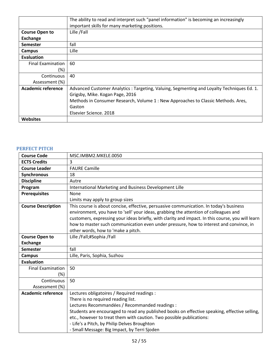|                          | The ability to read and interpret such "panel information" is becoming an increasingly    |
|--------------------------|-------------------------------------------------------------------------------------------|
|                          | important skills for many marketing positions.                                            |
| <b>Course Open to</b>    | Lille /Fall                                                                               |
| <b>Exchange</b>          |                                                                                           |
| <b>Semester</b>          | fall                                                                                      |
| Campus                   | Lille                                                                                     |
| Evaluation               |                                                                                           |
| <b>Final Examination</b> | 60                                                                                        |
| (%)                      |                                                                                           |
| Continuous               | 40                                                                                        |
| Assessment (%)           |                                                                                           |
| Academic reference       | Advanced Customer Analytics: Targeting, Valuing, Segmenting and Loyalty Techniques Ed. 1. |
|                          | Grigsby, Mike. Kogan Page, 2016                                                           |
|                          | Methods in Consumer Research, Volume 1 : New Approaches to Classic Methods. Ares,         |
|                          | Gaston                                                                                    |
|                          | Elsevier Science, 2018                                                                    |
| <b>Websites</b>          |                                                                                           |

## <span id="page-51-0"></span>**PERFECT PITCH**

| <b>Course Code</b>        | MSC.IMBM2.MKELE.0050                                                                                                                                                                                                                                                                                                                                                                                                |
|---------------------------|---------------------------------------------------------------------------------------------------------------------------------------------------------------------------------------------------------------------------------------------------------------------------------------------------------------------------------------------------------------------------------------------------------------------|
| <b>ECTS Credits</b>       | 3                                                                                                                                                                                                                                                                                                                                                                                                                   |
| <b>Course Leader</b>      | <b>FAURE Camille</b>                                                                                                                                                                                                                                                                                                                                                                                                |
| Synchronous               | 18                                                                                                                                                                                                                                                                                                                                                                                                                  |
| <b>Discipline</b>         | Autre                                                                                                                                                                                                                                                                                                                                                                                                               |
| Program                   | International Marketing and Business Development Lille                                                                                                                                                                                                                                                                                                                                                              |
| <b>Prerequisites</b>      | None                                                                                                                                                                                                                                                                                                                                                                                                                |
|                           | Limits may apply to group sizes                                                                                                                                                                                                                                                                                                                                                                                     |
| <b>Course Description</b> | This course is about concise, effective, persuasive communication. In today's business<br>environment, you have to 'sell' your ideas, grabbing the attention of colleagues and<br>customers, expressing your ideas briefly, with clarity and impact. In this course, you will learn<br>how to master such communication even under pressure, how to interest and convince, in<br>other words, how to 'make a pitch. |
| <b>Course Open to</b>     | Lille /Fall;#Sophia /Fall                                                                                                                                                                                                                                                                                                                                                                                           |
| <b>Exchange</b>           |                                                                                                                                                                                                                                                                                                                                                                                                                     |
| <b>Semester</b>           | fall                                                                                                                                                                                                                                                                                                                                                                                                                |
| <b>Campus</b>             | Lille, Paris, Sophia, Suzhou                                                                                                                                                                                                                                                                                                                                                                                        |
| <b>Evaluation</b>         |                                                                                                                                                                                                                                                                                                                                                                                                                     |
| <b>Final Examination</b>  | 50                                                                                                                                                                                                                                                                                                                                                                                                                  |
| (%)                       |                                                                                                                                                                                                                                                                                                                                                                                                                     |
| Continuous                | 50                                                                                                                                                                                                                                                                                                                                                                                                                  |
| Assessment (%)            |                                                                                                                                                                                                                                                                                                                                                                                                                     |
| <b>Academic reference</b> | Lectures obligatoires / Required readings :                                                                                                                                                                                                                                                                                                                                                                         |
|                           | There is no required reading list.                                                                                                                                                                                                                                                                                                                                                                                  |
|                           | Lectures Recommandées / Recommanded readings :                                                                                                                                                                                                                                                                                                                                                                      |
|                           | Students are encouraged to read any published books on effective speaking, effective selling,                                                                                                                                                                                                                                                                                                                       |
|                           | etc., however to treat them with caution. Two possible publications:                                                                                                                                                                                                                                                                                                                                                |
|                           | - Life's a Pitch, by Philip Delves Broughton                                                                                                                                                                                                                                                                                                                                                                        |
|                           | - Small Message: Big Impact, by Terri Sjoden                                                                                                                                                                                                                                                                                                                                                                        |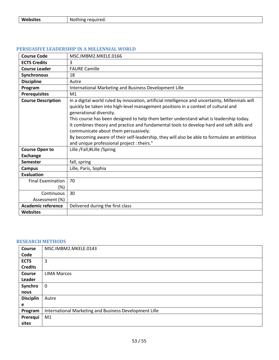|--|

| <b>Course Code</b>                 | MSC.IMBM2.MKELE.0166                                                                                                                                                                                                        |
|------------------------------------|-----------------------------------------------------------------------------------------------------------------------------------------------------------------------------------------------------------------------------|
| <b>ECTS Credits</b>                | 3                                                                                                                                                                                                                           |
| <b>Course Leader</b>               | <b>FAURE Camille</b>                                                                                                                                                                                                        |
| Synchronous                        | 18                                                                                                                                                                                                                          |
| <b>Discipline</b>                  | Autre                                                                                                                                                                                                                       |
| Program                            | International Marketing and Business Development Lille                                                                                                                                                                      |
| <b>Prerequisites</b>               | M <sub>1</sub>                                                                                                                                                                                                              |
| <b>Course Description</b>          | In a digital world ruled by innovation, artificial intelligence and uncertainty, Millennials will<br>quickly be taken into high-level management positions in a context of cultural and<br>generational diversity.          |
|                                    | This course has been designed to help them better understand what is leadership today.<br>It combines theory and practice and fundamental tools to develop hard and soft skills and<br>communicate about them persuasively. |
|                                    | By becoming aware of their self-leadership, they will also be able to formulate an ambitious<br>and unique professional project : theirs."                                                                                  |
| <b>Course Open to</b>              | Lille /Fall;#Lille /Spring                                                                                                                                                                                                  |
| <b>Exchange</b>                    |                                                                                                                                                                                                                             |
| <b>Semester</b>                    | fall, spring                                                                                                                                                                                                                |
| <b>Campus</b>                      | Lille, Paris, Sophia                                                                                                                                                                                                        |
| <b>Evaluation</b>                  |                                                                                                                                                                                                                             |
| <b>Final Examination</b><br>$(\%)$ | 70                                                                                                                                                                                                                          |
| Continuous<br>Assessment (%)       | 30                                                                                                                                                                                                                          |
| <b>Academic reference</b>          | Delivered during the first class                                                                                                                                                                                            |
| Websites                           |                                                                                                                                                                                                                             |

#### <span id="page-52-0"></span>**PERSUASIVE LEADERSHIP IN A MILLENNIAL WORLD**

## <span id="page-52-1"></span>**RESEARCH METHODS**

| Course           | MSC.IMBM2.MKELE.0143                                   |
|------------------|--------------------------------------------------------|
| Code             |                                                        |
| <b>ECTS</b>      | 3                                                      |
| <b>Credits</b>   |                                                        |
| <b>Course</b>    | <b>LIMA Marcos</b>                                     |
| Leader           |                                                        |
| Synchro          | $\mathbf 0$                                            |
| nous             |                                                        |
| <b>Disciplin</b> | Autre                                                  |
| e                |                                                        |
| Program          | International Marketing and Business Development Lille |
| Prerequi         | M1                                                     |
| sites            |                                                        |